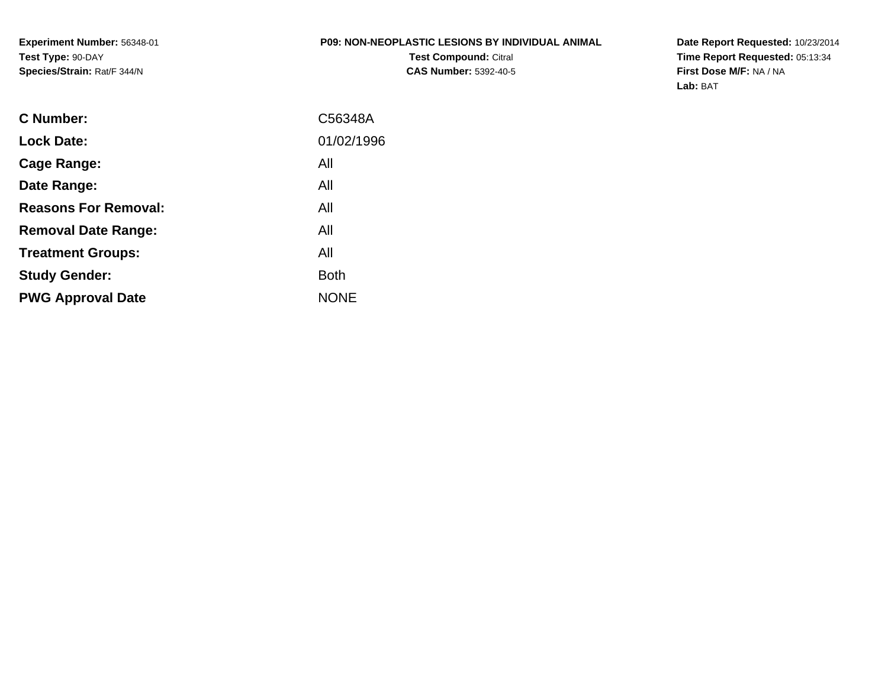**Experiment Number:** 56348-01**Test Type:** 90-DAY**Species/Strain:** Rat/F 344/N

### **P09: NON-NEOPLASTIC LESIONS BY INDIVIDUAL ANIMALTest Compound:** Citral

**CAS Number:** 5392-40-5

**Date Report Requested:** 10/23/2014 **Time Report Requested:** 05:13:34**First Dose M/F:** NA / NA**Lab:** BAT

| C Number:                   | C56348A     |
|-----------------------------|-------------|
| <b>Lock Date:</b>           | 01/02/1996  |
| Cage Range:                 | All         |
| Date Range:                 | All         |
| <b>Reasons For Removal:</b> | All         |
| <b>Removal Date Range:</b>  | All         |
| <b>Treatment Groups:</b>    | All         |
| <b>Study Gender:</b>        | <b>Both</b> |
| <b>PWG Approval Date</b>    | <b>NONE</b> |
|                             |             |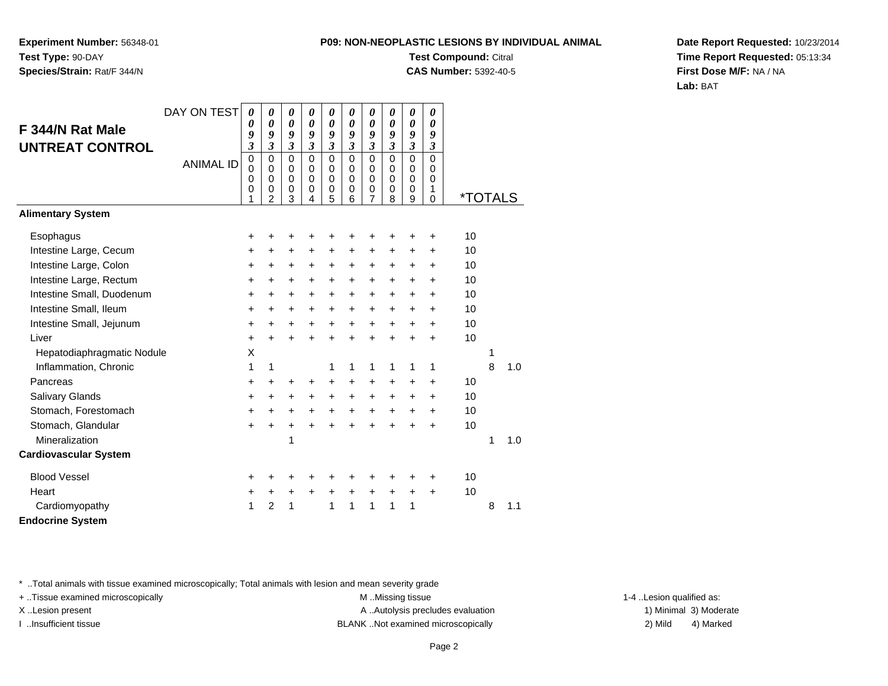**Experiment Number:** 56348-01**Test Type:** 90-DAY**Species/Strain:** Rat/F 344/N

**Test Compound:** Citral

**CAS Number:** 5392-40-5

**Date Report Requested:** 10/23/2014**Time Report Requested:** 05:13:34**First Dose M/F:** NA / NA**Lab:** BAT

|                              | DAY ON TEST      | $\boldsymbol{\theta}$<br>0 | 0<br>0                  | 0<br>$\boldsymbol{\theta}$ | 0<br>$\boldsymbol{\theta}$ | 0<br>0                     | 0<br>$\boldsymbol{\theta}$ | 0<br>0              | 0<br>$\boldsymbol{\theta}$ | 0<br>$\boldsymbol{\theta}$ | 0<br>0                     |                       |   |     |
|------------------------------|------------------|----------------------------|-------------------------|----------------------------|----------------------------|----------------------------|----------------------------|---------------------|----------------------------|----------------------------|----------------------------|-----------------------|---|-----|
| F 344/N Rat Male             |                  | 9                          | 9                       | 9                          | 9                          | 9                          | 9                          | 9                   | 9                          | 9                          | 9                          |                       |   |     |
| <b>UNTREAT CONTROL</b>       |                  | 3                          | $\mathfrak{z}$          | $\mathfrak{z}$             | $\overline{\mathbf{3}}$    | 3                          | 3                          | $\mathfrak{z}$      | $\mathfrak{z}$             | $\mathfrak{z}$             | 3                          |                       |   |     |
|                              | <b>ANIMAL ID</b> | $\mathbf 0$<br>0           | $\mathbf 0$<br>$\Omega$ | $\mathbf 0$<br>0           | $\mathbf 0$<br>$\Omega$    | $\mathbf 0$<br>$\mathbf 0$ | $\mathbf 0$<br>$\Omega$    | $\mathbf 0$<br>0    | $\mathbf 0$<br>$\mathbf 0$ | $\mathbf 0$<br>$\Omega$    | $\mathbf 0$<br>$\mathbf 0$ |                       |   |     |
|                              |                  | 0                          | 0                       | $\mathbf 0$                | $\Omega$<br>0              | 0                          | $\mathbf 0$                | $\mathbf 0$         | $\mathbf 0$<br>0           | $\mathbf 0$<br>$\mathbf 0$ | $\mathbf 0$                |                       |   |     |
|                              |                  | 0<br>1                     | 0<br>$\overline{2}$     | $\pmb{0}$<br>3             | 4                          | 0<br>5                     | 0<br>6                     | 0<br>$\overline{7}$ | 8                          | 9                          | 1<br>$\mathbf 0$           | <i><b>*TOTALS</b></i> |   |     |
| <b>Alimentary System</b>     |                  |                            |                         |                            |                            |                            |                            |                     |                            |                            |                            |                       |   |     |
| Esophagus                    |                  | +                          | +                       | +                          | +                          | ÷                          | ÷                          | +                   | +                          | +                          | $\ddot{}$                  | 10                    |   |     |
| Intestine Large, Cecum       |                  | +                          | $\ddot{}$               | $\ddot{}$                  | $\ddot{}$                  | +                          | $\ddot{}$                  | $\ddot{}$           | $\ddot{}$                  | +                          | $\ddot{}$                  | 10                    |   |     |
| Intestine Large, Colon       |                  | +                          | +                       | +                          | $\ddot{}$                  | $\ddot{}$                  | $\ddot{}$                  | $\ddot{}$           | $\ddot{}$                  | +                          | +                          | 10                    |   |     |
| Intestine Large, Rectum      |                  | +                          | $\ddot{}$               | $\ddot{}$                  | $\ddot{}$                  | $\ddot{}$                  | $\ddot{}$                  | $\ddot{}$           | $\ddot{}$                  | $\ddot{}$                  | $\ddot{}$                  | 10                    |   |     |
| Intestine Small, Duodenum    |                  | +                          | $\ddot{}$               | $\ddot{}$                  | $+$                        | $\ddot{}$                  | +                          | +                   | $\ddot{}$                  | +                          | $\ddot{}$                  | 10                    |   |     |
| Intestine Small, Ileum       |                  | +                          | +                       | $\ddot{}$                  | $\pm$                      | $\ddot{}$                  | $\ddot{}$                  | $\ddot{}$           | $\ddot{}$                  | $\ddot{}$                  | $\ddot{}$                  | 10                    |   |     |
| Intestine Small, Jejunum     |                  | $\ddot{}$                  | $\ddot{}$               | $\ddot{}$                  | $\ddot{}$                  | $\ddot{}$                  | $\ddot{}$                  | $\ddot{}$           | $\ddot{}$                  | $\ddot{}$                  | $\ddot{}$                  | 10                    |   |     |
| Liver                        |                  | $\ddot{}$                  | $\ddot{}$               | $\ddot{}$                  | $\ddot{}$                  | $+$                        | $\ddot{}$                  | $\ddot{}$           | $\ddot{}$                  | $\ddot{}$                  | $\ddot{}$                  | 10                    |   |     |
| Hepatodiaphragmatic Nodule   |                  | X                          |                         |                            |                            |                            |                            |                     |                            |                            |                            |                       | 1 |     |
| Inflammation, Chronic        |                  | 1                          | 1                       |                            |                            | 1                          | 1                          | 1                   | 1                          | 1                          | 1                          |                       | 8 | 1.0 |
| Pancreas                     |                  | +                          | +                       | +                          | +                          | +                          | +                          | +                   | +                          | +                          | +                          | 10                    |   |     |
| <b>Salivary Glands</b>       |                  | +                          | +                       | $\ddot{}$                  | $\ddot{}$                  | $\ddot{}$                  | $\ddot{}$                  | $\ddot{}$           | +                          | $\ddot{}$                  | $\ddot{}$                  | 10                    |   |     |
| Stomach, Forestomach         |                  | +                          | +                       | +                          | $+$                        | $+$                        | $+$                        | $+$                 | $\ddot{}$                  | +                          | $\ddot{}$                  | 10                    |   |     |
| Stomach, Glandular           |                  | $\ddot{}$                  | $\ddot{}$               | $\ddot{}$                  | $\ddot{}$                  | $\ddot{}$                  | $\ddot{}$                  | $\ddot{}$           | $\ddot{}$                  | $\ddot{}$                  | $\ddot{}$                  | 10                    |   |     |
| Mineralization               |                  |                            |                         | 1                          |                            |                            |                            |                     |                            |                            |                            |                       | 1 | 1.0 |
| <b>Cardiovascular System</b> |                  |                            |                         |                            |                            |                            |                            |                     |                            |                            |                            |                       |   |     |
| <b>Blood Vessel</b>          |                  | +                          | +                       | +                          | ٠                          | +                          |                            |                     | +                          | +                          | ÷                          | 10                    |   |     |
| Heart                        |                  | +                          | +                       | +                          | $\pm$                      | $\ddot{}$                  | $\ddot{}$                  | $\ddot{}$           | $\ddot{}$                  | +                          | $\ddot{}$                  | 10                    |   |     |
| Cardiomyopathy               |                  | 1                          | $\overline{2}$          | 1                          |                            | 1                          | 1                          | $\mathbf{1}$        | 1                          | 1                          |                            |                       | 8 | 1.1 |
| <b>Endocrine System</b>      |                  |                            |                         |                            |                            |                            |                            |                     |                            |                            |                            |                       |   |     |

\* ..Total animals with tissue examined microscopically; Total animals with lesion and mean severity grade

+ ..Tissue examined microscopically examined microscopically examined as:  $M$  ..Missing tissue 1-4 ..Lesion qualified as:

X..Lesion present **A ..Autolysis precludes evaluation** A ..Autolysis precludes evaluation 1) Minimal 3) Moderate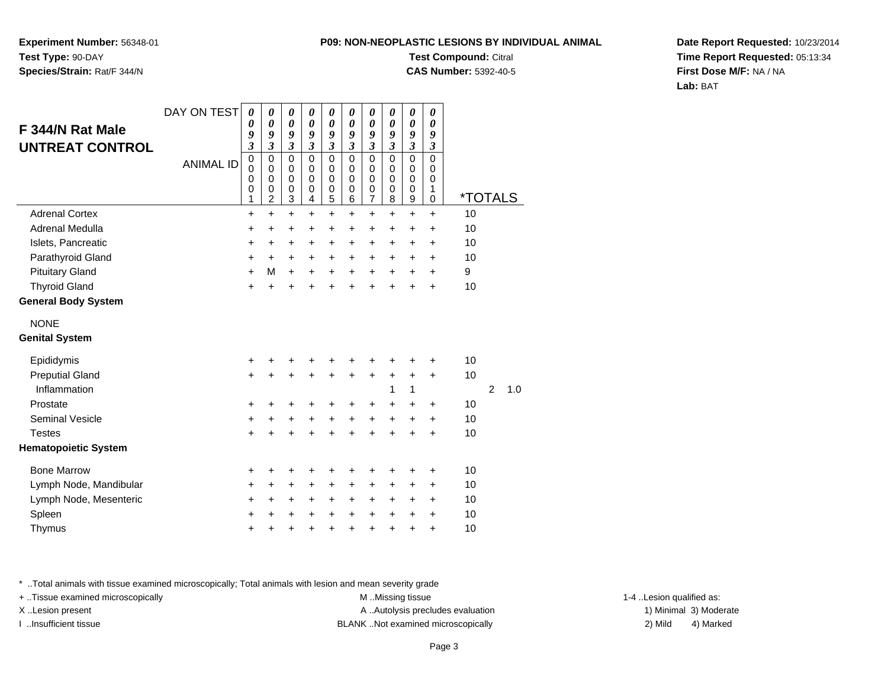**Experiment Number:** 56348-01**Test Type:** 90-DAY**Species/Strain:** Rat/F 344/N

### **Test Compound:** Citral

**CAS Number:** 5392-40-5

**Date Report Requested:** 10/23/2014**Time Report Requested:** 05:13:34**First Dose M/F:** NA / NA**Lab:** BAT

|                             | DAY ON TEST      | 0                               | 0                                                             | $\boldsymbol{\theta}$                               | 0                               | 0                       | 0                            | 0                                              | 0                                         | 0                                                        | $\boldsymbol{\theta}$        |         |                |     |
|-----------------------------|------------------|---------------------------------|---------------------------------------------------------------|-----------------------------------------------------|---------------------------------|-------------------------|------------------------------|------------------------------------------------|-------------------------------------------|----------------------------------------------------------|------------------------------|---------|----------------|-----|
| F 344/N Rat Male            |                  | 0<br>9                          | $\boldsymbol{\theta}$<br>9                                    | $\boldsymbol{\theta}$<br>9                          | $\pmb{\theta}$<br>9             | $\pmb{\theta}$<br>9     | $\boldsymbol{\theta}$<br>9   | $\boldsymbol{\theta}$<br>9                     | $\boldsymbol{\theta}$<br>9                | $\boldsymbol{\theta}$<br>9                               | $\boldsymbol{\theta}$<br>9   |         |                |     |
| <b>UNTREAT CONTROL</b>      |                  | $\mathfrak{z}$                  | $\mathfrak{z}$                                                | $\mathfrak{z}$                                      | $\mathfrak{z}$                  | $\overline{\mathbf{3}}$ | $\overline{\mathbf{3}}$      | $\overline{\mathbf{3}}$                        | $\mathfrak{z}$                            | $\overline{\mathbf{3}}$                                  | $\mathfrak{z}$               |         |                |     |
|                             | <b>ANIMAL ID</b> | 0<br>$\mathbf 0$<br>0<br>0<br>1 | $\mathbf 0$<br>$\Omega$<br>$\mathbf 0$<br>0<br>$\overline{c}$ | $\mathbf 0$<br>$\mathbf 0$<br>$\mathbf 0$<br>0<br>3 | 0<br>$\mathbf 0$<br>0<br>0<br>4 | 0<br>0<br>0<br>0<br>5   | 0<br>0<br>$\Omega$<br>0<br>6 | 0<br>0<br>$\mathbf 0$<br>$\boldsymbol{0}$<br>7 | $\mathbf 0$<br>0<br>$\mathbf 0$<br>0<br>8 | $\mathbf 0$<br>0<br>$\mathbf 0$<br>0<br>$\boldsymbol{9}$ | $\Omega$<br>0<br>0<br>1<br>0 | *TOTALS |                |     |
| <b>Adrenal Cortex</b>       |                  | $\ddot{}$                       | $\ddot{}$                                                     | $\ddot{}$                                           | $\ddot{}$                       | $+$                     | $\ddot{}$                    | $\ddot{}$                                      | $\ddot{}$                                 | $\ddot{}$                                                | $\ddot{}$                    | 10      |                |     |
| Adrenal Medulla             |                  | +                               | $\ddot{}$                                                     | $\ddot{}$                                           | $\ddot{}$                       | $\ddot{}$               | +                            | +                                              | $\ddot{}$                                 | $\ddot{}$                                                | $\ddot{}$                    | 10      |                |     |
| Islets, Pancreatic          |                  | $\ddot{}$                       | +                                                             | +                                                   | $\pm$                           | +                       | $\ddot{}$                    | $\ddot{}$                                      | $\ddot{}$                                 | $\ddot{}$                                                | +                            | 10      |                |     |
| Parathyroid Gland           |                  | $\ddot{}$                       | $\ddot{}$                                                     | +                                                   | $\ddot{}$                       | +                       | $\ddot{}$                    | $\ddot{}$                                      | $\ddot{}$                                 | $\ddot{}$                                                | $\ddot{}$                    | 10      |                |     |
| <b>Pituitary Gland</b>      |                  | $\ddot{}$                       | M                                                             | $\ddot{}$                                           | $\ddot{}$                       | $\ddot{}$               | $\ddot{}$                    | $\ddot{}$                                      | $\ddot{}$                                 | $\ddot{}$                                                | $\ddot{}$                    | 9       |                |     |
| <b>Thyroid Gland</b>        |                  | $\ddot{}$                       | $\ddot{}$                                                     | $\ddot{}$                                           | +                               | $\ddot{}$               | +                            | $\ddot{}$                                      | $\ddot{}$                                 | $\ddot{}$                                                | $\ddot{}$                    | 10      |                |     |
| <b>General Body System</b>  |                  |                                 |                                                               |                                                     |                                 |                         |                              |                                                |                                           |                                                          |                              |         |                |     |
| <b>NONE</b>                 |                  |                                 |                                                               |                                                     |                                 |                         |                              |                                                |                                           |                                                          |                              |         |                |     |
| <b>Genital System</b>       |                  |                                 |                                                               |                                                     |                                 |                         |                              |                                                |                                           |                                                          |                              |         |                |     |
| Epididymis                  |                  | +                               |                                                               | +                                                   |                                 |                         |                              |                                                |                                           | +                                                        | +                            | 10      |                |     |
| <b>Preputial Gland</b>      |                  | $\ddot{}$                       | $\ddot{}$                                                     | $\ddot{}$                                           | $\ddot{}$                       | +                       | $\ddot{}$                    | +                                              | +                                         | +                                                        | $\ddot{}$                    | 10      |                |     |
| Inflammation                |                  |                                 |                                                               |                                                     |                                 |                         |                              |                                                | 1                                         | 1                                                        |                              |         | $\overline{2}$ | 1.0 |
| Prostate                    |                  | $\pm$                           | +                                                             | +                                                   | ٠                               | +                       | +                            | +                                              | +                                         | +                                                        | +                            | 10      |                |     |
| <b>Seminal Vesicle</b>      |                  | +                               | +                                                             | +                                                   | +                               | $\ddot{}$               | $\ddot{}$                    | +                                              | $\ddot{}$                                 | +                                                        | +                            | 10      |                |     |
| <b>Testes</b>               |                  | $\ddot{}$                       | $\ddot{}$                                                     | $\ddot{}$                                           | $\ddot{}$                       | $\ddot{}$               | $\ddot{}$                    | $\ddot{}$                                      | $\ddot{}$                                 | $\ddot{}$                                                | $\ddot{}$                    | 10      |                |     |
| <b>Hematopoietic System</b> |                  |                                 |                                                               |                                                     |                                 |                         |                              |                                                |                                           |                                                          |                              |         |                |     |
| <b>Bone Marrow</b>          |                  | +                               | +                                                             | +                                                   | +                               | +                       | +                            |                                                |                                           | ٠                                                        | +                            | 10      |                |     |
| Lymph Node, Mandibular      |                  | +                               | +                                                             | +                                                   | +                               | $\pm$                   | +                            | +                                              | +                                         | +                                                        | +                            | 10      |                |     |
| Lymph Node, Mesenteric      |                  | +                               | +                                                             | +                                                   | +                               | +                       | +                            | +                                              | +                                         | +                                                        | +                            | 10      |                |     |
| Spleen                      |                  | +                               | +                                                             | +                                                   | +                               | $\pm$                   | +                            | +                                              | $\ddot{}$                                 | +                                                        | +                            | 10      |                |     |
| Thymus                      |                  | $\ddot{}$                       | +                                                             | $\pmb{+}$                                           | +                               | $\ddot{}$               | +                            | $\ddot{}$                                      | $\ddot{}$                                 | +                                                        | $\ddot{}$                    | 10      |                |     |

\* ..Total animals with tissue examined microscopically; Total animals with lesion and mean severity grade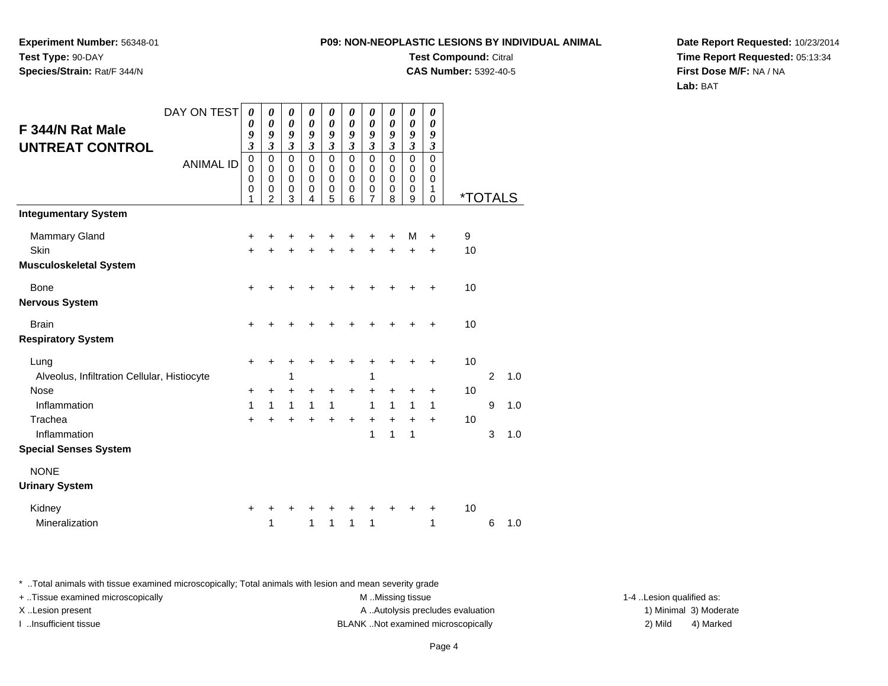**Experiment Number:** 56348-01**Test Type:** 90-DAY**Species/Strain:** Rat/F 344/N

**Test Compound:** Citral

**CAS Number:** 5392-40-5

**Date Report Requested:** 10/23/2014**Time Report Requested:** 05:13:34**First Dose M/F:** NA / NA**Lab:** BAT

| F 344/N Rat Male<br><b>UNTREAT CONTROL</b>  | DAY ON TEST<br><b>ANIMAL ID</b> | 0<br>0<br>9<br>$\overline{\mathbf{3}}$<br>$\mathbf 0$<br>$\mathbf 0$<br>0<br>0 | 0<br>$\boldsymbol{\theta}$<br>9<br>$\mathfrak{z}$<br>$\mathbf 0$<br>$\mathbf 0$<br>$\mathbf 0$<br>0 | $\boldsymbol{\theta}$<br>$\boldsymbol{\theta}$<br>9<br>$\mathfrak{z}$<br>$\mathbf 0$<br>$\mathbf 0$<br>$\mathbf 0$<br>0 | 0<br>0<br>9<br>3<br>$\mathbf 0$<br>0<br>$\mathbf 0$<br>0 | 0<br>0<br>9<br>$\overline{\mathbf{3}}$<br>$\mathbf 0$<br>$\mathbf 0$<br>$\mathbf 0$<br>0 | 0<br>0<br>9<br>3<br>0<br>0<br>$\mathbf 0$<br>0 | 0<br>0<br>9<br>$\overline{\mathbf{3}}$<br>0<br>0<br>0<br>0 | 0<br>0<br>9<br>$\mathfrak{z}$<br>$\Omega$<br>$\Omega$<br>$\Omega$<br>0 | 0<br>$\boldsymbol{\theta}$<br>9<br>$\overline{\mathbf{3}}$<br>$\mathbf 0$<br>0<br>$\mathbf 0$<br>0 | 0<br>0<br>9<br>3<br>$\mathbf 0$<br>0<br>$\mathbf 0$ |                       |   |     |
|---------------------------------------------|---------------------------------|--------------------------------------------------------------------------------|-----------------------------------------------------------------------------------------------------|-------------------------------------------------------------------------------------------------------------------------|----------------------------------------------------------|------------------------------------------------------------------------------------------|------------------------------------------------|------------------------------------------------------------|------------------------------------------------------------------------|----------------------------------------------------------------------------------------------------|-----------------------------------------------------|-----------------------|---|-----|
|                                             |                                 | 1                                                                              | $\overline{2}$                                                                                      | 3                                                                                                                       | 4                                                        | 5                                                                                        | 6                                              | 7                                                          | 8                                                                      | 9                                                                                                  | 1<br>$\Omega$                                       | <i><b>*TOTALS</b></i> |   |     |
| <b>Integumentary System</b>                 |                                 |                                                                                |                                                                                                     |                                                                                                                         |                                                          |                                                                                          |                                                |                                                            |                                                                        |                                                                                                    |                                                     |                       |   |     |
| <b>Mammary Gland</b>                        |                                 | +                                                                              | +                                                                                                   |                                                                                                                         |                                                          |                                                                                          |                                                | +                                                          | +                                                                      | M                                                                                                  | $\ddot{}$                                           | $\boldsymbol{9}$      |   |     |
| <b>Skin</b>                                 |                                 | $\ddot{}$                                                                      | $\ddot{}$                                                                                           | $\ddot{}$                                                                                                               | $\ddot{}$                                                | $\ddot{}$                                                                                | ÷                                              | $\ddot{}$                                                  | $\ddot{}$                                                              | $\ddot{}$                                                                                          | $\ddot{}$                                           | 10                    |   |     |
| <b>Musculoskeletal System</b>               |                                 |                                                                                |                                                                                                     |                                                                                                                         |                                                          |                                                                                          |                                                |                                                            |                                                                        |                                                                                                    |                                                     |                       |   |     |
| <b>Bone</b>                                 |                                 | $\ddot{}$                                                                      | +                                                                                                   | +                                                                                                                       |                                                          |                                                                                          |                                                | +                                                          |                                                                        |                                                                                                    |                                                     | 10                    |   |     |
| <b>Nervous System</b>                       |                                 |                                                                                |                                                                                                     |                                                                                                                         |                                                          |                                                                                          |                                                |                                                            |                                                                        |                                                                                                    |                                                     |                       |   |     |
| <b>Brain</b>                                |                                 | +                                                                              |                                                                                                     |                                                                                                                         |                                                          |                                                                                          |                                                |                                                            |                                                                        |                                                                                                    |                                                     | 10                    |   |     |
| <b>Respiratory System</b>                   |                                 |                                                                                |                                                                                                     |                                                                                                                         |                                                          |                                                                                          |                                                |                                                            |                                                                        |                                                                                                    |                                                     |                       |   |     |
| Lung                                        |                                 | $\pm$                                                                          | +                                                                                                   | +                                                                                                                       | +                                                        | +                                                                                        | +                                              | +                                                          |                                                                        |                                                                                                    |                                                     | 10                    |   |     |
| Alveolus, Infiltration Cellular, Histiocyte |                                 |                                                                                |                                                                                                     | 1                                                                                                                       |                                                          |                                                                                          |                                                | 1                                                          |                                                                        |                                                                                                    |                                                     |                       | 2 | 1.0 |
| <b>Nose</b>                                 |                                 | +                                                                              | ٠                                                                                                   | $\ddot{}$                                                                                                               | +                                                        | +                                                                                        | +                                              | $\ddot{}$                                                  | +                                                                      | +                                                                                                  | $\ddot{}$                                           | 10                    |   |     |
| Inflammation                                |                                 | 1                                                                              | 1                                                                                                   | 1                                                                                                                       | 1                                                        | $\mathbf{1}$                                                                             |                                                | 1                                                          | 1                                                                      | 1                                                                                                  | $\mathbf{1}$                                        |                       | 9 | 1.0 |
| Trachea                                     |                                 | $\ddot{}$                                                                      | $\ddot{}$                                                                                           | $\ddot{}$                                                                                                               | $\ddot{}$                                                | $\ddot{}$                                                                                | $\ddot{}$                                      | $\ddot{}$                                                  | $\ddot{}$                                                              | +                                                                                                  | $\ddot{}$                                           | 10                    |   |     |
| Inflammation                                |                                 |                                                                                |                                                                                                     |                                                                                                                         |                                                          |                                                                                          |                                                | 1                                                          | 1                                                                      | 1                                                                                                  |                                                     |                       | 3 | 1.0 |
| <b>Special Senses System</b>                |                                 |                                                                                |                                                                                                     |                                                                                                                         |                                                          |                                                                                          |                                                |                                                            |                                                                        |                                                                                                    |                                                     |                       |   |     |
| <b>NONE</b>                                 |                                 |                                                                                |                                                                                                     |                                                                                                                         |                                                          |                                                                                          |                                                |                                                            |                                                                        |                                                                                                    |                                                     |                       |   |     |
| <b>Urinary System</b>                       |                                 |                                                                                |                                                                                                     |                                                                                                                         |                                                          |                                                                                          |                                                |                                                            |                                                                        |                                                                                                    |                                                     |                       |   |     |
| Kidney                                      |                                 | +                                                                              |                                                                                                     |                                                                                                                         |                                                          |                                                                                          |                                                |                                                            |                                                                        |                                                                                                    | ÷                                                   | 10                    |   |     |
| Mineralization                              |                                 |                                                                                | 1                                                                                                   |                                                                                                                         | 1                                                        | 1                                                                                        | 1                                              | 1                                                          |                                                                        |                                                                                                    | 1                                                   |                       | 6 | 1.0 |

\* ..Total animals with tissue examined microscopically; Total animals with lesion and mean severity grade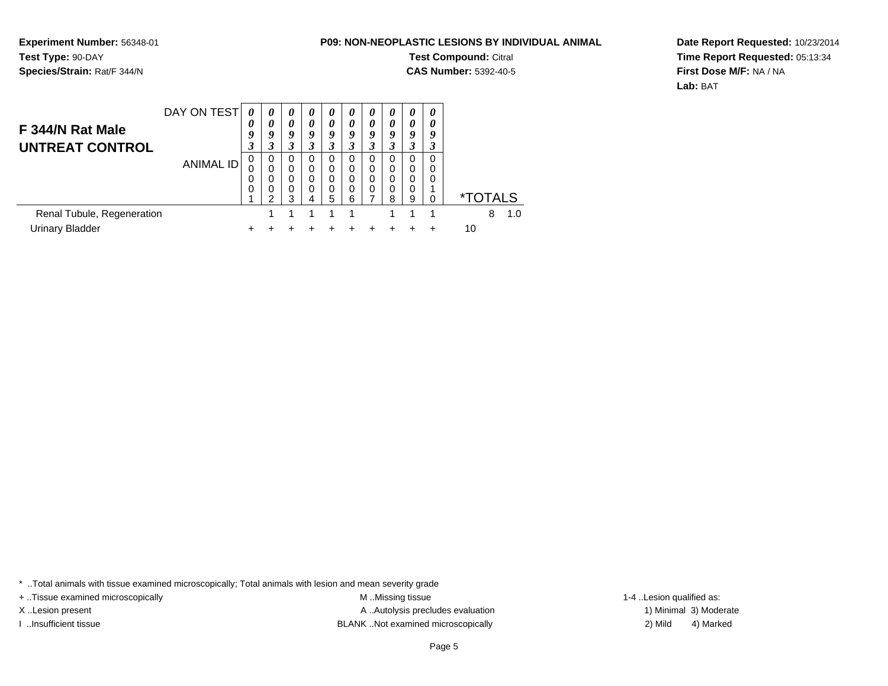**Experiment Number:** 56348-01**Test Type:** 90-DAY**Species/Strain:** Rat/F 344/N

**Test Compound:** Citral

**CAS Number:** 5392-40-5

**Date Report Requested:** 10/23/2014**Time Report Requested:** 05:13:34**First Dose M/F:** NA / NA**Lab:** BAT

| F 344/N Rat Male<br><b>UNTREAT CONTROL</b>    | DAY ON TEST      | 0<br>0<br>Q<br>J | $\boldsymbol{\theta}$<br>0<br>9<br>3 | $\theta$<br>0<br>9<br>3 | $\theta$<br>0<br>9<br>3 | 0<br>0<br>9<br>3      | $\boldsymbol{\theta}$<br>0<br>9 | 0<br>0<br>9<br>3           | $\boldsymbol{\theta}$<br>0<br>9 | $\boldsymbol{\theta}$<br>$\boldsymbol{\theta}$<br>9<br>3 | 0<br>0<br>9      |    |                       |     |
|-----------------------------------------------|------------------|------------------|--------------------------------------|-------------------------|-------------------------|-----------------------|---------------------------------|----------------------------|---------------------------------|----------------------------------------------------------|------------------|----|-----------------------|-----|
|                                               | <b>ANIMAL ID</b> | 0<br>0<br>0      | 0<br>0<br>0<br>0<br>◠                | 0<br>0<br>0<br>0<br>з   | 0<br>0<br>0<br>$\Omega$ | 0<br>0<br>0<br>0<br>5 | $\Omega$<br>0<br>$\Omega$<br>6  | 0<br>$\mathbf 0$<br>0<br>0 | 0<br>0<br>0<br>0<br>8           | 0<br>0<br>$\Omega$<br>0<br>9                             | 0<br>0<br>0<br>O |    | <i><b>*TOTALS</b></i> |     |
| Renal Tubule, Regeneration<br>Urinary Bladder |                  |                  |                                      |                         |                         |                       |                                 |                            |                                 |                                                          |                  | 10 | 8                     | 1.0 |

\* ..Total animals with tissue examined microscopically; Total animals with lesion and mean severity grade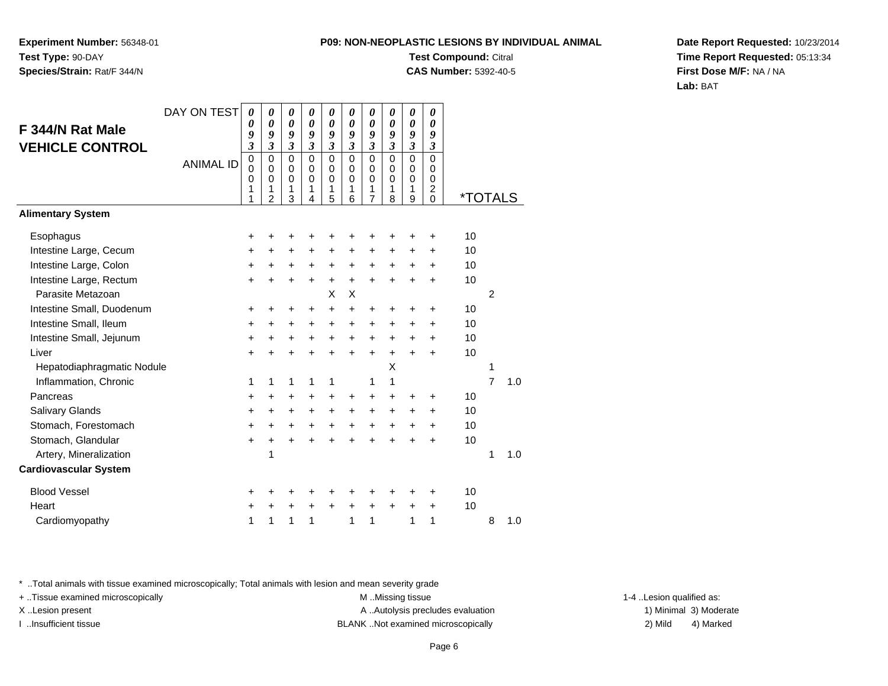**Experiment Number:** 56348-01**Test Type:** 90-DAY**Species/Strain:** Rat/F 344/N

# **Test Compound:** Citral

**CAS Number:** 5392-40-5

**Date Report Requested:** 10/23/2014**Time Report Requested:** 05:13:34**First Dose M/F:** NA / NA**Lab:** BAT

|                              | DAY ON TEST      | 0                                    | 0                                                             | 0                                         | 0                                                | 0                                         | 0                                             | 0                                                             | 0                                                | 0                                                | 0                                                                    |         |                |     |
|------------------------------|------------------|--------------------------------------|---------------------------------------------------------------|-------------------------------------------|--------------------------------------------------|-------------------------------------------|-----------------------------------------------|---------------------------------------------------------------|--------------------------------------------------|--------------------------------------------------|----------------------------------------------------------------------|---------|----------------|-----|
| F 344/N Rat Male             |                  | 0<br>9                               | 0<br>9                                                        | $\boldsymbol{\theta}$<br>9                | $\boldsymbol{\theta}$<br>9                       | 0<br>9                                    | $\boldsymbol{\theta}$<br>9                    | 0<br>9                                                        | $\boldsymbol{\theta}$<br>$\boldsymbol{g}$        | 0<br>$\boldsymbol{g}$                            | 0<br>9                                                               |         |                |     |
| <b>VEHICLE CONTROL</b>       |                  | 3                                    | 3                                                             | $\overline{\mathbf{3}}$                   | $\overline{\mathbf{3}}$                          | $\overline{\mathbf{3}}$                   | 3                                             | $\mathfrak{z}$                                                | $\mathfrak{z}$                                   | $\mathfrak{z}$                                   | $\mathfrak{z}$                                                       |         |                |     |
|                              | <b>ANIMAL ID</b> | $\pmb{0}$<br>$\Omega$<br>0<br>1<br>1 | $\mathbf 0$<br>$\Omega$<br>$\mathbf 0$<br>1<br>$\overline{2}$ | $\mathbf 0$<br>0<br>$\mathbf 0$<br>1<br>3 | $\mathbf 0$<br>$\Omega$<br>$\mathbf 0$<br>1<br>4 | $\mathbf 0$<br>0<br>$\mathbf 0$<br>1<br>5 | $\mathbf 0$<br>$\Omega$<br>$\Omega$<br>1<br>6 | $\mathbf 0$<br>$\Omega$<br>$\mathbf 0$<br>1<br>$\overline{7}$ | $\mathbf 0$<br>$\Omega$<br>$\mathbf 0$<br>1<br>8 | $\mathbf 0$<br>$\Omega$<br>$\mathbf 0$<br>1<br>9 | $\mathbf 0$<br>$\Omega$<br>$\mathbf 0$<br>$\overline{c}$<br>$\Omega$ | *TOTALS |                |     |
| <b>Alimentary System</b>     |                  |                                      |                                                               |                                           |                                                  |                                           |                                               |                                                               |                                                  |                                                  |                                                                      |         |                |     |
| Esophagus                    |                  | +                                    | +                                                             | +                                         | +                                                | +                                         |                                               |                                                               | +                                                | +                                                | +                                                                    | 10      |                |     |
| Intestine Large, Cecum       |                  | $\ddot{}$                            | +                                                             | $\ddot{}$                                 | $\ddot{}$                                        | +                                         | +                                             | +                                                             | $\ddot{}$                                        | $\ddot{}$                                        | $\ddot{}$                                                            | 10      |                |     |
| Intestine Large, Colon       |                  | +                                    | $\ddot{}$                                                     | $\ddot{}$                                 | $\ddot{}$                                        | $\ddot{}$                                 | $\ddot{}$                                     | $\ddot{}$                                                     | $\ddot{}$                                        | $\ddot{}$                                        | $\ddot{}$                                                            | 10      |                |     |
| Intestine Large, Rectum      |                  | $\ddot{}$                            | $\ddot{}$                                                     | $\ddot{}$                                 | $\ddot{}$                                        | $\ddot{}$                                 | $\ddot{}$                                     | $\ddot{}$                                                     | $\ddot{}$                                        | $\ddot{}$                                        | $\ddot{}$                                                            | 10      |                |     |
| Parasite Metazoan            |                  |                                      |                                                               |                                           |                                                  | X                                         | X                                             |                                                               |                                                  |                                                  |                                                                      |         | $\overline{2}$ |     |
| Intestine Small, Duodenum    |                  | +                                    | +                                                             | +                                         | +                                                | $\ddot{}$                                 | $\ddot{}$                                     | $\ddot{}$                                                     | +                                                | +                                                | +                                                                    | 10      |                |     |
| Intestine Small, Ileum       |                  | +                                    | +                                                             | $\pm$                                     | $\ddot{}$                                        | +                                         | $\ddot{}$                                     | +                                                             | +                                                | +                                                | $\ddot{}$                                                            | 10      |                |     |
| Intestine Small, Jejunum     |                  | +                                    | $\ddot{}$                                                     | +                                         | +                                                | +                                         | $\ddot{}$                                     | $\ddot{}$                                                     | $\ddot{}$                                        | +                                                | $\ddot{}$                                                            | 10      |                |     |
| Liver                        |                  | $\ddot{}$                            | $\ddot{}$                                                     | $\ddot{}$                                 | $\ddot{}$                                        | $\ddot{}$                                 | $\ddot{}$                                     | $\ddot{}$                                                     | ÷                                                | ÷                                                | ÷                                                                    | 10      |                |     |
| Hepatodiaphragmatic Nodule   |                  |                                      |                                                               |                                           |                                                  |                                           |                                               |                                                               | Χ                                                |                                                  |                                                                      |         | 1              |     |
| Inflammation, Chronic        |                  | 1                                    | 1                                                             | 1                                         | 1                                                | 1                                         |                                               | 1                                                             | 1                                                |                                                  |                                                                      |         | $\overline{7}$ | 1.0 |
| Pancreas                     |                  | +                                    | +                                                             | +                                         | +                                                | +                                         | +                                             | $\ddot{}$                                                     | +                                                | +                                                | +                                                                    | 10      |                |     |
| Salivary Glands              |                  | $\ddot{}$                            | $\ddot{}$                                                     | $\ddot{}$                                 | $\ddot{}$                                        | $\ddot{}$                                 | $\ddot{}$                                     | $\ddot{}$                                                     | $\ddot{}$                                        | $\ddot{}$                                        | $\ddot{}$                                                            | 10      |                |     |
| Stomach, Forestomach         |                  | $\ddot{}$                            | $\ddot{}$                                                     | $\ddot{}$                                 | $\ddot{}$                                        | +                                         | $\ddot{}$                                     | $\ddot{}$                                                     | $\ddot{}$                                        | $\ddot{}$                                        | $\ddot{}$                                                            | 10      |                |     |
| Stomach, Glandular           |                  | $\ddot{}$                            | $\ddot{}$                                                     | $\ddot{}$                                 | $\ddot{}$                                        | $\ddot{}$                                 | $\ddot{}$                                     | $\ddot{}$                                                     | $\ddot{}$                                        | $\ddot{}$                                        | $\ddot{}$                                                            | 10      |                |     |
| Artery, Mineralization       |                  |                                      | 1                                                             |                                           |                                                  |                                           |                                               |                                                               |                                                  |                                                  |                                                                      |         | 1              | 1.0 |
| <b>Cardiovascular System</b> |                  |                                      |                                                               |                                           |                                                  |                                           |                                               |                                                               |                                                  |                                                  |                                                                      |         |                |     |
| <b>Blood Vessel</b>          |                  | +                                    | +                                                             | +                                         | +                                                | +                                         |                                               | +                                                             | +                                                | +                                                | $\ddot{}$                                                            | 10      |                |     |
| Heart                        |                  | $\ddot{}$                            | +                                                             | $\ddot{}$                                 | +                                                | $\ddot{}$                                 | $\ddot{}$                                     | $\ddot{}$                                                     | $\ddot{}$                                        | $\ddot{}$                                        | $\ddot{}$                                                            | 10      |                |     |
| Cardiomyopathy               |                  | 1                                    | 1                                                             | 1                                         | 1                                                |                                           | 1                                             | 1                                                             |                                                  | 1                                                | 1                                                                    |         | 8              | 1.0 |

\* ..Total animals with tissue examined microscopically; Total animals with lesion and mean severity grade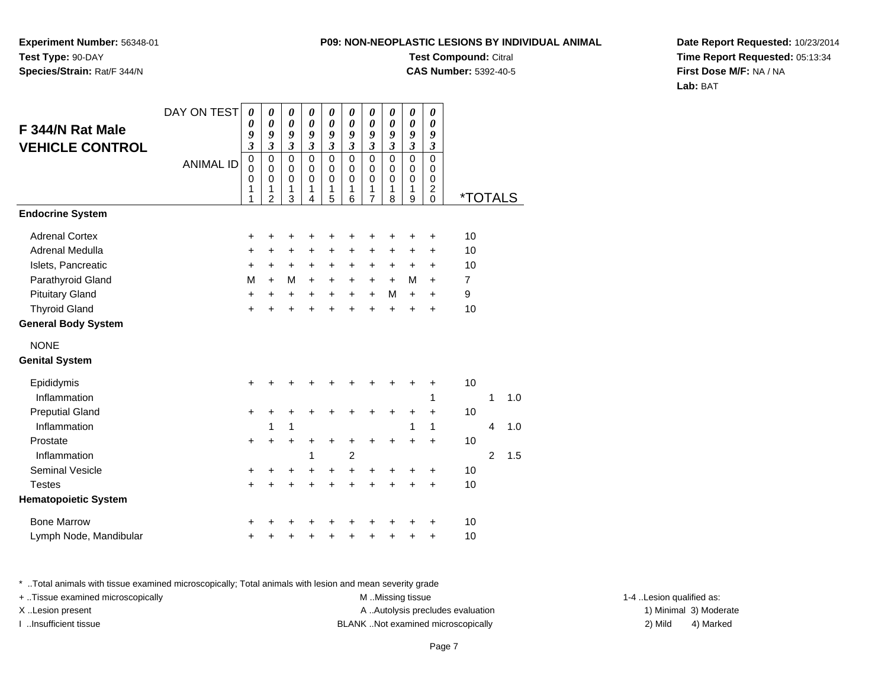**Experiment Number:** 56348-01**Test Type:** 90-DAY**Species/Strain:** Rat/F 344/N

**Test Compound:** Citral

**CAS Number:** 5392-40-5

**Date Report Requested:** 10/23/2014**Time Report Requested:** 05:13:34**First Dose M/F:** NA / NA**Lab:** BAT

|                             | DAY ON TEST      | 0                       | 0                          | 0                          | 0                          | $\pmb{\theta}$   | 0                          | 0                           | 0                          | 0                        | $\boldsymbol{\theta}$      |                       |                |     |
|-----------------------------|------------------|-------------------------|----------------------------|----------------------------|----------------------------|------------------|----------------------------|-----------------------------|----------------------------|--------------------------|----------------------------|-----------------------|----------------|-----|
| F 344/N Rat Male            |                  | 0<br>9                  | 0<br>9                     | $\boldsymbol{\theta}$<br>9 | $\boldsymbol{\theta}$<br>9 | 0<br>9           | $\boldsymbol{\theta}$<br>9 | $\boldsymbol{\theta}$<br>9  | $\boldsymbol{\theta}$<br>9 | 0<br>9                   | 0<br>9                     |                       |                |     |
| <b>VEHICLE CONTROL</b>      |                  | $\overline{\mathbf{3}}$ | $\mathfrak{z}$             | $\mathfrak{z}$             | $\mathfrak{z}$             | $\mathfrak{z}$   | $\mathfrak{z}$             | $\boldsymbol{\mathfrak{z}}$ | $\overline{\mathbf{3}}$    | $\mathfrak{z}$           | $\mathfrak{z}$             |                       |                |     |
|                             | <b>ANIMAL ID</b> | $\pmb{0}$               | $\mathbf 0$                | $\pmb{0}$                  | $\pmb{0}$                  | $\mathbf 0$      | 0                          | $\pmb{0}$                   | $\pmb{0}$                  | $\overline{0}$           | $\mathbf 0$                |                       |                |     |
|                             |                  | $\mathbf 0$<br>0        | $\mathbf 0$<br>$\mathbf 0$ | $\mathbf 0$<br>$\mathbf 0$ | $\mathbf 0$<br>$\mathbf 0$ | $\mathbf 0$<br>0 | $\mathbf 0$<br>$\Omega$    | $\pmb{0}$<br>$\mathbf 0$    | $\mathbf 0$<br>$\mathbf 0$ | $\pmb{0}$<br>$\mathbf 0$ | $\mathbf 0$<br>$\mathbf 0$ |                       |                |     |
|                             |                  | 1                       | 1                          | 1                          | 1                          | 1                | 1                          | 1                           | 1                          | 1                        | $\overline{c}$             |                       |                |     |
|                             |                  | 1                       | $\overline{2}$             | 3                          | 4                          | 5                | 6                          | $\overline{7}$              | 8                          | 9                        | $\Omega$                   | <i><b>*TOTALS</b></i> |                |     |
| <b>Endocrine System</b>     |                  |                         |                            |                            |                            |                  |                            |                             |                            |                          |                            |                       |                |     |
| <b>Adrenal Cortex</b>       |                  | +                       | +                          | +                          | +                          | +                | +                          | +                           |                            | ٠                        | +                          | 10                    |                |     |
| Adrenal Medulla             |                  | +                       | +                          | +                          | +                          | $\ddot{}$        | $\ddot{}$                  | $\ddot{}$                   | $\ddot{}$                  | $\ddot{}$                | $\ddot{}$                  | 10                    |                |     |
| Islets, Pancreatic          |                  | $\ddot{}$               | $\ddot{}$                  | +                          | $\ddot{}$                  | $\ddot{}$        | $\ddot{}$                  | +                           | $\ddot{}$                  | $\ddot{}$                | $\ddot{}$                  | 10                    |                |     |
| Parathyroid Gland           |                  | M                       | $+$                        | M                          | $+$                        | $\ddot{}$        | $+$                        | $+$                         | $+$                        | M                        | $+$                        | $\overline{7}$        |                |     |
| <b>Pituitary Gland</b>      |                  | $\ddot{}$               | $\ddot{}$                  | $\ddot{}$                  | $\ddot{}$                  | $\ddot{}$        | $\ddot{}$                  | $\ddot{}$                   | M                          | $+$                      | $\ddot{}$                  | 9                     |                |     |
| <b>Thyroid Gland</b>        |                  | $\ddot{}$               | $\ddot{}$                  | $\ddot{}$                  | $\ddot{}$                  | $\ddot{}$        | ÷                          | $\ddot{}$                   | $\ddot{}$                  | $\ddot{}$                | $\ddot{}$                  | 10                    |                |     |
| <b>General Body System</b>  |                  |                         |                            |                            |                            |                  |                            |                             |                            |                          |                            |                       |                |     |
| <b>NONE</b>                 |                  |                         |                            |                            |                            |                  |                            |                             |                            |                          |                            |                       |                |     |
| <b>Genital System</b>       |                  |                         |                            |                            |                            |                  |                            |                             |                            |                          |                            |                       |                |     |
| Epididymis                  |                  | +                       |                            | +                          |                            |                  |                            |                             |                            |                          | +                          | 10                    |                |     |
| Inflammation                |                  |                         |                            |                            |                            |                  |                            |                             |                            |                          | 1                          |                       | $\mathbf{1}$   | 1.0 |
| <b>Preputial Gland</b>      |                  | $\ddot{}$               | +                          | +                          |                            | +                |                            |                             | ÷                          | +                        | $\ddot{}$                  | 10                    |                |     |
| Inflammation                |                  |                         | 1                          | $\mathbf{1}$               |                            |                  |                            |                             |                            | 1                        | 1                          |                       | 4              | 1.0 |
| Prostate                    |                  | $\ddot{}$               | $\ddot{}$                  | $\ddot{}$                  | +                          | +                | +                          | +                           | $\ddot{}$                  | $\ddot{}$                | $\ddot{}$                  | 10                    |                |     |
| Inflammation                |                  |                         |                            |                            | 1                          |                  | $\overline{2}$             |                             |                            |                          |                            |                       | $\overline{2}$ | 1.5 |
| Seminal Vesicle             |                  | +                       | +                          | +                          | +                          | $\ddot{}$        | +                          | +                           | +                          | +                        | +                          | 10                    |                |     |
| <b>Testes</b>               |                  | $+$                     | $\ddot{}$                  | +                          | $\ddot{}$                  | $\ddot{}$        | $\ddot{}$                  | +                           | $\ddot{}$                  | $\ddot{}$                | +                          | 10                    |                |     |
| <b>Hematopoietic System</b> |                  |                         |                            |                            |                            |                  |                            |                             |                            |                          |                            |                       |                |     |
| <b>Bone Marrow</b>          |                  | +                       |                            |                            |                            |                  |                            |                             |                            |                          | ٠                          | 10                    |                |     |
| Lymph Node, Mandibular      |                  | $\ddot{}$               | +                          | +                          | +                          | +                | +                          | +                           | +                          | ٠                        | $\ddot{}$                  | 10                    |                |     |

\* ..Total animals with tissue examined microscopically; Total animals with lesion and mean severity grade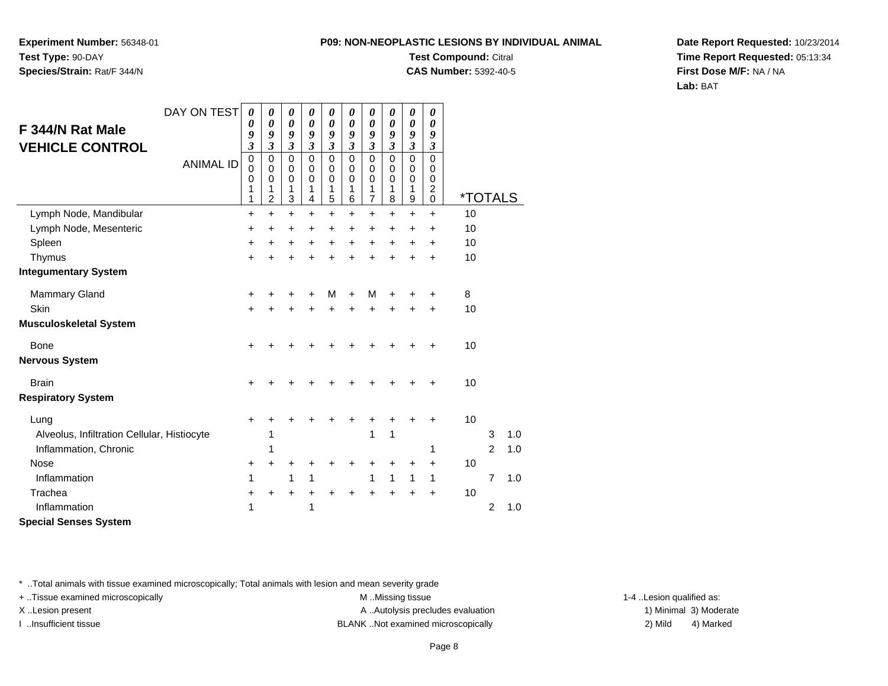**Experiment Number:** 56348-01**Test Type:** 90-DAY**Species/Strain:** Rat/F 344/N

### **Test Compound:** Citral

**CAS Number:** 5392-40-5

**Date Report Requested:** 10/23/2014**Time Report Requested:** 05:13:34**First Dose M/F:** NA / NA**Lab:** BAT

|                                             | DAY ON TEST      | 0                            | 0                                 | 0                                    | 0                                 | 0                                    | 0                                        | 0                          | 0                                        | 0                                    | 0                                                        |                       |                |     |
|---------------------------------------------|------------------|------------------------------|-----------------------------------|--------------------------------------|-----------------------------------|--------------------------------------|------------------------------------------|----------------------------|------------------------------------------|--------------------------------------|----------------------------------------------------------|-----------------------|----------------|-----|
| F 344/N Rat Male                            |                  | 0                            | 0                                 | $\boldsymbol{\theta}$                | $\boldsymbol{\theta}$             | $\boldsymbol{\theta}$                | $\boldsymbol{\theta}$                    | $\boldsymbol{\theta}$      | $\boldsymbol{\theta}$                    | $\boldsymbol{\theta}$                | 0                                                        |                       |                |     |
| <b>VEHICLE CONTROL</b>                      |                  | 9<br>$\overline{\mathbf{3}}$ | 9<br>$\mathfrak{z}$               | 9<br>$\mathfrak{z}$                  | 9<br>$\mathfrak{z}$               | 9<br>3                               | 9<br>3                                   | 9<br>3                     | 9<br>3                                   | 9<br>$\mathfrak{z}$                  | 9<br>$\boldsymbol{\beta}$                                |                       |                |     |
|                                             | <b>ANIMAL ID</b> | $\mathbf 0$<br>0<br>0<br>1   | $\mathbf 0$<br>$\Omega$<br>0<br>1 | $\mathbf 0$<br>0<br>$\mathbf 0$<br>1 | $\mathbf 0$<br>0<br>$\Omega$<br>1 | $\mathbf 0$<br>0<br>$\mathbf 0$<br>1 | $\mathbf 0$<br>$\Omega$<br>$\Omega$<br>1 | 0<br>0<br>$\mathbf 0$<br>1 | $\mathbf 0$<br>$\Omega$<br>$\Omega$<br>1 | $\mathbf 0$<br>0<br>$\mathbf 0$<br>1 | $\mathbf 0$<br>$\Omega$<br>$\mathbf 0$<br>$\overline{c}$ |                       |                |     |
|                                             |                  | 1                            | $\overline{c}$                    | 3                                    | $\overline{4}$                    | 5                                    | 6                                        | $\overline{7}$             | 8                                        | $\boldsymbol{9}$                     | $\mathbf 0$                                              | <i><b>*TOTALS</b></i> |                |     |
| Lymph Node, Mandibular                      |                  | +                            | $\ddot{}$                         | $\ddot{}$                            | $\ddot{}$                         | $+$                                  | $\ddot{}$                                | $\ddot{}$                  | $\ddot{}$                                | $\ddot{}$                            | $\ddot{}$                                                | 10                    |                |     |
| Lymph Node, Mesenteric                      |                  | $\ddot{}$                    | $\ddot{}$                         | $\ddot{}$                            | $\ddot{}$                         | $\ddot{}$                            | +                                        | $\ddot{}$                  | $\ddot{}$                                | $\ddot{}$                            | $\ddot{}$                                                | 10                    |                |     |
| Spleen                                      |                  | $\ddot{}$                    | +                                 | +                                    | +                                 | $\ddot{}$                            | +                                        | $\ddot{}$                  | $\ddot{}$                                | $\ddot{}$                            | $\ddot{}$                                                | 10                    |                |     |
| Thymus<br><b>Integumentary System</b>       |                  | +                            | +                                 | +                                    |                                   | +                                    |                                          | +                          | +                                        | +                                    | $\ddot{}$                                                | 10                    |                |     |
| Mammary Gland                               |                  | +                            | +                                 | +                                    | +                                 | М                                    | +                                        | M                          | +                                        |                                      | +                                                        | 8                     |                |     |
| Skin                                        |                  | $\ddot{}$                    | +                                 | $\ddot{}$                            | +                                 | +                                    | +                                        | +                          | +                                        |                                      | $\ddot{}$                                                | 10                    |                |     |
| <b>Musculoskeletal System</b>               |                  |                              |                                   |                                      |                                   |                                      |                                          |                            |                                          |                                      |                                                          |                       |                |     |
| Bone                                        |                  | $\ddot{}$                    |                                   | +                                    |                                   |                                      |                                          |                            |                                          |                                      |                                                          | 10                    |                |     |
| <b>Nervous System</b>                       |                  |                              |                                   |                                      |                                   |                                      |                                          |                            |                                          |                                      |                                                          |                       |                |     |
| <b>Brain</b>                                |                  | +                            |                                   | ٠                                    |                                   |                                      |                                          |                            |                                          |                                      |                                                          | 10                    |                |     |
| <b>Respiratory System</b>                   |                  |                              |                                   |                                      |                                   |                                      |                                          |                            |                                          |                                      |                                                          |                       |                |     |
| Lung                                        |                  | +                            |                                   |                                      |                                   |                                      |                                          |                            |                                          |                                      |                                                          | 10                    |                |     |
| Alveolus, Infiltration Cellular, Histiocyte |                  |                              | 1                                 |                                      |                                   |                                      |                                          | 1                          | 1                                        |                                      |                                                          |                       | 3              | 1.0 |
| Inflammation, Chronic                       |                  |                              | 1                                 |                                      |                                   |                                      |                                          |                            |                                          |                                      | 1                                                        |                       | $\mathfrak{p}$ | 1.0 |
| Nose                                        |                  | +                            | +                                 | +                                    |                                   | +                                    | +                                        |                            |                                          |                                      | $\ddot{}$                                                | 10                    |                |     |
| Inflammation                                |                  | 1                            |                                   | 1                                    | 1                                 |                                      |                                          | 1                          | 1                                        | 1                                    | 1                                                        |                       | $\overline{7}$ | 1.0 |
| Trachea                                     |                  | +                            | +                                 | +                                    | +                                 | +                                    |                                          |                            |                                          | +                                    | $\ddot{}$                                                | 10                    |                |     |
| Inflammation                                |                  | 1                            |                                   |                                      | 1                                 |                                      |                                          |                            |                                          |                                      |                                                          |                       | $\overline{2}$ | 1.0 |
| <b>Special Senses System</b>                |                  |                              |                                   |                                      |                                   |                                      |                                          |                            |                                          |                                      |                                                          |                       |                |     |

\* ..Total animals with tissue examined microscopically; Total animals with lesion and mean severity grade

+ ..Tissue examined microscopically examined microscopically examined as:  $M$  ..Missing tissue 1-4 ..Lesion qualified as:

X..Lesion present **A ..Autolysis precludes evaluation** A ..Autolysis precludes evaluation 1) Minimal 3) Moderate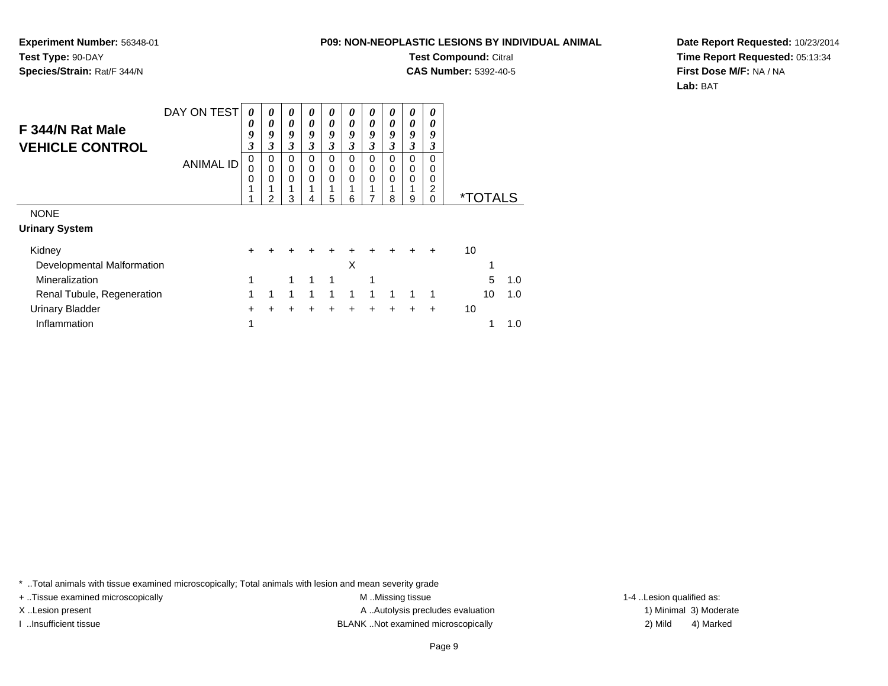**Experiment Number:** 56348-01**Test Type:** 90-DAY**Species/Strain:** Rat/F 344/N

**Test Compound:** Citral

**CAS Number:** 5392-40-5

**Date Report Requested:** 10/23/2014**Time Report Requested:** 05:13:34**First Dose M/F:** NA / NA**Lab:** BAT

| F 344/N Rat Male<br><b>VEHICLE CONTROL</b> | DAY ON TEST<br><b>ANIMAL ID</b> | 0<br>0<br>9<br>3<br>0<br>0<br>0 | 0<br>0<br>9<br>3<br>0<br>0<br>0 | 0<br>0<br>9<br>3<br>0<br>0<br>0 | 0<br>0<br>9<br>3<br>0<br>0<br>0 | 0<br>0<br>9<br>3<br>0<br>0<br>0 | 0<br>0<br>9<br>3<br>0<br>0<br>0 | 0<br>0<br>9<br>3<br>0<br>0<br>0 | 0<br>0<br>9<br>3<br>0<br>0<br>0 | 0<br>0<br>9<br>3<br>0<br>0<br>0 | 0<br>0<br>9<br>3<br>0<br>0<br>0 |    |                       |     |
|--------------------------------------------|---------------------------------|---------------------------------|---------------------------------|---------------------------------|---------------------------------|---------------------------------|---------------------------------|---------------------------------|---------------------------------|---------------------------------|---------------------------------|----|-----------------------|-----|
|                                            |                                 |                                 | 2                               | 3                               |                                 | 5                               | 6                               | 7                               | 8                               | 1<br>9                          | 2<br>$\Omega$                   |    | <i><b>*TOTALS</b></i> |     |
| <b>NONE</b>                                |                                 |                                 |                                 |                                 |                                 |                                 |                                 |                                 |                                 |                                 |                                 |    |                       |     |
| <b>Urinary System</b>                      |                                 |                                 |                                 |                                 |                                 |                                 |                                 |                                 |                                 |                                 |                                 |    |                       |     |
| Kidney                                     |                                 | +                               |                                 |                                 |                                 |                                 |                                 |                                 |                                 |                                 |                                 | 10 |                       |     |
| Developmental Malformation                 |                                 |                                 |                                 |                                 |                                 |                                 | X                               |                                 |                                 |                                 |                                 |    |                       |     |
| Mineralization                             |                                 | 1                               |                                 |                                 |                                 |                                 |                                 | 1                               |                                 |                                 |                                 |    | 5                     | 1.0 |
| Renal Tubule, Regeneration                 |                                 | 1                               | -1                              | 1                               | 1                               | 1                               | 1                               | 1                               | 1                               |                                 | 1                               |    | 10                    | 1.0 |
| <b>Urinary Bladder</b>                     |                                 | +                               |                                 | +                               | +                               | +                               |                                 |                                 |                                 |                                 | $\div$                          | 10 |                       |     |
| Inflammation                               |                                 | 1                               |                                 |                                 |                                 |                                 |                                 |                                 |                                 |                                 |                                 |    |                       | 1.0 |

\* ..Total animals with tissue examined microscopically; Total animals with lesion and mean severity grade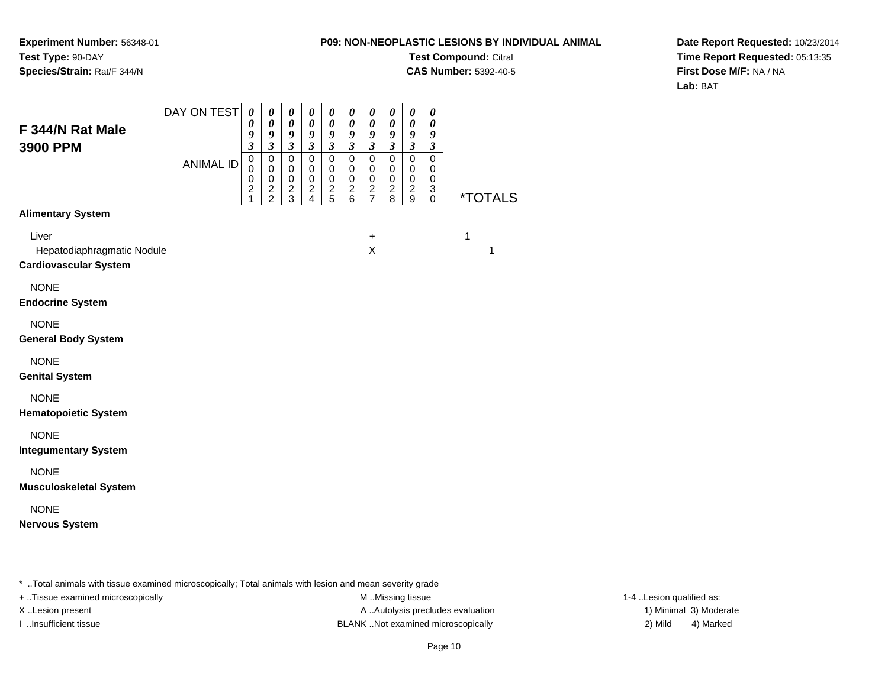**Experiment Number:** 56348-01**Test Type:** 90-DAY**Species/Strain:** Rat/F 344/N

**Test Compound:** Citral

**CAS Number:** 5392-40-5

**Date Report Requested:** 10/23/2014**Time Report Requested:** 05:13:35**First Dose M/F:** NA / NA**Lab:** BAT

| F 344/N Rat Male                                                    | DAY ON TEST      | 0<br>0<br>9                                                    | $\boldsymbol{\theta}$<br>$\boldsymbol{\theta}$<br>9                      | $\boldsymbol{\theta}$<br>$\boldsymbol{\theta}$<br>9                                       | $\boldsymbol{\theta}$<br>$\pmb{\theta}$<br>9                                                       | 0<br>0<br>9                                                                          | $\boldsymbol{\theta}$<br>0<br>9                                                               | $\pmb{\theta}$<br>0<br>9                                                                | 0<br>$\boldsymbol{\theta}$<br>9                                     | $\pmb{\theta}$<br>$\boldsymbol{\theta}$<br>9                                   | 0<br>$\boldsymbol{\theta}$<br>9                                                                                |                       |  |
|---------------------------------------------------------------------|------------------|----------------------------------------------------------------|--------------------------------------------------------------------------|-------------------------------------------------------------------------------------------|----------------------------------------------------------------------------------------------------|--------------------------------------------------------------------------------------|-----------------------------------------------------------------------------------------------|-----------------------------------------------------------------------------------------|---------------------------------------------------------------------|--------------------------------------------------------------------------------|----------------------------------------------------------------------------------------------------------------|-----------------------|--|
| 3900 PPM                                                            | <b>ANIMAL ID</b> | $\mathfrak{z}$<br>$\mathbf 0$<br>0<br>0<br>$\overline{c}$<br>1 | $\mathfrak{z}$<br>$\pmb{0}$<br>$\mathbf 0$<br>$\pmb{0}$<br>$\frac{2}{2}$ | $\overline{\mathbf{3}}$<br>$\pmb{0}$<br>$\mathbf 0$<br>$\pmb{0}$<br>$\boldsymbol{2}$<br>3 | $\overline{\mathbf{3}}$<br>$\mathbf 0$<br>$\pmb{0}$<br>$\,0\,$<br>$\overline{c}$<br>$\overline{4}$ | $\mathfrak{z}$<br>$\mathbf 0$<br>$\mathbf 0$<br>$\mathbf 0$<br>$\boldsymbol{2}$<br>5 | $\boldsymbol{\mathfrak{z}}$<br>$\mathbf 0$<br>$\pmb{0}$<br>$\pmb{0}$<br>$\boldsymbol{2}$<br>6 | $\boldsymbol{\mathfrak{z}}$<br>$\mathbf 0$<br>$\mathbf 0$<br>$\pmb{0}$<br>$\frac{2}{7}$ | $\mathfrak{z}$<br>$\overline{0}$<br>0<br>$\pmb{0}$<br>$\frac{2}{8}$ | $\mathfrak{z}$<br>$\mathbf 0$<br>$\mathbf 0$<br>$\mathbf 0$<br>$\sqrt{2}$<br>9 | $\boldsymbol{\beta}$<br>$\overline{0}$<br>$\mathbf 0$<br>$\pmb{0}$<br>$\ensuremath{\mathsf{3}}$<br>$\mathbf 0$ | <i><b>*TOTALS</b></i> |  |
| <b>Alimentary System</b>                                            |                  |                                                                |                                                                          |                                                                                           |                                                                                                    |                                                                                      |                                                                                               |                                                                                         |                                                                     |                                                                                |                                                                                                                |                       |  |
| Liver<br>Hepatodiaphragmatic Nodule<br><b>Cardiovascular System</b> |                  |                                                                |                                                                          |                                                                                           |                                                                                                    |                                                                                      |                                                                                               | $\ddot{}$<br>X                                                                          |                                                                     |                                                                                |                                                                                                                | 1<br>1                |  |
| <b>NONE</b><br><b>Endocrine System</b>                              |                  |                                                                |                                                                          |                                                                                           |                                                                                                    |                                                                                      |                                                                                               |                                                                                         |                                                                     |                                                                                |                                                                                                                |                       |  |
| <b>NONE</b><br><b>General Body System</b>                           |                  |                                                                |                                                                          |                                                                                           |                                                                                                    |                                                                                      |                                                                                               |                                                                                         |                                                                     |                                                                                |                                                                                                                |                       |  |
| <b>NONE</b><br><b>Genital System</b>                                |                  |                                                                |                                                                          |                                                                                           |                                                                                                    |                                                                                      |                                                                                               |                                                                                         |                                                                     |                                                                                |                                                                                                                |                       |  |
| <b>NONE</b><br><b>Hematopoietic System</b>                          |                  |                                                                |                                                                          |                                                                                           |                                                                                                    |                                                                                      |                                                                                               |                                                                                         |                                                                     |                                                                                |                                                                                                                |                       |  |
| <b>NONE</b><br><b>Integumentary System</b>                          |                  |                                                                |                                                                          |                                                                                           |                                                                                                    |                                                                                      |                                                                                               |                                                                                         |                                                                     |                                                                                |                                                                                                                |                       |  |
| <b>NONE</b><br><b>Musculoskeletal System</b>                        |                  |                                                                |                                                                          |                                                                                           |                                                                                                    |                                                                                      |                                                                                               |                                                                                         |                                                                     |                                                                                |                                                                                                                |                       |  |
| <b>NONE</b><br><b>Nervous System</b>                                |                  |                                                                |                                                                          |                                                                                           |                                                                                                    |                                                                                      |                                                                                               |                                                                                         |                                                                     |                                                                                |                                                                                                                |                       |  |
|                                                                     |                  |                                                                |                                                                          |                                                                                           |                                                                                                    |                                                                                      |                                                                                               |                                                                                         |                                                                     |                                                                                |                                                                                                                |                       |  |

\* ..Total animals with tissue examined microscopically; Total animals with lesion and mean severity grade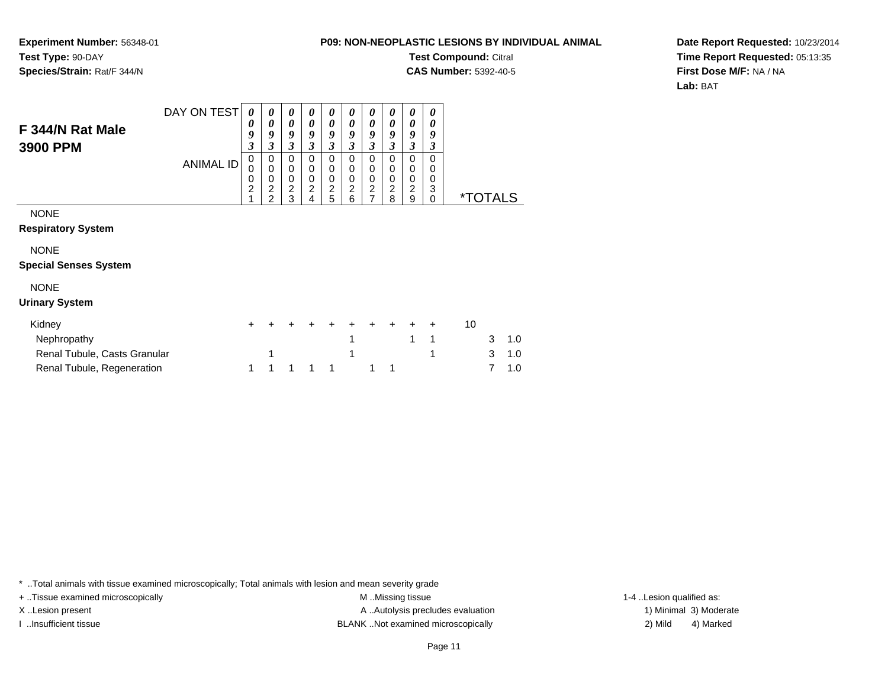**Experiment Number:** 56348-01**Test Type:** 90-DAY**Species/Strain:** Rat/F 344/N

**Test Compound:** Citral

**CAS Number:** 5392-40-5

**Date Report Requested:** 10/23/2014**Time Report Requested:** 05:13:35**First Dose M/F:** NA / NA**Lab:** BAT

| F 344/N Rat Male<br>3900 PPM                          | DAY ON TEST<br><b>ANIMAL ID</b> | 0<br>0<br>9<br>3<br>$\pmb{0}$<br>0<br>0<br>$\overline{c}$ | 0<br>0<br>9<br>3<br>0<br>0<br>0<br>$\overline{c}$ | 0<br>$\boldsymbol{\theta}$<br>9<br>$\boldsymbol{\beta}$<br>0<br>$\mathbf 0$<br>$\pmb{0}$<br>$\overline{c}$ | 0<br>0<br>9<br>$\boldsymbol{\beta}$<br>0<br>0<br>0<br>2 | 0<br>0<br>9<br>3<br>0<br>0<br>$\pmb{0}$<br>$\frac{2}{5}$ | 0<br>0<br>9<br>3<br>0<br>0<br>0<br>2 | 0<br>0<br>9<br>3<br>0<br>0<br>0<br>$\frac{2}{7}$ | 0<br>0<br>9<br>3<br>0<br>0<br>0<br>2 | 0<br>0<br>9<br>3<br>0<br>0<br>0<br>2 | 0<br>0<br>9<br>3<br>0<br>0<br>0<br>3 |                       |        |            |
|-------------------------------------------------------|---------------------------------|-----------------------------------------------------------|---------------------------------------------------|------------------------------------------------------------------------------------------------------------|---------------------------------------------------------|----------------------------------------------------------|--------------------------------------|--------------------------------------------------|--------------------------------------|--------------------------------------|--------------------------------------|-----------------------|--------|------------|
| <b>NONE</b><br><b>Respiratory System</b>              |                                 |                                                           | $\overline{2}$                                    | 3                                                                                                          | 4                                                       |                                                          | 6                                    |                                                  | 8                                    | 9                                    | 0                                    | <i><b>*TOTALS</b></i> |        |            |
| <b>NONE</b><br><b>Special Senses System</b>           |                                 |                                                           |                                                   |                                                                                                            |                                                         |                                                          |                                      |                                                  |                                      |                                      |                                      |                       |        |            |
| <b>NONE</b><br><b>Urinary System</b>                  |                                 |                                                           |                                                   |                                                                                                            |                                                         |                                                          |                                      |                                                  |                                      |                                      |                                      |                       |        |            |
| Kidney<br>Nephropathy<br>Renal Tubule, Casts Granular |                                 | $\pm$                                                     | +                                                 |                                                                                                            |                                                         |                                                          | 1                                    | +                                                | $\div$                               | $\pm$<br>1                           | $\ddot{}$<br>1<br>1                  | 10                    | 3<br>3 | 1.0<br>1.0 |
| Renal Tubule, Regeneration                            |                                 | 1                                                         | 1                                                 | 1                                                                                                          | 1                                                       | 1                                                        |                                      |                                                  |                                      |                                      |                                      |                       |        | 1.0        |

\* ..Total animals with tissue examined microscopically; Total animals with lesion and mean severity grade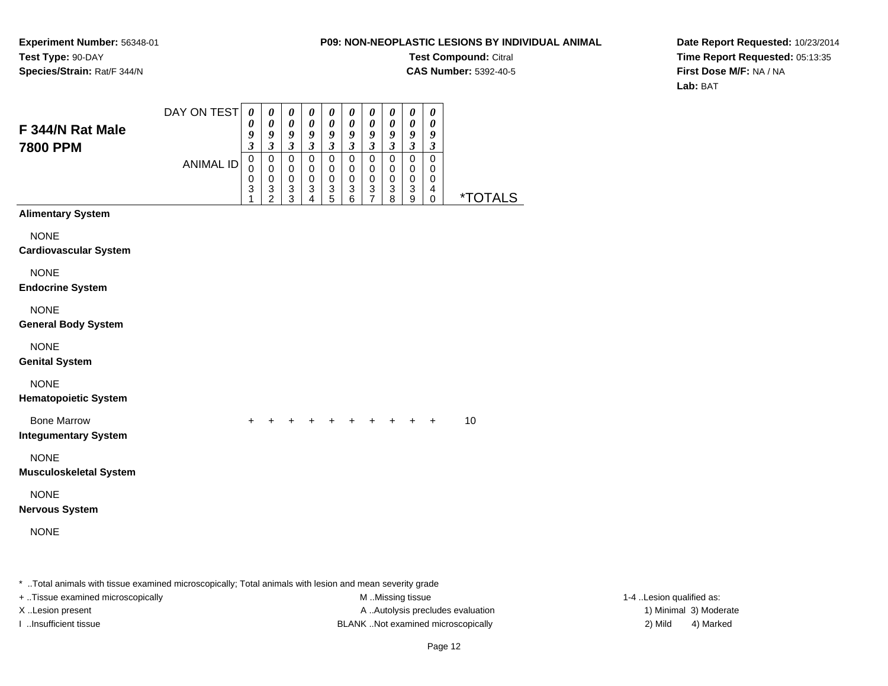**Experiment Number:** 56348-01**Test Type:** 90-DAY**Species/Strain:** Rat/F 344/N

#### **P09: NON-NEOPLASTIC LESIONS BY INDIVIDUAL ANIMAL**

**Test Compound:** Citral

**CAS Number:** 5392-40-5

**Date Report Requested:** 10/23/2014**Time Report Requested:** 05:13:35**First Dose M/F:** NA / NA**Lab:** BAT

| F 344/N Rat Male<br><b>7800 PPM</b>                                                                     | DAY ON TEST      | $\boldsymbol{\theta}$<br>0<br>$\boldsymbol{9}$<br>$\boldsymbol{\beta}$ | $\boldsymbol{\theta}$<br>$\pmb{\theta}$<br>9<br>$\boldsymbol{\beta}$ | 0<br>0<br>9<br>$\boldsymbol{\mathfrak{z}}$ | 0<br>0<br>9<br>$\mathfrak{z}$ | $\pmb{\theta}$<br>$\pmb{\theta}$<br>$\pmb{9}$<br>$\mathfrak{z}$ | 0<br>$\pmb{\theta}$<br>9<br>$\boldsymbol{\mathfrak{z}}$     | $\boldsymbol{\theta}$<br>0<br>9<br>$\boldsymbol{\beta}$              | 0<br>0<br>9<br>$\boldsymbol{\beta}$ | $\pmb{\theta}$<br>0<br>9<br>$\boldsymbol{\beta}$ | $\pmb{\theta}$<br>$\pmb{\theta}$<br>9<br>$\boldsymbol{\beta}$ |         |  |                          |
|---------------------------------------------------------------------------------------------------------|------------------|------------------------------------------------------------------------|----------------------------------------------------------------------|--------------------------------------------|-------------------------------|-----------------------------------------------------------------|-------------------------------------------------------------|----------------------------------------------------------------------|-------------------------------------|--------------------------------------------------|---------------------------------------------------------------|---------|--|--------------------------|
|                                                                                                         | <b>ANIMAL ID</b> | 0<br>0<br>$\mathbf 0$<br>3<br>1                                        | $\pmb{0}$<br>0<br>0<br>$\ensuremath{\mathsf{3}}$<br>$\overline{2}$   | 0<br>$\mathbf 0$<br>0<br>3<br>3            | 0<br>0<br>0<br>3<br>4         | $\mathbf 0$<br>0<br>$\mathbf 0$<br>3<br>5                       | $\mathbf 0$<br>0<br>0<br>$\ensuremath{\mathsf{3}}$<br>$\,6$ | $\mathbf 0$<br>0<br>0<br>$\ensuremath{\mathsf{3}}$<br>$\overline{7}$ | $\mathbf 0$<br>0<br>0<br>3<br>8     | 0<br>0<br>0<br>3<br>$\boldsymbol{9}$             | 0<br>0<br>0<br>4<br>0                                         | *TOTALS |  |                          |
| <b>Alimentary System</b>                                                                                |                  |                                                                        |                                                                      |                                            |                               |                                                                 |                                                             |                                                                      |                                     |                                                  |                                                               |         |  |                          |
| <b>NONE</b><br><b>Cardiovascular System</b>                                                             |                  |                                                                        |                                                                      |                                            |                               |                                                                 |                                                             |                                                                      |                                     |                                                  |                                                               |         |  |                          |
| <b>NONE</b><br><b>Endocrine System</b>                                                                  |                  |                                                                        |                                                                      |                                            |                               |                                                                 |                                                             |                                                                      |                                     |                                                  |                                                               |         |  |                          |
| <b>NONE</b><br><b>General Body System</b>                                                               |                  |                                                                        |                                                                      |                                            |                               |                                                                 |                                                             |                                                                      |                                     |                                                  |                                                               |         |  |                          |
| <b>NONE</b><br><b>Genital System</b>                                                                    |                  |                                                                        |                                                                      |                                            |                               |                                                                 |                                                             |                                                                      |                                     |                                                  |                                                               |         |  |                          |
| <b>NONE</b><br><b>Hematopoietic System</b>                                                              |                  |                                                                        |                                                                      |                                            |                               |                                                                 |                                                             |                                                                      |                                     |                                                  |                                                               |         |  |                          |
| <b>Bone Marrow</b><br><b>Integumentary System</b>                                                       |                  | $\pm$                                                                  |                                                                      |                                            |                               |                                                                 |                                                             |                                                                      |                                     | ÷.                                               | $\ddot{}$                                                     | 10      |  |                          |
| <b>NONE</b><br><b>Musculoskeletal System</b>                                                            |                  |                                                                        |                                                                      |                                            |                               |                                                                 |                                                             |                                                                      |                                     |                                                  |                                                               |         |  |                          |
| <b>NONE</b><br><b>Nervous System</b>                                                                    |                  |                                                                        |                                                                      |                                            |                               |                                                                 |                                                             |                                                                      |                                     |                                                  |                                                               |         |  |                          |
| <b>NONE</b>                                                                                             |                  |                                                                        |                                                                      |                                            |                               |                                                                 |                                                             |                                                                      |                                     |                                                  |                                                               |         |  |                          |
| * Total animals with tissue examined microscopically; Total animals with lesion and mean severity grade |                  |                                                                        |                                                                      |                                            |                               |                                                                 |                                                             |                                                                      |                                     |                                                  |                                                               |         |  |                          |
| + Tissue examined microscopically                                                                       |                  |                                                                        |                                                                      |                                            |                               |                                                                 |                                                             |                                                                      | M Missing tissue                    |                                                  |                                                               |         |  | 1-4 Lesion qualified as: |

X..Lesion present **A ..Autolysis precludes evaluation** A ..Autolysis precludes evaluation 1) Minimal 3) Moderate I ..Insufficient tissue BLANK ..Not examined microscopically 2) Mild 4) Marked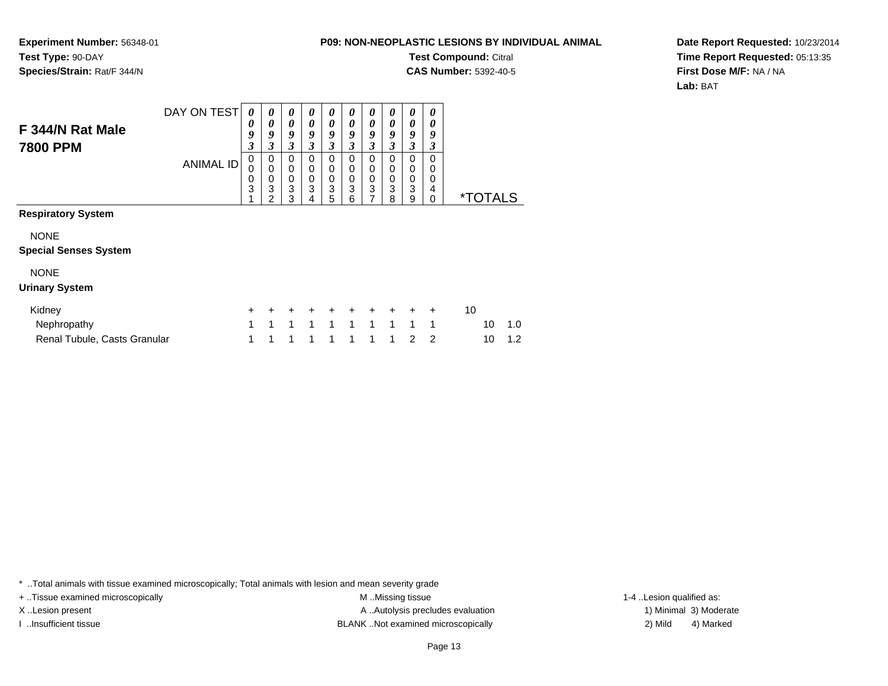**Experiment Number:** 56348-01**Test Type:** 90-DAY**Species/Strain:** Rat/F 344/N

Renal Tubule, Casts Granular

#### **P09: NON-NEOPLASTIC LESIONS BY INDIVIDUAL ANIMAL**

**Test Compound:** Citral

**CAS Number:** 5392-40-5

**Date Report Requested:** 10/23/2014**Time Report Requested:** 05:13:35**First Dose M/F:** NA / NA**Lab:** BAT

| F 344/N Rat Male             | DAY ON TEST      | 0<br>0           | 0<br>0                   | 0<br>0                   | 0<br>0           | 0<br>0                   | 0<br>0           | 0<br>0                                        | 0<br>0           | 0<br>0           | 0<br>0           |    |                       |     |
|------------------------------|------------------|------------------|--------------------------|--------------------------|------------------|--------------------------|------------------|-----------------------------------------------|------------------|------------------|------------------|----|-----------------------|-----|
| 7800 PPM                     |                  | 9<br>3           | 9<br>3                   | 9<br>3                   | 9<br>3           | 9<br>3                   | 9<br>3           | 9<br>3                                        | 9<br>3           | 9<br>3           | 9<br>3           |    |                       |     |
|                              | <b>ANIMAL ID</b> | 0<br>0<br>0<br>3 | 0<br>$\pmb{0}$<br>0<br>3 | 0<br>0<br>$\pmb{0}$<br>3 | 0<br>0<br>0<br>3 | 0<br>0<br>$\pmb{0}$<br>3 | 0<br>0<br>0<br>3 | 0<br>0<br>0<br>$\ensuremath{\mathsf{3}}$<br>7 | 0<br>0<br>0<br>3 | 0<br>0<br>0<br>3 | 0<br>0<br>0<br>4 |    | <i><b>*TOTALS</b></i> |     |
| <b>Respiratory System</b>    |                  |                  | $\overline{2}$           | 3                        | 4                | 5                        | 6                |                                               | 8                | 9                | $\Omega$         |    |                       |     |
| <b>NONE</b>                  |                  |                  |                          |                          |                  |                          |                  |                                               |                  |                  |                  |    |                       |     |
| <b>Special Senses System</b> |                  |                  |                          |                          |                  |                          |                  |                                               |                  |                  |                  |    |                       |     |
| <b>NONE</b>                  |                  |                  |                          |                          |                  |                          |                  |                                               |                  |                  |                  |    |                       |     |
| <b>Urinary System</b>        |                  |                  |                          |                          |                  |                          |                  |                                               |                  |                  |                  |    |                       |     |
| Kidney                       |                  | $\pm$            |                          |                          |                  |                          |                  | $\pm$                                         |                  |                  | $\ddot{}$        | 10 |                       |     |
| Nephropathy                  |                  | 1                | 1                        | 1                        | 1                | 1                        | 1                | 1                                             | 1                | 1                | 1                |    | 10                    | 1.0 |

\* ..Total animals with tissue examined microscopically; Total animals with lesion and mean severity grade

1 (a) 1

+ ..Tissue examined microscopically M ...Missing tissue 1-4 ... M ...Missing tissue

X..Lesion present **A ..Autolysis precludes evaluation** A ..Autolysis precludes evaluation 1) Minimal 3) Moderate I ..Insufficient tissue BLANK ..Not examined microscopically 2) Mild 4) Marked

<sup>1</sup> <sup>1</sup> <sup>1</sup> <sup>1</sup> <sup>1</sup> <sup>1</sup> <sup>1</sup> <sup>2</sup> <sup>2</sup> <sup>10</sup> 1.2

1-4 ..Lesion qualified as: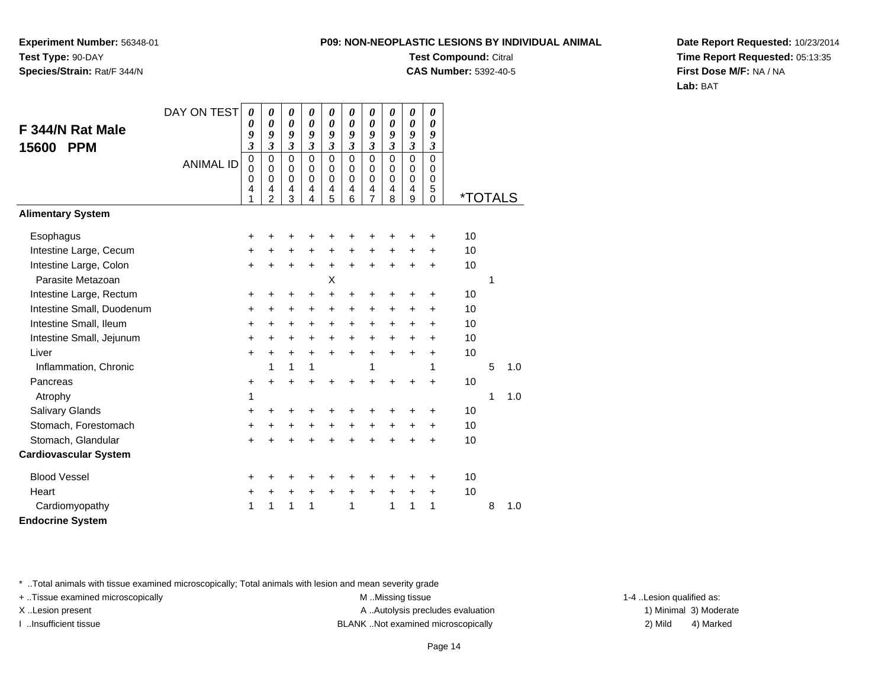**Experiment Number:** 56348-01**Test Type:** 90-DAY**Species/Strain:** Rat/F 344/N

## **Test Compound:** Citral

**CAS Number:** 5392-40-5

**Date Report Requested:** 10/23/2014**Time Report Requested:** 05:13:35**First Dose M/F:** NA / NA**Lab:** BAT

|                              | DAY ON TEST      | 0                               | $\boldsymbol{\theta}$                               | 0                                                                         | 0                                                             | 0                                         | 0                                                   | $\boldsymbol{\theta}$        | $\boldsymbol{\theta}$                                            | 0                                                                      | $\boldsymbol{\theta}$ |                       |   |     |
|------------------------------|------------------|---------------------------------|-----------------------------------------------------|---------------------------------------------------------------------------|---------------------------------------------------------------|-------------------------------------------|-----------------------------------------------------|------------------------------|------------------------------------------------------------------|------------------------------------------------------------------------|-----------------------|-----------------------|---|-----|
| F 344/N Rat Male             |                  | 0                               | $\boldsymbol{\theta}$<br>9                          | 0                                                                         | $\boldsymbol{\theta}$<br>9                                    | 0<br>9                                    | $\boldsymbol{\theta}$                               | $\boldsymbol{\theta}$<br>9   | $\boldsymbol{\theta}$                                            | 0                                                                      | 0                     |                       |   |     |
| 15600<br><b>PPM</b>          |                  | 9<br>3                          | $\mathfrak{z}$                                      | 9<br>$\overline{\mathbf{3}}$                                              | $\mathfrak{z}$                                                | $\mathfrak{z}$                            | 9<br>$\mathfrak{z}$                                 | $\mathfrak{z}$               | 9<br>$\mathfrak{z}$                                              | 9<br>$\mathfrak{z}$                                                    | 9<br>3                |                       |   |     |
|                              | <b>ANIMAL ID</b> | $\mathsf 0$<br>0<br>0<br>4<br>1 | $\mathbf 0$<br>$\mathbf 0$<br>$\mathbf 0$<br>4<br>2 | $\mathbf 0$<br>$\mathbf 0$<br>$\mathbf 0$<br>$\overline{\mathbf{4}}$<br>3 | $\mathbf 0$<br>$\mathbf 0$<br>$\Omega$<br>$\overline{4}$<br>4 | $\mathbf 0$<br>0<br>$\mathbf 0$<br>4<br>5 | $\mathbf 0$<br>$\mathbf 0$<br>$\mathbf 0$<br>4<br>6 | $\Omega$<br>0<br>0<br>4<br>7 | $\mathbf{0}$<br>$\mathbf 0$<br>0<br>$\overline{\mathbf{4}}$<br>8 | $\Omega$<br>$\mathbf 0$<br>$\mathbf 0$<br>$\overline{\mathbf{4}}$<br>9 | 0<br>0<br>0<br>5<br>0 | <i><b>*TOTALS</b></i> |   |     |
| <b>Alimentary System</b>     |                  |                                 |                                                     |                                                                           |                                                               |                                           |                                                     |                              |                                                                  |                                                                        |                       |                       |   |     |
| Esophagus                    |                  | +                               | +                                                   | +                                                                         | +                                                             | +                                         | +                                                   | +                            | +                                                                | +                                                                      | +                     | 10                    |   |     |
| Intestine Large, Cecum       |                  | $\ddot{}$                       | $\ddot{}$                                           | $\ddot{}$                                                                 | $\ddot{}$                                                     | +                                         | $\ddot{}$                                           | $\ddot{}$                    | $\ddot{}$                                                        | $\ddot{}$                                                              | $\ddot{}$             | 10                    |   |     |
| Intestine Large, Colon       |                  | $+$                             | $\ddot{}$                                           | $\pm$                                                                     | +                                                             | $\ddot{}$                                 | $\ddot{}$                                           | +                            | $\ddot{}$                                                        | $\ddot{}$                                                              | +                     | 10                    |   |     |
| Parasite Metazoan            |                  |                                 |                                                     |                                                                           |                                                               | X                                         |                                                     |                              |                                                                  |                                                                        |                       |                       | 1 |     |
| Intestine Large, Rectum      |                  | +                               | +                                                   | +                                                                         | +                                                             | +                                         | +                                                   | +                            | +                                                                | +                                                                      | +                     | 10                    |   |     |
| Intestine Small, Duodenum    |                  | +                               | +                                                   | $\ddot{}$                                                                 | $\ddot{}$                                                     | $\ddot{}$                                 | +                                                   | +                            | $\ddot{}$                                                        | +                                                                      | $\ddot{}$             | 10                    |   |     |
| Intestine Small, Ileum       |                  | $\pm$                           | +                                                   | $+$                                                                       | $\ddot{}$                                                     | $\ddot{}$                                 | $\ddot{}$                                           | $\ddot{}$                    | $\ddot{}$                                                        | $\ddot{}$                                                              | +                     | 10                    |   |     |
| Intestine Small, Jejunum     |                  | +                               | $\ddot{}$                                           | $\ddot{}$                                                                 | +                                                             | $\ddot{}$                                 | $\ddot{}$                                           | +                            | $\ddot{}$                                                        | $\ddot{}$                                                              | $\ddot{}$             | 10                    |   |     |
| Liver                        |                  | $\ddot{}$                       | $\ddot{}$                                           | $+$                                                                       | $\ddot{}$                                                     | $\ddot{}$                                 | $\ddot{}$                                           | $\ddot{}$                    | $\ddot{}$                                                        | $\ddot{}$                                                              | $\ddot{}$             | 10                    |   |     |
| Inflammation, Chronic        |                  |                                 | 1                                                   | $\mathbf{1}$                                                              | 1                                                             |                                           |                                                     | 1                            |                                                                  |                                                                        | 1                     |                       | 5 | 1.0 |
| Pancreas                     |                  | +                               | $\ddot{}$                                           | $\ddot{}$                                                                 | $\ddot{}$                                                     | $\ddot{}$                                 | $\ddot{}$                                           | $\ddot{}$                    | +                                                                | +                                                                      | $\ddot{}$             | 10                    |   |     |
| Atrophy                      |                  | 1                               |                                                     |                                                                           |                                                               |                                           |                                                     |                              |                                                                  |                                                                        |                       |                       | 1 | 1.0 |
| Salivary Glands              |                  | +                               | ٠                                                   | +                                                                         | +                                                             | $\ddot{}$                                 | +                                                   | +                            | +                                                                | ٠                                                                      | ٠                     | 10                    |   |     |
| Stomach, Forestomach         |                  | $\ddot{}$                       | $\ddot{}$                                           | $\ddot{}$                                                                 | $\ddot{}$                                                     | +                                         | +                                                   | $\ddot{}$                    | $\ddot{}$                                                        | $\ddot{}$                                                              | $\ddot{}$             | 10                    |   |     |
| Stomach, Glandular           |                  | $\ddot{}$                       | +                                                   | $\ddot{}$                                                                 | $\ddot{}$                                                     | $\ddot{}$                                 | $\ddot{}$                                           | $\ddot{}$                    | $\ddot{}$                                                        | ÷                                                                      | $\ddot{}$             | 10                    |   |     |
| <b>Cardiovascular System</b> |                  |                                 |                                                     |                                                                           |                                                               |                                           |                                                     |                              |                                                                  |                                                                        |                       |                       |   |     |
| <b>Blood Vessel</b>          |                  | $\ddot{}$                       |                                                     |                                                                           | +                                                             | +                                         | +                                                   | +                            | +                                                                |                                                                        | +                     | 10                    |   |     |
| Heart                        |                  | +                               | +                                                   | $\ddot{}$                                                                 | +                                                             | $\ddot{}$                                 | $\ddot{}$                                           | $\ddot{}$                    | $\ddot{}$                                                        | +                                                                      | +                     | 10                    |   |     |
| Cardiomyopathy               |                  | 1                               | 1                                                   | 1                                                                         | 1                                                             |                                           | 1                                                   |                              | 1                                                                | 1                                                                      | 1                     |                       | 8 | 1.0 |
| <b>Endocrine System</b>      |                  |                                 |                                                     |                                                                           |                                                               |                                           |                                                     |                              |                                                                  |                                                                        |                       |                       |   |     |

\* ..Total animals with tissue examined microscopically; Total animals with lesion and mean severity grade

+ ..Tissue examined microscopically examined microscopically examined as:  $M$  ..Missing tissue 1-4 ..Lesion qualified as: X..Lesion present **A ..Autolysis precludes evaluation** A ..Autolysis precludes evaluation 1) Minimal 3) Moderate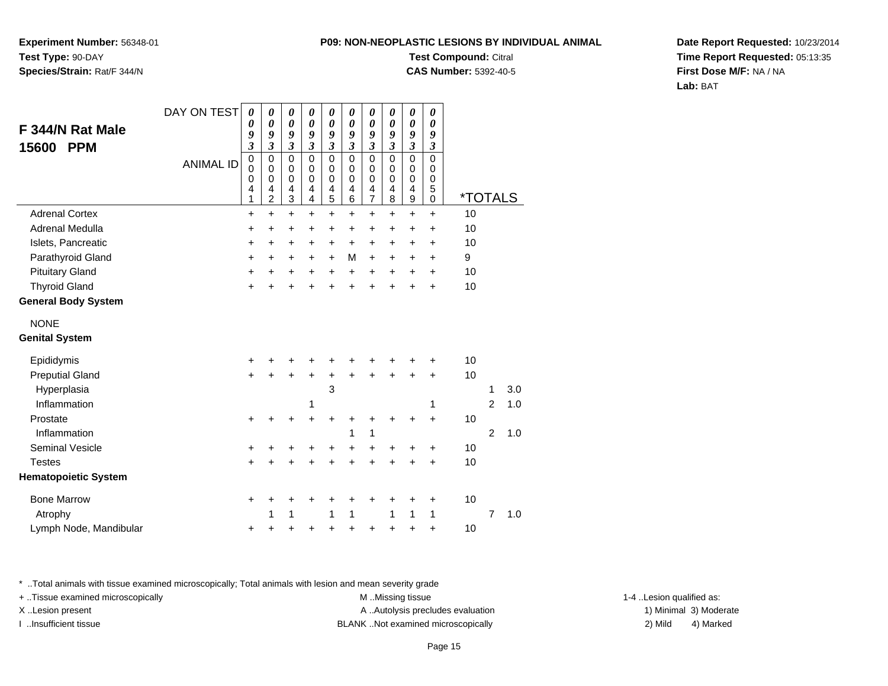**Experiment Number:** 56348-01**Test Type:** 90-DAY**Species/Strain:** Rat/F 344/N

### **Test Compound:** Citral

**CAS Number:** 5392-40-5

**Date Report Requested:** 10/23/2014**Time Report Requested:** 05:13:35**First Dose M/F:** NA / NA**Lab:** BAT

|                             | DAY ON TEST      | $\boldsymbol{\theta}$                     | 0                                            | 0                                         | 0                                                             | 0                                                              | 0                                                   | 0                            | 0                               | 0                                         | 0                               |                       |                |     |
|-----------------------------|------------------|-------------------------------------------|----------------------------------------------|-------------------------------------------|---------------------------------------------------------------|----------------------------------------------------------------|-----------------------------------------------------|------------------------------|---------------------------------|-------------------------------------------|---------------------------------|-----------------------|----------------|-----|
| F 344/N Rat Male            |                  | 0<br>9                                    | $\boldsymbol{\theta}$<br>9                   | $\pmb{\theta}$<br>9                       | $\boldsymbol{\theta}$<br>9                                    | $\boldsymbol{\theta}$<br>9                                     | $\pmb{\theta}$<br>9                                 | $\boldsymbol{\theta}$<br>9   | $\boldsymbol{\theta}$<br>9      | $\boldsymbol{\theta}$<br>9                | $\boldsymbol{\theta}$<br>9      |                       |                |     |
| <b>PPM</b><br>15600         |                  | $\overline{\mathbf{3}}$                   | $\mathfrak{z}$                               | $\mathfrak{z}$                            | $\mathfrak{z}$                                                | $\overline{\mathbf{3}}$                                        | $\overline{\mathbf{3}}$                             | $\overline{\mathbf{3}}$      | $\overline{3}$                  | $\overline{\mathbf{3}}$                   | $\mathfrak{z}$                  |                       |                |     |
|                             | <b>ANIMAL ID</b> | $\mathbf 0$<br>$\mathbf 0$<br>0<br>4<br>1 | 0<br>$\mathbf 0$<br>0<br>4<br>$\overline{2}$ | 0<br>$\mathbf 0$<br>$\mathbf 0$<br>4<br>3 | $\mathbf 0$<br>$\mathbf 0$<br>$\Omega$<br>4<br>$\overline{4}$ | $\pmb{0}$<br>$\mathbf 0$<br>$\mathbf 0$<br>4<br>$\overline{5}$ | $\mathbf 0$<br>$\mathbf 0$<br>$\mathbf 0$<br>4<br>6 | 0<br>0<br>0<br>$\frac{4}{7}$ | 0<br>0<br>$\mathbf 0$<br>4<br>8 | 0<br>$\mathbf 0$<br>$\mathbf 0$<br>4<br>9 | 0<br>0<br>$\mathbf 0$<br>5<br>0 | <i><b>*TOTALS</b></i> |                |     |
| <b>Adrenal Cortex</b>       |                  | $\ddot{}$                                 | $+$                                          | $\ddot{}$                                 | $\ddot{}$                                                     | $\ddot{}$                                                      | $+$                                                 | $+$                          | $+$                             | $\ddot{}$                                 | $\ddot{}$                       | 10                    |                |     |
| <b>Adrenal Medulla</b>      |                  | +                                         | $\ddot{}$                                    | $\ddot{}$                                 | +                                                             | $\ddot{}$                                                      | $\ddot{}$                                           | $\ddot{}$                    | $\ddot{}$                       | +                                         | +                               | 10                    |                |     |
| Islets, Pancreatic          |                  | $\ddot{}$                                 | +                                            | $\ddot{}$                                 | +                                                             | $\ddot{}$                                                      | $\ddot{}$                                           | +                            | $\ddot{}$                       | $\ddot{}$                                 | +                               | 10                    |                |     |
| Parathyroid Gland           |                  | $\ddot{}$                                 | $\ddot{}$                                    | $\ddot{}$                                 | +                                                             | $\ddot{}$                                                      | M                                                   | $\ddot{}$                    | $\ddot{}$                       | $\ddot{}$                                 | $\ddot{}$                       | 9                     |                |     |
| <b>Pituitary Gland</b>      |                  | $\ddot{}$                                 | $\ddot{}$                                    | $\ddot{}$                                 | $\ddot{}$                                                     | $\ddot{}$                                                      | $\ddot{}$                                           | $\ddot{}$                    | $\ddot{}$                       | $\ddot{}$                                 | $\ddot{}$                       | 10                    |                |     |
| <b>Thyroid Gland</b>        |                  | $\ddot{}$                                 | +                                            | $\ddot{}$                                 | ÷                                                             | $\ddot{}$                                                      | $\ddot{}$                                           | $\ddot{}$                    | ÷                               | ÷                                         | $\ddot{}$                       | 10                    |                |     |
| <b>General Body System</b>  |                  |                                           |                                              |                                           |                                                               |                                                                |                                                     |                              |                                 |                                           |                                 |                       |                |     |
| <b>NONE</b>                 |                  |                                           |                                              |                                           |                                                               |                                                                |                                                     |                              |                                 |                                           |                                 |                       |                |     |
| <b>Genital System</b>       |                  |                                           |                                              |                                           |                                                               |                                                                |                                                     |                              |                                 |                                           |                                 |                       |                |     |
| Epididymis                  |                  | +                                         |                                              |                                           |                                                               | +                                                              |                                                     |                              |                                 |                                           |                                 | 10                    |                |     |
| <b>Preputial Gland</b>      |                  | $\ddot{}$                                 | $\ddot{}$                                    | $\ddot{}$                                 | $\ddot{}$                                                     | $\ddot{}$                                                      | $\ddot{}$                                           | $\ddot{}$                    | $\ddot{}$                       | $\ddot{}$                                 | $\ddot{}$                       | 10                    |                |     |
| Hyperplasia                 |                  |                                           |                                              |                                           |                                                               | 3                                                              |                                                     |                              |                                 |                                           |                                 |                       | 1              | 3.0 |
| Inflammation                |                  |                                           |                                              |                                           | 1                                                             |                                                                |                                                     |                              |                                 |                                           | 1                               |                       | 2              | 1.0 |
| Prostate                    |                  | +                                         |                                              | +                                         | $\ddot{}$                                                     | $\ddot{}$                                                      | +                                                   | +                            |                                 | +                                         | $\ddot{}$                       | 10                    |                |     |
| Inflammation                |                  |                                           |                                              |                                           |                                                               |                                                                | 1                                                   | 1                            |                                 |                                           |                                 |                       | $\overline{2}$ | 1.0 |
| <b>Seminal Vesicle</b>      |                  | +                                         | +                                            | +                                         | +                                                             | $\ddot{}$                                                      | +                                                   | +                            | ٠                               | +                                         | +                               | 10                    |                |     |
| <b>Testes</b>               |                  | $\ddot{}$                                 |                                              | $\ddot{}$                                 | ÷                                                             | $\ddot{}$                                                      | $\ddot{}$                                           | $\ddot{}$                    | $\ddot{}$                       | +                                         | $\ddot{}$                       | 10                    |                |     |
| <b>Hematopoietic System</b> |                  |                                           |                                              |                                           |                                                               |                                                                |                                                     |                              |                                 |                                           |                                 |                       |                |     |
| <b>Bone Marrow</b>          |                  | +                                         | +                                            | +                                         | +                                                             | +                                                              | +                                                   | +                            | +                               | +                                         | +                               | 10                    |                |     |
| Atrophy                     |                  |                                           | 1                                            | 1                                         |                                                               | 1                                                              | 1                                                   |                              | 1                               | 1                                         | 1                               |                       | $\overline{7}$ | 1.0 |
| Lymph Node, Mandibular      |                  | +                                         | +                                            | +                                         | +                                                             | +                                                              | $\ddot{}$                                           | +                            | +                               | +                                         | $\ddot{}$                       | 10                    |                |     |

\* ..Total animals with tissue examined microscopically; Total animals with lesion and mean severity grade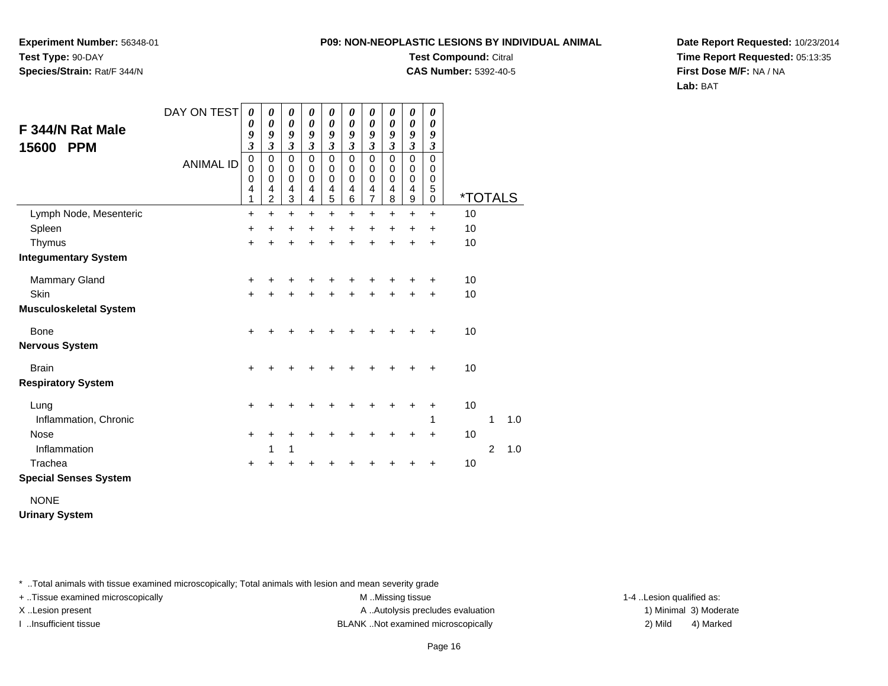**Experiment Number:** 56348-01**Test Type:** 90-DAY**Species/Strain:** Rat/F 344/N

### **Test Compound:** Citral

**CAS Number:** 5392-40-5

**Date Report Requested:** 10/23/2014**Time Report Requested:** 05:13:35**First Dose M/F:** NA / NA**Lab:** BAT

| F 344/N Rat Male<br><b>PPM</b><br>15600 | DAY ON TEST      | 0<br>0<br>9<br>$\overline{\mathbf{3}}$       | 0<br>0<br>9<br>$\mathfrak{z}$                | 0<br>$\boldsymbol{\theta}$<br>9<br>$\mathfrak{z}$              | 0<br>0<br>9<br>3      | 0<br>$\boldsymbol{\theta}$<br>9<br>$\overline{\mathbf{3}}$ | 0<br>0<br>9<br>3      | 0<br>0<br>9<br>3                             | 0<br>$\boldsymbol{\theta}$<br>9<br>3 | 0<br>0<br>9<br>$\overline{\mathbf{3}}$    | 0<br>0<br>9<br>$\boldsymbol{\beta}$       |                       |                |     |
|-----------------------------------------|------------------|----------------------------------------------|----------------------------------------------|----------------------------------------------------------------|-----------------------|------------------------------------------------------------|-----------------------|----------------------------------------------|--------------------------------------|-------------------------------------------|-------------------------------------------|-----------------------|----------------|-----|
|                                         | <b>ANIMAL ID</b> | $\mathbf 0$<br>0<br>0<br>$\overline{4}$<br>1 | $\mathbf 0$<br>0<br>0<br>4<br>$\overline{2}$ | $\pmb{0}$<br>$\mathbf 0$<br>$\mathbf 0$<br>$\overline{4}$<br>3 | 0<br>0<br>0<br>4<br>4 | 0<br>$\boldsymbol{0}$<br>$\mathsf 0$<br>4<br>5             | 0<br>0<br>0<br>4<br>6 | $\mathbf 0$<br>0<br>0<br>4<br>$\overline{7}$ | $\Omega$<br>0<br>0<br>4<br>8         | $\mathbf 0$<br>0<br>$\mathbf 0$<br>4<br>9 | $\mathbf 0$<br>0<br>0<br>5<br>$\mathbf 0$ | <i><b>*TOTALS</b></i> |                |     |
| Lymph Node, Mesenteric                  |                  | $\ddot{}$                                    | $\ddot{}$                                    | $\ddot{}$                                                      | $\ddot{}$             | $\ddot{}$                                                  | $\ddot{}$             | $\ddot{}$                                    | $\ddot{}$                            | $\ddot{}$                                 | $\ddot{}$                                 | 10                    |                |     |
| Spleen                                  |                  | $\ddot{}$                                    | +                                            | +                                                              | +                     | +                                                          | +                     | +                                            | +                                    | +                                         | +                                         | 10                    |                |     |
| Thymus                                  |                  | $\ddot{}$                                    | $\ddot{}$                                    | $\ddot{}$                                                      | +                     | $\ddot{}$                                                  | +                     | +                                            | +                                    | +                                         | $\ddot{}$                                 | 10                    |                |     |
| <b>Integumentary System</b>             |                  |                                              |                                              |                                                                |                       |                                                            |                       |                                              |                                      |                                           |                                           |                       |                |     |
| <b>Mammary Gland</b>                    |                  | +                                            | +                                            | +                                                              | +                     | +                                                          | +                     |                                              |                                      |                                           | +                                         | 10                    |                |     |
| Skin                                    |                  | $\ddot{}$                                    | +                                            | +                                                              | +                     | +                                                          | +                     | +                                            | +                                    | +                                         | $\ddot{}$                                 | 10                    |                |     |
| <b>Musculoskeletal System</b>           |                  |                                              |                                              |                                                                |                       |                                                            |                       |                                              |                                      |                                           |                                           |                       |                |     |
| <b>Bone</b>                             |                  | +                                            |                                              |                                                                |                       |                                                            |                       |                                              |                                      |                                           |                                           | 10                    |                |     |
| <b>Nervous System</b>                   |                  |                                              |                                              |                                                                |                       |                                                            |                       |                                              |                                      |                                           |                                           |                       |                |     |
| <b>Brain</b>                            |                  | +                                            | +                                            | +                                                              |                       |                                                            |                       | ٠                                            |                                      |                                           |                                           | 10                    |                |     |
| <b>Respiratory System</b>               |                  |                                              |                                              |                                                                |                       |                                                            |                       |                                              |                                      |                                           |                                           |                       |                |     |
| Lung                                    |                  | +                                            | +                                            | +                                                              |                       |                                                            |                       |                                              | +                                    | +                                         | ÷                                         | 10                    |                |     |
| Inflammation, Chronic                   |                  |                                              |                                              |                                                                |                       |                                                            |                       |                                              |                                      |                                           | 1                                         |                       | 1              | 1.0 |
| <b>Nose</b>                             |                  | $\ddot{}$                                    | +                                            | +                                                              |                       |                                                            |                       |                                              |                                      | +                                         | $\ddot{}$                                 | 10                    |                |     |
| Inflammation                            |                  |                                              | 1                                            | 1                                                              |                       |                                                            |                       |                                              |                                      |                                           |                                           |                       | $\overline{2}$ | 1.0 |
| Trachea                                 |                  | +                                            | +                                            | +                                                              |                       |                                                            |                       |                                              |                                      |                                           | +                                         | 10                    |                |     |
| <b>Special Senses System</b>            |                  |                                              |                                              |                                                                |                       |                                                            |                       |                                              |                                      |                                           |                                           |                       |                |     |
|                                         |                  |                                              |                                              |                                                                |                       |                                                            |                       |                                              |                                      |                                           |                                           |                       |                |     |

NONE

**Urinary System**

\* ..Total animals with tissue examined microscopically; Total animals with lesion and mean severity grade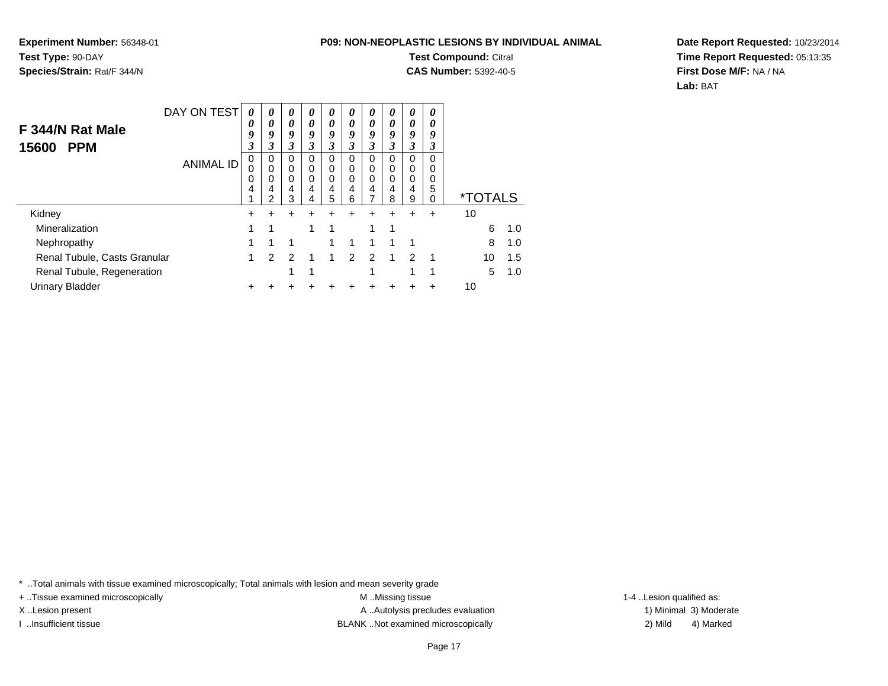**Experiment Number:** 56348-01**Test Type:** 90-DAY**Species/Strain:** Rat/F 344/N

# **Test Compound:** Citral

**CAS Number:** 5392-40-5

**Date Report Requested:** 10/23/2014**Time Report Requested:** 05:13:35**First Dose M/F:** NA / NA**Lab:** BAT

| F 344/N Rat Male<br><b>PPM</b><br>15600 | DAY ON TEST      | 0<br>0<br>9<br>3 | 0<br>0<br>9<br>3      | $\boldsymbol{\theta}$<br>0<br>9<br>3 | $\boldsymbol{\theta}$<br>0<br>9<br>3 | $\boldsymbol{\theta}$<br>0<br>9<br>3 | $\boldsymbol{\theta}$<br>0<br>9<br>3 | 0<br>0<br>9<br>3 | 0<br>0<br>9<br>3      | $\boldsymbol{\theta}$<br>0<br>9<br>3 | 0<br>0<br>9<br>3      |                       |    |     |
|-----------------------------------------|------------------|------------------|-----------------------|--------------------------------------|--------------------------------------|--------------------------------------|--------------------------------------|------------------|-----------------------|--------------------------------------|-----------------------|-----------------------|----|-----|
|                                         | <b>ANIMAL ID</b> | 0<br>0<br>0<br>4 | 0<br>0<br>0<br>4<br>2 | $\Omega$<br>0<br>0<br>4<br>3         | $\Omega$<br>$\Omega$<br>0<br>4<br>4  | 0<br>0<br>0<br>4<br>5                | 0<br>0<br>0<br>4<br>6                | 0<br>0<br>0<br>4 | 0<br>0<br>0<br>4<br>8 | 0<br>0<br>0<br>4<br>9                | 0<br>0<br>0<br>5<br>0 | <i><b>*TOTALS</b></i> |    |     |
| Kidney                                  |                  | $\pm$            | $\div$                | +                                    | +                                    | +                                    |                                      | +                |                       |                                      | +                     | 10                    |    |     |
| Mineralization                          |                  | 1                | 1                     |                                      | 4                                    | 1                                    |                                      | 1                | 1                     |                                      |                       |                       | 6  | 1.0 |
| Nephropathy                             |                  |                  |                       | 1                                    |                                      | 1                                    |                                      |                  |                       | 1                                    |                       |                       | 8  | 1.0 |
| Renal Tubule, Casts Granular            |                  | 1                | $\mathcal{P}$         | $\mathcal{P}$                        | 1                                    | 1                                    | $\mathfrak{p}$                       | $\mathcal{P}$    | 1                     | $\mathcal{P}$                        | 1                     |                       | 10 | 1.5 |
| Renal Tubule, Regeneration              |                  |                  |                       |                                      | 4                                    |                                      |                                      |                  |                       | 4                                    | 4                     |                       | 5  | 1.0 |
| <b>Urinary Bladder</b>                  |                  | +                |                       |                                      |                                      |                                      |                                      |                  |                       |                                      |                       | 10                    |    |     |

\* ..Total animals with tissue examined microscopically; Total animals with lesion and mean severity grade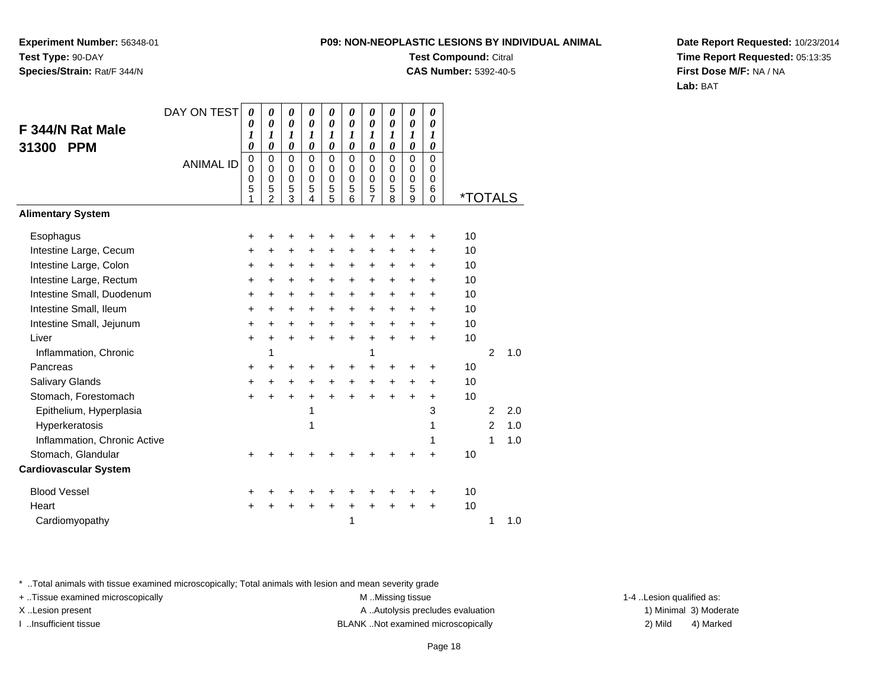**Experiment Number:** 56348-01**Test Type:** 90-DAY**Species/Strain:** Rat/F 344/N

## **Test Compound:** Citral

**CAS Number:** 5392-40-5

**Date Report Requested:** 10/23/2014**Time Report Requested:** 05:13:35**First Dose M/F:** NA / NA**Lab:** BAT

|                              | DAY ON TEST      | 0                     | 0                                                             | 0                                         | 0                                         | 0                                         | 0                                                | 0                                                      | 0                                         | 0                                             | $\boldsymbol{\theta}$                            |                       |                |     |
|------------------------------|------------------|-----------------------|---------------------------------------------------------------|-------------------------------------------|-------------------------------------------|-------------------------------------------|--------------------------------------------------|--------------------------------------------------------|-------------------------------------------|-----------------------------------------------|--------------------------------------------------|-----------------------|----------------|-----|
| F 344/N Rat Male             |                  | 0<br>1                | 0<br>$\boldsymbol{l}$                                         | $\boldsymbol{\theta}$<br>1                | 0<br>1                                    | 0<br>1                                    | $\boldsymbol{\theta}$<br>1                       | 0<br>$\boldsymbol{l}$                                  | 0<br>1                                    | $\boldsymbol{\theta}$<br>$\boldsymbol{l}$     | 0<br>$\boldsymbol{l}$                            |                       |                |     |
| <b>PPM</b><br>31300          |                  | $\theta$              | 0                                                             | $\boldsymbol{\theta}$                     | 0                                         | $\boldsymbol{\theta}$                     | 0                                                | $\boldsymbol{\theta}$                                  | 0                                         | $\boldsymbol{\theta}$                         | 0                                                |                       |                |     |
|                              | <b>ANIMAL ID</b> | 0<br>0<br>0<br>5<br>1 | $\mathbf 0$<br>$\Omega$<br>$\mathbf 0$<br>5<br>$\mathfrak{p}$ | $\mathbf 0$<br>0<br>$\mathbf 0$<br>5<br>3 | $\mathbf 0$<br>0<br>$\mathbf 0$<br>5<br>4 | $\mathbf 0$<br>0<br>$\mathbf 0$<br>5<br>5 | $\mathbf 0$<br>$\Omega$<br>$\mathbf 0$<br>5<br>6 | $\mathbf 0$<br>0<br>$\mathbf 0$<br>5<br>$\overline{7}$ | $\mathbf 0$<br>0<br>$\mathbf 0$<br>5<br>8 | $\mathbf 0$<br>$\Omega$<br>$\Omega$<br>5<br>9 | $\mathbf 0$<br>0<br>$\mathbf 0$<br>6<br>$\Omega$ | <i><b>*TOTALS</b></i> |                |     |
| <b>Alimentary System</b>     |                  |                       |                                                               |                                           |                                           |                                           |                                                  |                                                        |                                           |                                               |                                                  |                       |                |     |
| Esophagus                    |                  | +                     | +                                                             | +                                         | +                                         | +                                         |                                                  | ٠                                                      | +                                         | +                                             | $\ddot{}$                                        | 10                    |                |     |
| Intestine Large, Cecum       |                  | $\ddot{}$             | $\ddot{}$                                                     | $\ddot{}$                                 | $\ddot{}$                                 | $\ddot{}$                                 | $\ddot{}$                                        | $\ddot{}$                                              | $\ddot{}$                                 | $\ddot{}$                                     | $\ddot{}$                                        | 10                    |                |     |
| Intestine Large, Colon       |                  | +                     | +                                                             | +                                         | +                                         | +                                         | +                                                | +                                                      | +                                         | +                                             | ÷                                                | 10                    |                |     |
| Intestine Large, Rectum      |                  | $\ddot{}$             | $\ddot{}$                                                     | +                                         | $\ddot{}$                                 | +                                         | $\ddot{}$                                        | $\ddot{}$                                              | $\ddot{}$                                 | +                                             | +                                                | 10                    |                |     |
| Intestine Small, Duodenum    |                  | $\ddot{}$             | +                                                             | $\pm$                                     | $\ddot{}$                                 | $\ddot{}$                                 | $\ddot{}$                                        | $\ddot{}$                                              | $\ddot{}$                                 | $\pm$                                         | $\ddot{}$                                        | 10                    |                |     |
| Intestine Small, Ileum       |                  | +                     | $\ddot{}$                                                     | $\ddot{}$                                 | $\ddot{}$                                 | +                                         | $\ddot{}$                                        | $\ddot{}$                                              | $\ddot{}$                                 | $\pm$                                         | $\ddot{}$                                        | 10                    |                |     |
| Intestine Small, Jejunum     |                  | $\ddot{}$             | $\ddot{}$                                                     | $\ddot{}$                                 | $\ddot{}$                                 | $\ddot{}$                                 | $\ddot{}$                                        | $\ddot{}$                                              | $\ddot{}$                                 | $\ddot{}$                                     | $\ddot{}$                                        | 10                    |                |     |
| Liver                        |                  | +                     | $\ddot{}$                                                     | $\ddot{}$                                 | $\ddot{}$                                 | $\ddot{}$                                 | $\ddot{}$                                        | $\ddot{}$                                              | $\ddot{}$                                 | $\ddot{}$                                     | $\ddot{}$                                        | 10                    |                |     |
| Inflammation, Chronic        |                  |                       | 1                                                             |                                           |                                           |                                           |                                                  | 1                                                      |                                           |                                               |                                                  |                       | $\overline{2}$ | 1.0 |
| Pancreas                     |                  | +                     | +                                                             | ٠                                         | ٠                                         | +                                         | ÷                                                | ٠                                                      | +                                         | +                                             | ÷                                                | 10                    |                |     |
| Salivary Glands              |                  | $\ddot{}$             | $\ddot{}$                                                     | $\ddot{}$                                 | $\ddot{}$                                 | +                                         | $\ddot{}$                                        | $\ddot{}$                                              | $\ddot{}$                                 | +                                             | $\ddot{}$                                        | 10                    |                |     |
| Stomach, Forestomach         |                  | $\ddot{}$             | $\ddot{}$                                                     | $\ddot{}$                                 | $\ddot{}$                                 | $\ddot{}$                                 | $\ddot{}$                                        | $\ddot{}$                                              | $\ddot{}$                                 | $\ddot{}$                                     | +                                                | 10                    |                |     |
| Epithelium, Hyperplasia      |                  |                       |                                                               |                                           | 1                                         |                                           |                                                  |                                                        |                                           |                                               | 3                                                |                       | $\overline{2}$ | 2.0 |
| Hyperkeratosis               |                  |                       |                                                               |                                           | 1                                         |                                           |                                                  |                                                        |                                           |                                               | 1                                                |                       | $\mathcal{P}$  | 1.0 |
| Inflammation, Chronic Active |                  |                       |                                                               |                                           |                                           |                                           |                                                  |                                                        |                                           |                                               | 1                                                |                       | 1              | 1.0 |
| Stomach, Glandular           |                  | $\ddot{}$             |                                                               |                                           |                                           |                                           |                                                  |                                                        | 4                                         | +                                             | $\ddot{}$                                        | 10                    |                |     |
| <b>Cardiovascular System</b> |                  |                       |                                                               |                                           |                                           |                                           |                                                  |                                                        |                                           |                                               |                                                  |                       |                |     |
| <b>Blood Vessel</b>          |                  | +                     | ٠                                                             | +                                         | +                                         | +                                         |                                                  | +                                                      | +                                         | +                                             | +                                                | 10                    |                |     |
| Heart                        |                  | $\ddot{}$             | +                                                             | $\ddot{}$                                 | $\ddot{}$                                 | $\ddot{}$                                 | $\ddot{}$                                        | $\ddot{}$                                              | $\ddot{}$                                 | $\ddot{}$                                     | $\ddot{}$                                        | 10                    |                |     |
| Cardiomyopathy               |                  |                       |                                                               |                                           |                                           |                                           | 1                                                |                                                        |                                           |                                               |                                                  |                       | 1              | 1.0 |

\* ..Total animals with tissue examined microscopically; Total animals with lesion and mean severity grade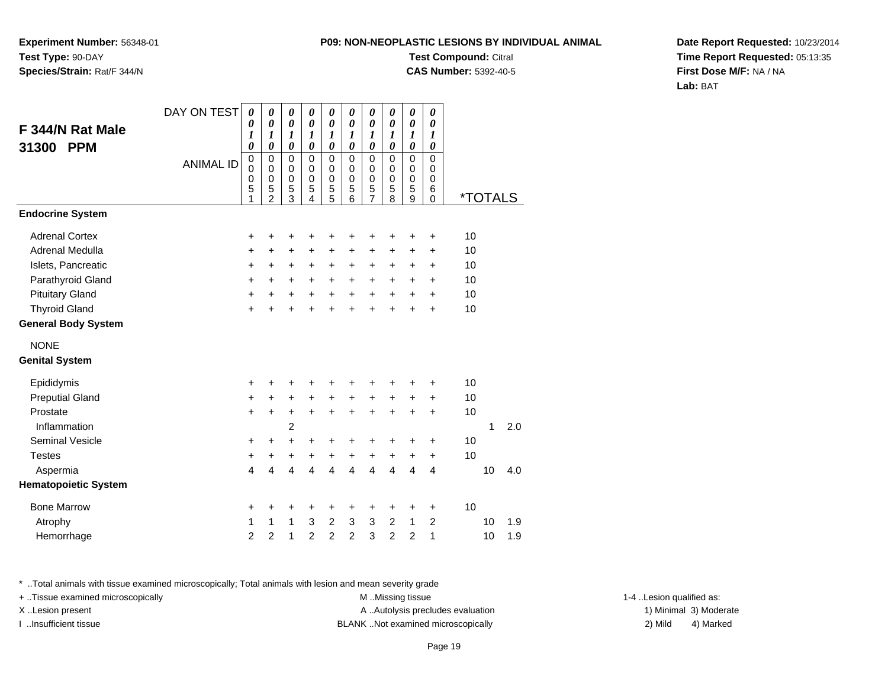**Experiment Number:** 56348-01**Test Type:** 90-DAY**Species/Strain:** Rat/F 344/N

# **Test Compound:** Citral

**CAS Number:** 5392-40-5

**Date Report Requested:** 10/23/2014**Time Report Requested:** 05:13:35**First Dose M/F:** NA / NA**Lab:** BAT

|                             | DAY ON TEST      | $\boldsymbol{\theta}$      | 0                          | $\boldsymbol{\theta}$      | 0                          | 0                          | 0                          | $\boldsymbol{\theta}$ | 0                     | 0                     | $\pmb{\theta}$   |    |                       |     |
|-----------------------------|------------------|----------------------------|----------------------------|----------------------------|----------------------------|----------------------------|----------------------------|-----------------------|-----------------------|-----------------------|------------------|----|-----------------------|-----|
| F 344/N Rat Male            |                  | 0<br>1                     | 0<br>1                     | $\boldsymbol{\theta}$<br>1 | $\boldsymbol{\theta}$<br>1 | $\boldsymbol{\theta}$<br>1 | $\boldsymbol{\theta}$<br>1 | 0<br>1                | 0<br>1                | 0<br>1                | 0<br>1           |    |                       |     |
| 31300<br><b>PPM</b>         |                  | $\boldsymbol{\theta}$      | $\boldsymbol{\theta}$      | $\boldsymbol{\theta}$      | $\boldsymbol{\theta}$      | $\boldsymbol{\theta}$      | $\boldsymbol{\theta}$      | $\boldsymbol{\theta}$ | $\boldsymbol{\theta}$ | $\boldsymbol{\theta}$ | 0                |    |                       |     |
|                             | <b>ANIMAL ID</b> | $\mathbf 0$                | $\mathbf 0$                | $\mathbf 0$                | $\mathbf 0$                | $\pmb{0}$                  | $\mathbf 0$                | $\pmb{0}$             | 0                     | 0                     | $\mathbf 0$      |    |                       |     |
|                             |                  | $\mathbf 0$<br>$\mathbf 0$ | $\mathbf 0$<br>$\mathbf 0$ | 0<br>0                     | $\mathbf 0$<br>$\mathbf 0$ | $\mathbf 0$<br>$\pmb{0}$   | $\mathbf 0$<br>$\mathbf 0$ | 0<br>$\boldsymbol{0}$ | $\mathbf 0$<br>0      | 0<br>0                | $\mathbf 0$<br>0 |    |                       |     |
|                             |                  | 5<br>1                     | 5<br>$\overline{2}$        | 5<br>$\overline{3}$        | 5<br>4                     | 5<br>5                     | 5<br>6                     | $\frac{5}{7}$         | 5<br>8                | 5<br>9                | 6<br>0           |    | <i><b>*TOTALS</b></i> |     |
| <b>Endocrine System</b>     |                  |                            |                            |                            |                            |                            |                            |                       |                       |                       |                  |    |                       |     |
| <b>Adrenal Cortex</b>       |                  | $\ddot{}$                  | +                          | +                          | +                          | +                          | +                          | +                     | +                     | +                     | +                | 10 |                       |     |
| <b>Adrenal Medulla</b>      |                  | $\ddot{}$                  | $\ddot{}$                  | +                          | +                          | +                          | +                          | +                     | +                     | +                     | +                | 10 |                       |     |
| Islets, Pancreatic          |                  | $\ddot{}$                  | $\ddot{}$                  | +                          | +                          | $\ddot{}$                  | +                          | $\ddot{}$             | $\ddot{}$             | +                     | $\ddot{}$        | 10 |                       |     |
| Parathyroid Gland           |                  | $\ddot{}$                  | +                          | +                          | +                          | $\ddot{}$                  | $\ddot{}$                  | $\ddot{}$             | $\ddot{}$             | $\ddot{}$             | $\ddot{}$        | 10 |                       |     |
| <b>Pituitary Gland</b>      |                  | $\ddot{}$                  | $\ddot{}$                  | $\ddot{}$                  | $+$                        | $+$                        | $\ddot{}$                  | $+$                   | $\ddot{}$             | $+$                   | $\ddot{}$        | 10 |                       |     |
| <b>Thyroid Gland</b>        |                  | $\ddot{}$                  | $\ddot{}$                  | $\ddot{}$                  | $\ddot{}$                  | $\ddot{}$                  | $\ddot{}$                  | $\ddot{}$             | $\ddot{}$             | $\ddot{}$             | $\ddot{}$        | 10 |                       |     |
| <b>General Body System</b>  |                  |                            |                            |                            |                            |                            |                            |                       |                       |                       |                  |    |                       |     |
| <b>NONE</b>                 |                  |                            |                            |                            |                            |                            |                            |                       |                       |                       |                  |    |                       |     |
| <b>Genital System</b>       |                  |                            |                            |                            |                            |                            |                            |                       |                       |                       |                  |    |                       |     |
| Epididymis                  |                  | +                          | +                          | +                          | +                          | +                          | +                          | +                     | +                     | +                     | +                | 10 |                       |     |
| <b>Preputial Gland</b>      |                  | $\ddot{}$                  | $\ddot{}$                  | +                          | $\ddot{}$                  | $\ddot{}$                  | $\ddot{}$                  | $\ddot{}$             | +                     | $\ddot{}$             | $\ddot{}$        | 10 |                       |     |
| Prostate                    |                  | $\ddot{}$                  | $\ddot{}$                  | $\ddot{}$                  | $\ddot{}$                  | $\ddot{}$                  | $\ddot{}$                  | $\ddot{}$             | $\ddot{}$             | +                     | $\ddot{}$        | 10 |                       |     |
| Inflammation                |                  |                            |                            | $\overline{c}$             |                            |                            |                            |                       |                       |                       |                  |    | 1                     | 2.0 |
| <b>Seminal Vesicle</b>      |                  | +                          | +                          | +                          | +                          | +                          | +                          | +                     | +                     | +                     | $\ddot{}$        | 10 |                       |     |
| <b>Testes</b>               |                  | $\ddot{}$                  | +                          | $\ddot{}$                  | +                          | $\ddot{}$                  | $\ddot{}$                  | $\ddot{}$             | $\ddot{}$             | +                     | $\ddot{}$        | 10 |                       |     |
| Aspermia                    |                  | $\overline{4}$             | 4                          | 4                          | 4                          | 4                          | $\overline{4}$             | $\overline{4}$        | $\overline{4}$        | 4                     | $\overline{4}$   |    | 10                    | 4.0 |
| <b>Hematopoietic System</b> |                  |                            |                            |                            |                            |                            |                            |                       |                       |                       |                  |    |                       |     |
| <b>Bone Marrow</b>          |                  | +                          | +                          | +                          | +                          | +                          | +                          | +                     | +                     | +                     | $\ddot{}$        | 10 |                       |     |
| Atrophy                     |                  | 1                          | $\mathbf{1}$               | $\mathbf{1}$               | $\mathbf{3}$               | $\overline{c}$             | $\mathbf{3}$               | 3                     | $\overline{c}$        | $\mathbf{1}$          | $\overline{2}$   |    | 10                    | 1.9 |
| Hemorrhage                  |                  | $\overline{2}$             | $\overline{2}$             | 1                          | $\overline{2}$             | $\overline{2}$             | $\overline{2}$             | 3                     | $\overline{2}$        | $\overline{2}$        | 1                |    | 10                    | 1.9 |

\* ..Total animals with tissue examined microscopically; Total animals with lesion and mean severity grade

+ ..Tissue examined microscopically examined microscopically examined as: M ..Missing tissue 1-4 ..Lesion qualified as:

X..Lesion present **A ..Autolysis precludes evaluation** A ..Autolysis precludes evaluation 1) Minimal 3) Moderate I ..Insufficient tissue BLANK ..Not examined microscopically 2) Mild 4) Marked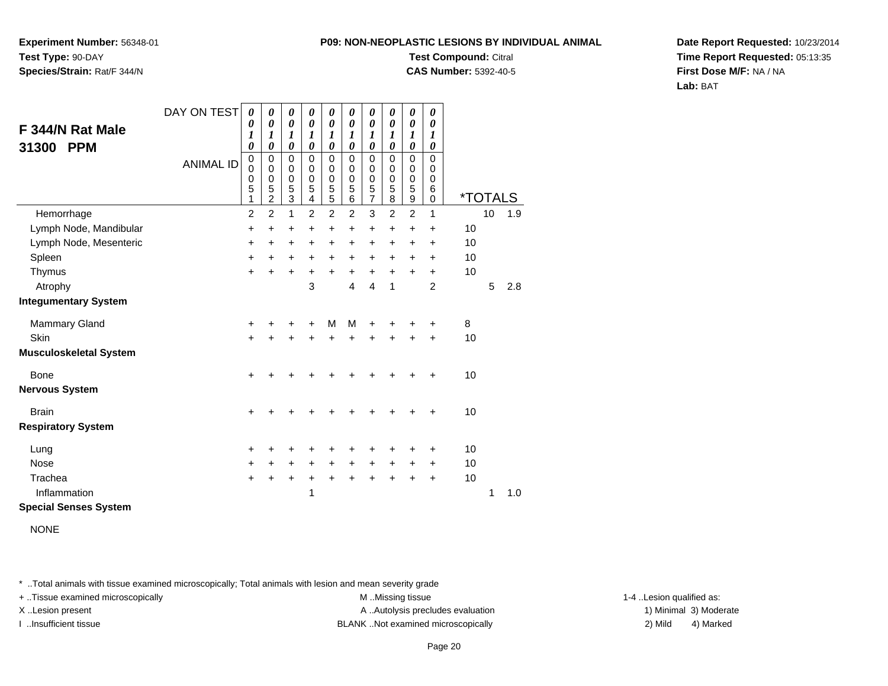**Experiment Number:** 56348-01**Test Type:** 90-DAY**Species/Strain:** Rat/F 344/N

### **Test Compound:** Citral

**CAS Number:** 5392-40-5

**Date Report Requested:** 10/23/2014**Time Report Requested:** 05:13:35**First Dose M/F:** NA / NA**Lab:** BAT

| F 344/N Rat Male<br><b>PPM</b><br>31300 | DAY ON TEST      | 0<br>0<br>1<br>$\boldsymbol{\theta}$                | 0<br>0<br>1<br>0                             | 0<br>$\boldsymbol{\theta}$<br>1<br>0         | 0<br>$\boldsymbol{\theta}$<br>1<br>0                         | 0<br>$\boldsymbol{\theta}$<br>1<br>$\boldsymbol{\theta}$ | 0<br>$\boldsymbol{\theta}$<br>1<br>0 | 0<br>$\boldsymbol{\theta}$<br>1<br>0                 | 0<br>$\pmb{\theta}$<br>1<br>0 | 0<br>$\boldsymbol{\theta}$<br>1<br>0 | 0<br>0<br>1<br>0             |    |                       |     |
|-----------------------------------------|------------------|-----------------------------------------------------|----------------------------------------------|----------------------------------------------|--------------------------------------------------------------|----------------------------------------------------------|--------------------------------------|------------------------------------------------------|-------------------------------|--------------------------------------|------------------------------|----|-----------------------|-----|
|                                         | <b>ANIMAL ID</b> | $\mathbf 0$<br>$\mathbf 0$<br>$\mathbf 0$<br>5<br>1 | 0<br>0<br>$\mathbf 0$<br>5<br>$\overline{c}$ | $\mathbf 0$<br>0<br>0<br>5<br>$\overline{3}$ | $\Omega$<br>0<br>$\mathbf 0$<br>5<br>$\overline{\mathbf{4}}$ | $\mathbf 0$<br>0<br>$\pmb{0}$<br>5<br>$\overline{5}$     | $\Omega$<br>0<br>0<br>5<br>6         | 0<br>0<br>$\begin{array}{c} 0 \\ 5 \\ 7 \end{array}$ | 0<br>0<br>0<br>5<br>8         | 0<br>0<br>0<br>5<br>9                | $\Omega$<br>0<br>0<br>6<br>0 |    | <i><b>*TOTALS</b></i> |     |
| Hemorrhage                              |                  | $\overline{c}$                                      | $\overline{2}$                               | 1                                            | $\overline{2}$                                               | $\overline{2}$                                           | $\overline{2}$                       | 3                                                    | $\overline{2}$                | $\overline{c}$                       | 1                            |    | 10                    | 1.9 |
| Lymph Node, Mandibular                  |                  | $\ddot{}$                                           | +                                            | +                                            | $\ddot{}$                                                    | $\ddot{}$                                                | $\ddot{}$                            | +                                                    | +                             | $\ddot{}$                            | $\ddot{}$                    | 10 |                       |     |
| Lymph Node, Mesenteric                  |                  | +                                                   | +                                            | +                                            | +                                                            | +                                                        | $\ddot{}$                            | $\ddot{}$                                            | ٠                             | +                                    | $\ddot{}$                    | 10 |                       |     |
| Spleen                                  |                  | $\ddot{}$                                           | $\ddot{}$                                    | $\ddot{}$                                    | $\pm$                                                        | $\ddot{}$                                                | $\ddot{}$                            | $+$                                                  | $\ddot{}$                     | $\ddot{}$                            | $\ddot{}$                    | 10 |                       |     |
| Thymus                                  |                  | $\ddot{}$                                           | $\ddot{}$                                    | +                                            | +                                                            | $\ddot{}$                                                | $\ddot{}$                            | $\ddot{}$                                            | $\ddot{}$                     | $\ddot{}$                            | $\ddot{}$                    | 10 |                       |     |
| Atrophy                                 |                  |                                                     |                                              |                                              | 3                                                            |                                                          | 4                                    | $\overline{4}$                                       | 1                             |                                      | $\overline{2}$               |    | 5                     | 2.8 |
| <b>Integumentary System</b>             |                  |                                                     |                                              |                                              |                                                              |                                                          |                                      |                                                      |                               |                                      |                              |    |                       |     |
| Mammary Gland                           |                  | +                                                   |                                              | +                                            | +                                                            | M                                                        | M                                    | +                                                    | +                             | +                                    | ÷                            | 8  |                       |     |
| Skin                                    |                  | $\ddot{}$                                           |                                              | $\ddot{}$                                    | $\ddot{}$                                                    | $\ddot{}$                                                | $\ddot{}$                            | +                                                    | +                             | +                                    | $\ddot{}$                    | 10 |                       |     |
| <b>Musculoskeletal System</b>           |                  |                                                     |                                              |                                              |                                                              |                                                          |                                      |                                                      |                               |                                      |                              |    |                       |     |
| <b>Bone</b>                             |                  | $\ddot{}$                                           |                                              | +                                            | +                                                            | +                                                        | +                                    | +                                                    | +                             | +                                    | +                            | 10 |                       |     |
| <b>Nervous System</b>                   |                  |                                                     |                                              |                                              |                                                              |                                                          |                                      |                                                      |                               |                                      |                              |    |                       |     |
| <b>Brain</b>                            |                  | $\ddot{}$                                           |                                              | +                                            | +                                                            | +                                                        | ┿                                    | +                                                    | ┿                             | +                                    | $\ddot{}$                    | 10 |                       |     |
| <b>Respiratory System</b>               |                  |                                                     |                                              |                                              |                                                              |                                                          |                                      |                                                      |                               |                                      |                              |    |                       |     |
| Lung                                    |                  | +                                                   |                                              | +                                            | +                                                            | +                                                        | +                                    | +                                                    | +                             | +                                    | +                            | 10 |                       |     |
| <b>Nose</b>                             |                  | $\ddot{}$                                           | +                                            | +                                            | +                                                            | +                                                        | $\ddot{}$                            | $\pm$                                                | $\pm$                         | $\pm$                                | $\ddot{}$                    | 10 |                       |     |
| Trachea                                 |                  | $\ddot{}$                                           | +                                            | $\ddot{}$                                    | +                                                            | $\ddot{}$                                                | $\ddot{}$                            | $\ddot{}$                                            | $\ddot{}$                     | $\ddot{}$                            | $\ddot{}$                    | 10 |                       |     |
| Inflammation                            |                  |                                                     |                                              |                                              | 1                                                            |                                                          |                                      |                                                      |                               |                                      |                              |    | 1                     | 1.0 |
| <b>Special Senses System</b>            |                  |                                                     |                                              |                                              |                                                              |                                                          |                                      |                                                      |                               |                                      |                              |    |                       |     |

NONE

\* ..Total animals with tissue examined microscopically; Total animals with lesion and mean severity grade

+ ..Tissue examined microscopically examined microscopically examined as:  $M$  ..Missing tissue 1-4 ..Lesion qualified as: X..Lesion present **A ..Autolysis precludes evaluation** A ..Autolysis precludes evaluation 1) Minimal 3) Moderate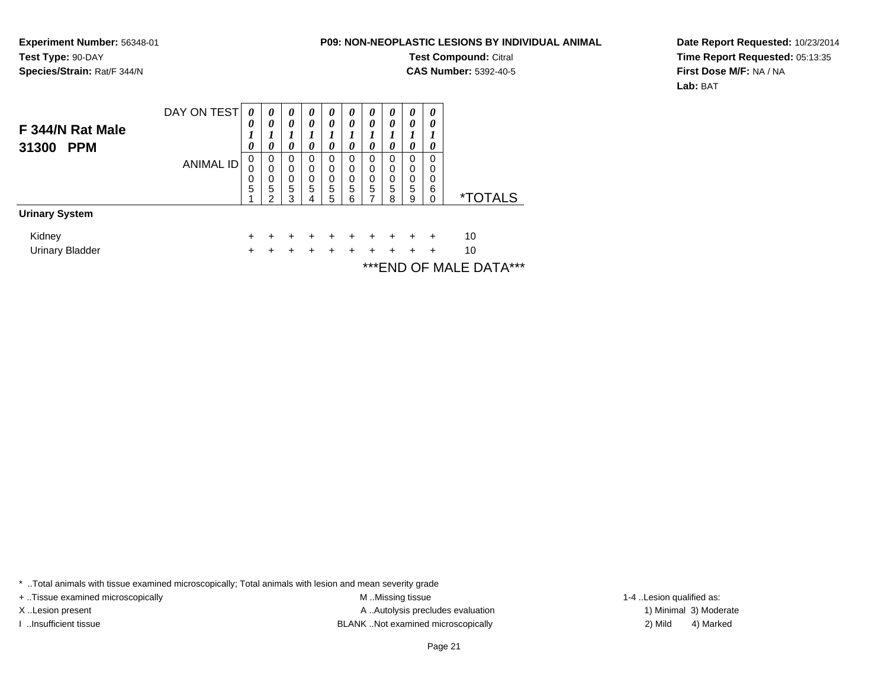**Experiment Number:** 56348-01**Test Type:** 90-DAY**Species/Strain:** Rat/F 344/N

#### **P09: NON-NEOPLASTIC LESIONS BY INDIVIDUAL ANIMAL**

**Test Compound:** Citral

**CAS Number:** 5392-40-5

**Date Report Requested:** 10/23/2014**Time Report Requested:** 05:13:35**First Dose M/F:** NA / NA**Lab:** BAT

|                                         | DAY ON TEST      | $\boldsymbol{\theta}$ | 0                     | 0                     | 0                     | 0                     | 0                     | 0                     | 0                     | 0                     | 0                            |                       |
|-----------------------------------------|------------------|-----------------------|-----------------------|-----------------------|-----------------------|-----------------------|-----------------------|-----------------------|-----------------------|-----------------------|------------------------------|-----------------------|
| F 344/N Rat Male<br>31300<br><b>PPM</b> |                  | 0<br>0                | 0<br>0                | 0<br>0                | 0<br>0                | 0<br>0                | 0<br>0                | 0<br>ı<br>0           | 0<br>0                | 0<br>0                | 0<br>0                       |                       |
|                                         | <b>ANIMAL ID</b> | 0<br>0<br>0<br>5      | 0<br>0<br>0<br>5<br>ົ | 0<br>0<br>0<br>5<br>3 | 0<br>0<br>0<br>5<br>4 | 0<br>0<br>0<br>5<br>5 | 0<br>0<br>0<br>5<br>6 | 0<br>0<br>0<br>5<br>7 | 0<br>0<br>0<br>5<br>8 | 0<br>0<br>0<br>5<br>9 | 0<br>0<br>0<br>6<br>$\Omega$ | <i><b>*TOTALS</b></i> |
| <b>Urinary System</b>                   |                  |                       |                       |                       |                       |                       |                       |                       |                       |                       |                              |                       |
| Kidney                                  |                  | $\pm$                 |                       |                       |                       |                       |                       |                       | ٠                     | +                     | ÷                            | 10                    |
| <b>Urinary Bladder</b>                  |                  |                       |                       |                       |                       |                       |                       |                       | +                     | +                     | ٠                            | 10                    |
|                                         |                  |                       |                       |                       |                       |                       |                       |                       |                       |                       |                              |                       |

\*\*\*END OF MALE DATA\*\*\*

\* ..Total animals with tissue examined microscopically; Total animals with lesion and mean severity grade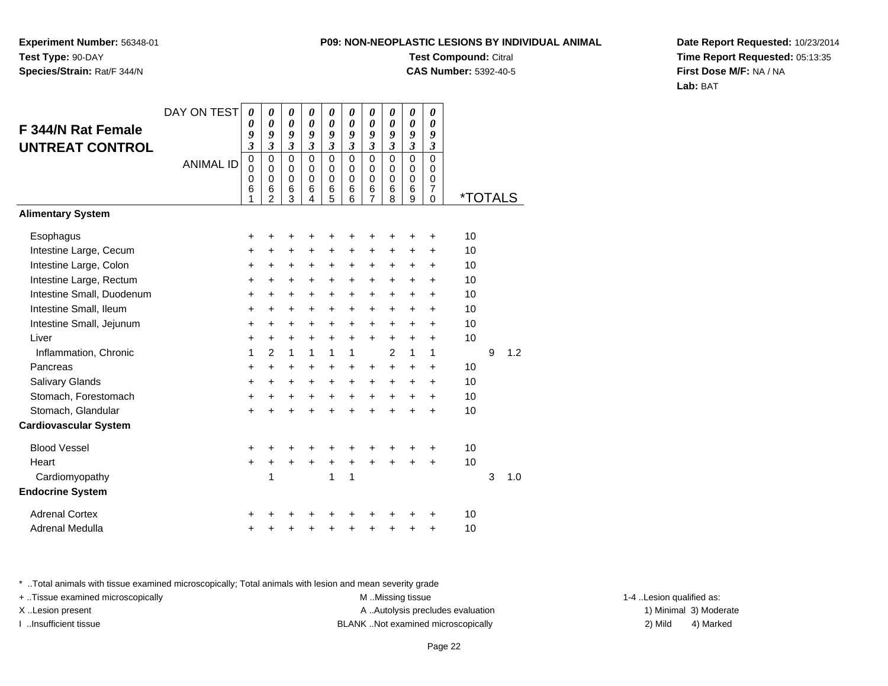**Experiment Number:** 56348-01**Test Type:** 90-DAY**Species/Strain:** Rat/F 344/N

**Test Compound:** Citral

**CAS Number:** 5392-40-5

**Date Report Requested:** 10/23/2014**Time Report Requested:** 05:13:35**First Dose M/F:** NA / NA**Lab:** BAT

| F 344/N Rat Female<br><b>UNTREAT CONTROL</b> | DAY ON TEST      | $\boldsymbol{\theta}$<br>0<br>9<br>3      | 0<br>0<br>9<br>$\overline{\mathbf{3}}$                        | 0<br>0<br>9<br>$\overline{\mathbf{3}}$ | 0<br>$\boldsymbol{\theta}$<br>9<br>$\mathfrak{z}$ | 0<br>0<br>9<br>$\overline{\mathbf{3}}$              | 0<br>$\boldsymbol{\theta}$<br>9<br>$\mathfrak{z}$ | 0<br>$\boldsymbol{\theta}$<br>9<br>$\overline{\mathbf{3}}$ | 0<br>0<br>9<br>$\overline{\mathbf{3}}$              | 0<br>$\boldsymbol{\theta}$<br>9<br>$\overline{\mathbf{3}}$ | 0<br>$\boldsymbol{\theta}$<br>9<br>$\boldsymbol{\mathfrak{z}}$ |                       |   |     |
|----------------------------------------------|------------------|-------------------------------------------|---------------------------------------------------------------|----------------------------------------|---------------------------------------------------|-----------------------------------------------------|---------------------------------------------------|------------------------------------------------------------|-----------------------------------------------------|------------------------------------------------------------|----------------------------------------------------------------|-----------------------|---|-----|
|                                              | <b>ANIMAL ID</b> | $\mathbf 0$<br>0<br>$\mathbf 0$<br>6<br>1 | $\mathbf 0$<br>$\Omega$<br>$\mathbf 0$<br>6<br>$\overline{2}$ | $\mathbf 0$<br>0<br>0<br>6<br>3        | $\mathbf 0$<br>$\Omega$<br>$\Omega$<br>6<br>4     | $\mathbf 0$<br>$\mathbf 0$<br>$\mathbf 0$<br>6<br>5 | $\mathbf 0$<br>$\Omega$<br>$\mathbf 0$<br>6<br>6  | $\mathbf 0$<br>0<br>$\mathbf 0$<br>6<br>7                  | $\mathbf 0$<br>$\mathbf 0$<br>$\mathbf 0$<br>6<br>8 | $\mathbf 0$<br>0<br>$\pmb{0}$<br>6<br>9                    | $\mathbf 0$<br>0<br>$\mathbf 0$<br>$\overline{7}$<br>0         | <i><b>*TOTALS</b></i> |   |     |
| <b>Alimentary System</b>                     |                  |                                           |                                                               |                                        |                                                   |                                                     |                                                   |                                                            |                                                     |                                                            |                                                                |                       |   |     |
| Esophagus                                    |                  | +                                         | +                                                             | +                                      |                                                   | +                                                   | +                                                 | +                                                          | +                                                   | +                                                          | +                                                              | 10                    |   |     |
| Intestine Large, Cecum                       |                  | +                                         | $\ddot{}$                                                     | +                                      | $\ddot{}$                                         | +                                                   | +                                                 | +                                                          | +                                                   | +                                                          | $\ddot{}$                                                      | 10                    |   |     |
| Intestine Large, Colon                       |                  | $\ddot{}$                                 | +                                                             | +                                      | $\ddot{}$                                         | +                                                   | +                                                 | +                                                          | +                                                   | +                                                          | +                                                              | 10                    |   |     |
| Intestine Large, Rectum                      |                  | $\ddot{}$                                 | $+$                                                           | +                                      | $\ddot{}$                                         | $\ddot{}$                                           | $\ddot{}$                                         | $\ddot{}$                                                  | $\ddot{}$                                           | $\ddot{}$                                                  | $\ddot{}$                                                      | 10                    |   |     |
| Intestine Small, Duodenum                    |                  | $\ddot{}$                                 | $\ddot{}$                                                     | +                                      | $\ddot{}$                                         | +                                                   | +                                                 | $\ddot{}$                                                  | $\ddot{}$                                           | $\ddot{}$                                                  | $\ddot{}$                                                      | 10                    |   |     |
| Intestine Small, Ileum                       |                  | $\ddot{}$                                 | $\ddot{}$                                                     | $\ddot{}$                              | $\ddot{}$                                         | +                                                   | $\ddot{}$                                         | +                                                          | $\ddot{}$                                           | $\ddot{}$                                                  | +                                                              | 10                    |   |     |
| Intestine Small, Jejunum                     |                  | $\ddot{}$                                 | $\ddot{}$                                                     | $\ddot{}$                              | $\ddot{}$                                         | +                                                   | $\ddot{}$                                         | $\ddot{}$                                                  | $\ddot{}$                                           | $\ddot{}$                                                  | +                                                              | 10                    |   |     |
| Liver                                        |                  | $\ddot{}$                                 | $+$                                                           | $\ddot{}$                              | $\ddot{}$                                         | $\ddot{}$                                           | $\ddot{}$                                         | $\ddot{}$                                                  | $\ddot{}$                                           | $\ddot{}$                                                  | $\ddot{}$                                                      | 10                    |   |     |
| Inflammation, Chronic                        |                  | 1                                         | 2                                                             | $\mathbf{1}$                           | $\mathbf{1}$                                      | 1                                                   | 1                                                 |                                                            | $\overline{c}$                                      | 1                                                          | 1                                                              |                       | 9 | 1.2 |
| Pancreas                                     |                  | $\ddot{}$                                 | $+$                                                           | $\ddot{}$                              | $\ddot{}$                                         | $\ddot{}$                                           | +                                                 | $\ddot{}$                                                  | $\ddot{}$                                           | $\ddot{}$                                                  | +                                                              | 10                    |   |     |
| Salivary Glands                              |                  | $\ddot{}$                                 | +                                                             | +                                      | $\ddot{}$                                         | +                                                   | +                                                 | $\ddot{}$                                                  | $\ddot{}$                                           | +                                                          | +                                                              | 10                    |   |     |
| Stomach, Forestomach                         |                  | $\ddot{}$                                 | $+$                                                           | +                                      | $\ddot{}$                                         | $\ddot{}$                                           | $\ddot{}$                                         | $\ddot{}$                                                  | $\ddot{}$                                           | $\ddot{}$                                                  | $\ddot{}$                                                      | 10                    |   |     |
| Stomach, Glandular                           |                  | $\ddot{}$                                 | $\ddot{}$                                                     | $\ddot{}$                              | $\ddot{}$                                         | $\ddot{}$                                           | $\ddot{}$                                         | $\ddot{}$                                                  | $\ddot{}$                                           | $\ddot{}$                                                  | $\ddot{}$                                                      | 10                    |   |     |
| <b>Cardiovascular System</b>                 |                  |                                           |                                                               |                                        |                                                   |                                                     |                                                   |                                                            |                                                     |                                                            |                                                                |                       |   |     |
| <b>Blood Vessel</b>                          |                  | +                                         | +                                                             | +                                      |                                                   | ٠                                                   | +                                                 | +                                                          | +                                                   | +                                                          | +                                                              | 10                    |   |     |
| Heart                                        |                  | $\ddot{}$                                 | $\ddot{}$                                                     | $\ddot{}$                              | $\ddot{}$                                         | +                                                   | $\ddot{}$                                         | $\ddot{}$                                                  | $\ddot{}$                                           |                                                            | $\ddot{}$                                                      | 10                    |   |     |
| Cardiomyopathy                               |                  |                                           | 1                                                             |                                        |                                                   | 1                                                   | 1                                                 |                                                            |                                                     |                                                            |                                                                |                       | 3 | 1.0 |
| <b>Endocrine System</b>                      |                  |                                           |                                                               |                                        |                                                   |                                                     |                                                   |                                                            |                                                     |                                                            |                                                                |                       |   |     |
| <b>Adrenal Cortex</b>                        |                  | +                                         |                                                               |                                        |                                                   |                                                     | ┿                                                 |                                                            |                                                     |                                                            | +                                                              | 10                    |   |     |
| Adrenal Medulla                              |                  | +                                         |                                                               | +                                      |                                                   | +                                                   | +                                                 | +                                                          | +                                                   | +                                                          | +                                                              | 10                    |   |     |

\* ..Total animals with tissue examined microscopically; Total animals with lesion and mean severity grade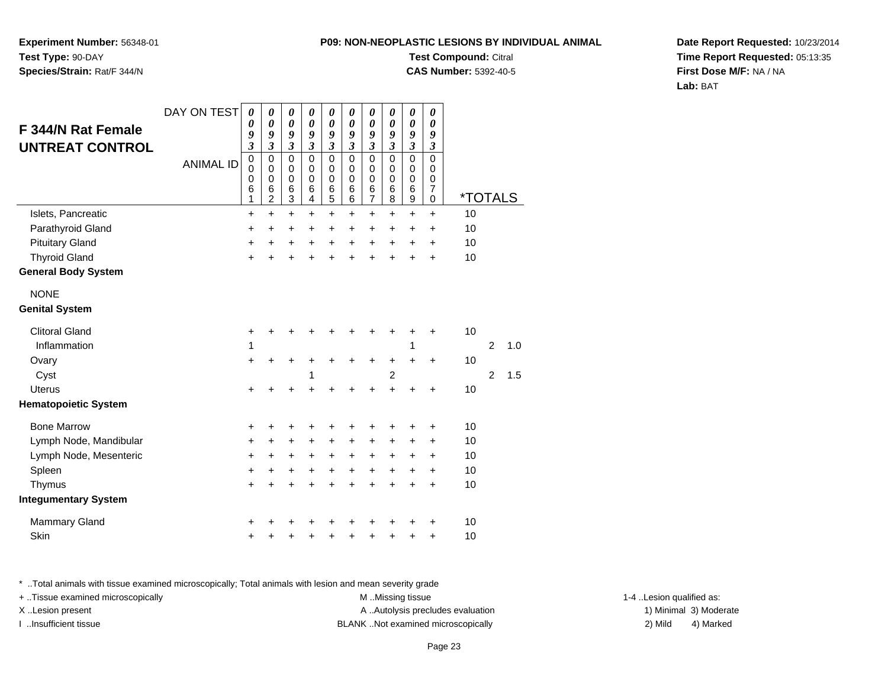**Experiment Number:** 56348-01**Test Type:** 90-DAY**Species/Strain:** Rat/F 344/N

### **Test Compound:** Citral

**CAS Number:** 5392-40-5

**Date Report Requested:** 10/23/2014**Time Report Requested:** 05:13:35**First Dose M/F:** NA / NA**Lab:** BAT

|                             | DAY ON TEST      | 0                                         | 0                                                   | 0                                                       | 0                                                   | 0                                         | 0                                             | 0                                       | 0                                            | 0                                                   | 0                                                    |                       |                |     |
|-----------------------------|------------------|-------------------------------------------|-----------------------------------------------------|---------------------------------------------------------|-----------------------------------------------------|-------------------------------------------|-----------------------------------------------|-----------------------------------------|----------------------------------------------|-----------------------------------------------------|------------------------------------------------------|-----------------------|----------------|-----|
| <b>F 344/N Rat Female</b>   |                  | 0<br>9                                    | $\boldsymbol{\theta}$<br>9                          | $\boldsymbol{\theta}$<br>9                              | $\pmb{\theta}$<br>9                                 | $\pmb{\theta}$<br>9                       | $\boldsymbol{\theta}$<br>9                    | $\boldsymbol{\theta}$<br>9              | $\boldsymbol{\theta}$<br>9                   | $\boldsymbol{\theta}$<br>9                          | $\boldsymbol{\theta}$<br>9                           |                       |                |     |
| UNTREAT CONTROL             |                  | $\overline{\mathbf{3}}$                   | $\overline{\mathbf{3}}$                             | $\overline{\mathbf{3}}$                                 | $\overline{\mathbf{3}}$                             | $\overline{\mathbf{3}}$                   | $\overline{\mathbf{3}}$                       | $\overline{\mathbf{3}}$                 | $\mathfrak{z}$                               | $\mathfrak{z}$                                      | $\boldsymbol{\beta}$                                 |                       |                |     |
|                             | <b>ANIMAL ID</b> | $\mathbf 0$<br>$\mathbf 0$<br>0<br>6<br>1 | 0<br>$\Omega$<br>$\mathbf 0$<br>6<br>$\overline{c}$ | $\mathbf 0$<br>$\mathbf 0$<br>0<br>$6\phantom{1}6$<br>3 | $\mathsf 0$<br>$\mathbf 0$<br>$\mathbf 0$<br>6<br>4 | $\mathsf 0$<br>$\mathbf 0$<br>0<br>6<br>5 | $\mathbf 0$<br>$\Omega$<br>$\Omega$<br>6<br>6 | $\pmb{0}$<br>0<br>$\mathbf 0$<br>6<br>7 | $\overline{0}$<br>0<br>$\mathbf 0$<br>6<br>8 | $\mathbf 0$<br>$\mathbf 0$<br>$\mathbf 0$<br>6<br>9 | $\mathbf 0$<br>0<br>$\pmb{0}$<br>$\overline{7}$<br>0 | <i><b>*TOTALS</b></i> |                |     |
| Islets, Pancreatic          |                  | +                                         | $\ddot{}$                                           | $\ddot{}$                                               | $\ddot{}$                                           | +                                         | $\ddot{}$                                     | $\ddot{}$                               | $\ddot{}$                                    | $\ddot{}$                                           | $\ddot{}$                                            | 10                    |                |     |
| Parathyroid Gland           |                  | +                                         | $\ddot{}$                                           | $\ddot{}$                                               | $\ddot{}$                                           | $\ddot{}$                                 | $\ddot{}$                                     | $\ddot{}$                               | $\ddot{}$                                    | $\ddot{}$                                           | +                                                    | 10                    |                |     |
| <b>Pituitary Gland</b>      |                  | +                                         | +                                                   | +                                                       | +                                                   | +                                         | +                                             | $\ddot{}$                               | +                                            | +                                                   | +                                                    | 10                    |                |     |
| <b>Thyroid Gland</b>        |                  | $\ddot{}$                                 | Ŧ.                                                  | $\ddot{}$                                               | $\ddot{}$                                           | $\ddot{}$                                 | ÷                                             | ÷                                       | $\ddot{}$                                    | Ŧ.                                                  | $\ddot{}$                                            | 10                    |                |     |
| <b>General Body System</b>  |                  |                                           |                                                     |                                                         |                                                     |                                           |                                               |                                         |                                              |                                                     |                                                      |                       |                |     |
| <b>NONE</b>                 |                  |                                           |                                                     |                                                         |                                                     |                                           |                                               |                                         |                                              |                                                     |                                                      |                       |                |     |
| <b>Genital System</b>       |                  |                                           |                                                     |                                                         |                                                     |                                           |                                               |                                         |                                              |                                                     |                                                      |                       |                |     |
| <b>Clitoral Gland</b>       |                  | +                                         | +                                                   | +                                                       |                                                     |                                           |                                               |                                         |                                              | +                                                   | +                                                    | 10                    |                |     |
| Inflammation                |                  | 1                                         |                                                     |                                                         |                                                     |                                           |                                               |                                         |                                              | 1                                                   |                                                      |                       | $\overline{2}$ | 1.0 |
| Ovary                       |                  | $\ddot{}$                                 | +                                                   | +                                                       | +                                                   | +                                         | +                                             | +                                       | +                                            | +                                                   | +                                                    | 10                    |                |     |
| Cyst                        |                  |                                           |                                                     |                                                         | 1                                                   |                                           |                                               |                                         | $\overline{c}$                               |                                                     |                                                      |                       | $\overline{c}$ | 1.5 |
| <b>Uterus</b>               |                  | +                                         | +                                                   | +                                                       |                                                     | +                                         | +                                             | +                                       | Ŧ.                                           | +                                                   | +                                                    | 10                    |                |     |
| <b>Hematopoietic System</b> |                  |                                           |                                                     |                                                         |                                                     |                                           |                                               |                                         |                                              |                                                     |                                                      |                       |                |     |
| <b>Bone Marrow</b>          |                  | +                                         | +                                                   | +                                                       | +                                                   | +                                         |                                               |                                         |                                              | +                                                   | +                                                    | 10                    |                |     |
| Lymph Node, Mandibular      |                  | +                                         | +                                                   | +                                                       | +                                                   | +                                         | +                                             | +                                       | $\ddot{}$                                    | +                                                   | +                                                    | 10                    |                |     |
| Lymph Node, Mesenteric      |                  | $\ddot{}$                                 | +                                                   | +                                                       | +                                                   | +                                         | $\ddot{}$                                     | $\ddot{}$                               | $\ddot{}$                                    | +                                                   | +                                                    | 10                    |                |     |
| Spleen                      |                  | +                                         | +                                                   | +                                                       | $\ddot{}$                                           | $\ddot{}$                                 | $\ddot{}$                                     | $\ddot{}$                               | $+$                                          | $\pm$                                               | $\ddot{}$                                            | 10                    |                |     |
| Thymus                      |                  | $\ddot{}$                                 | $\ddot{}$                                           | $\ddot{}$                                               | $\ddot{}$                                           | $\ddot{}$                                 | $\ddot{}$                                     | $\ddot{}$                               | $\ddot{}$                                    | $\ddot{}$                                           | $\ddot{}$                                            | 10                    |                |     |
| <b>Integumentary System</b> |                  |                                           |                                                     |                                                         |                                                     |                                           |                                               |                                         |                                              |                                                     |                                                      |                       |                |     |
| Mammary Gland               |                  | +                                         |                                                     |                                                         |                                                     |                                           |                                               |                                         |                                              |                                                     | +                                                    | 10                    |                |     |
| Skin                        |                  | +                                         | +                                                   | +                                                       | +                                                   | +                                         | +                                             | +                                       | +                                            | +                                                   | +                                                    | 10                    |                |     |

\* ..Total animals with tissue examined microscopically; Total animals with lesion and mean severity grade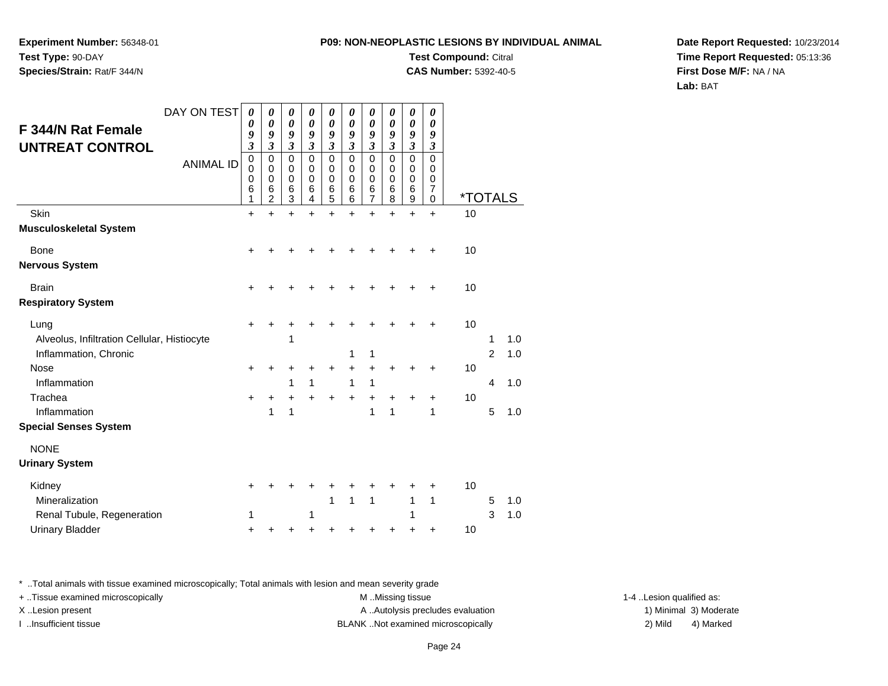**Experiment Number:** 56348-01**Test Type:** 90-DAY**Species/Strain:** Rat/F 344/N

**Test Compound:** Citral

**CAS Number:** 5392-40-5

**Date Report Requested:** 10/23/2014**Time Report Requested:** 05:13:36**First Dose M/F:** NA / NA**Lab:** BAT

|                                             | DAY ON TEST      | 0                                      | 0                                      | 0                          | 0                          | 0                                      | 0                                      | 0                            | 0                | 0                                      | 0                                   |                       |                |     |
|---------------------------------------------|------------------|----------------------------------------|----------------------------------------|----------------------------|----------------------------|----------------------------------------|----------------------------------------|------------------------------|------------------|----------------------------------------|-------------------------------------|-----------------------|----------------|-----|
| <b>F 344/N Rat Female</b>                   |                  | 0<br>9                                 | 0<br>9                                 | $\boldsymbol{\theta}$<br>9 | $\boldsymbol{\theta}$<br>9 | 0<br>9                                 | 0<br>9                                 | $\boldsymbol{\theta}$<br>9   | 0<br>9           | 0<br>9                                 | 0<br>9                              |                       |                |     |
| <b>UNTREAT CONTROL</b>                      |                  | $\overline{\mathbf{3}}$<br>$\mathbf 0$ | $\overline{\mathbf{3}}$<br>$\mathbf 0$ | 3<br>$\mathbf 0$           | 3<br>$\mathbf 0$           | $\overline{\mathbf{3}}$<br>$\mathbf 0$ | $\overline{\mathbf{3}}$<br>$\mathbf 0$ | $\overline{\mathbf{3}}$<br>0 | 3<br>$\mathbf 0$ | $\overline{\mathbf{3}}$<br>$\mathbf 0$ | $\boldsymbol{\beta}$<br>$\mathbf 0$ |                       |                |     |
|                                             | <b>ANIMAL ID</b> | $\mathbf 0$<br>0                       | $\mathbf 0$<br>0                       | 0<br>$\mathbf 0$           | $\mathbf 0$<br>$\mathbf 0$ | $\mathbf 0$<br>$\mathbf 0$             | $\mathbf 0$<br>$\mathbf 0$             | 0<br>0                       | 0<br>0           | 0<br>0                                 | 0<br>0                              |                       |                |     |
|                                             |                  | 6<br>1                                 | 6<br>$\overline{c}$                    | 6<br>3                     | 6<br>4                     | $\,6$<br>5                             | 6<br>6                                 | 6<br>7                       | 6<br>8           | 6<br>9                                 | 7<br>0                              | <i><b>*TOTALS</b></i> |                |     |
| Skin                                        |                  | $\ddot{}$                              | $\ddot{}$                              | $\ddot{}$                  | $\ddot{}$                  | $\ddot{}$                              | $\ddot{}$                              | $\ddot{}$                    | ÷                | $\ddot{}$                              | $\ddot{}$                           | 10                    |                |     |
| <b>Musculoskeletal System</b>               |                  |                                        |                                        |                            |                            |                                        |                                        |                              |                  |                                        |                                     |                       |                |     |
| Bone                                        |                  | +                                      |                                        |                            |                            |                                        |                                        |                              |                  |                                        |                                     | 10                    |                |     |
| <b>Nervous System</b>                       |                  |                                        |                                        |                            |                            |                                        |                                        |                              |                  |                                        |                                     |                       |                |     |
| <b>Brain</b>                                |                  | $\ddot{}$                              |                                        | +                          |                            |                                        |                                        |                              |                  |                                        | +                                   | 10                    |                |     |
| <b>Respiratory System</b>                   |                  |                                        |                                        |                            |                            |                                        |                                        |                              |                  |                                        |                                     |                       |                |     |
| Lung                                        |                  | +                                      |                                        |                            |                            |                                        |                                        |                              |                  |                                        |                                     | 10                    |                |     |
| Alveolus, Infiltration Cellular, Histiocyte |                  |                                        |                                        | 1                          |                            |                                        |                                        |                              |                  |                                        |                                     |                       | 1              | 1.0 |
| Inflammation, Chronic                       |                  |                                        |                                        |                            |                            |                                        | 1                                      | 1                            |                  |                                        |                                     |                       | $\overline{2}$ | 1.0 |
| <b>Nose</b>                                 |                  | +                                      | +                                      | +                          | +                          | +                                      | $\ddot{}$                              | $\ddot{}$                    | +                | +                                      | +                                   | 10                    |                |     |
| Inflammation                                |                  |                                        |                                        | 1                          | $\mathbf{1}$               |                                        | 1                                      | 1                            |                  |                                        |                                     |                       | $\overline{4}$ | 1.0 |
| Trachea                                     |                  | +                                      | +                                      | $\ddot{}$                  | $\pm$                      | +                                      | $\ddot{}$                              | $\ddot{}$                    | +                | +                                      | +                                   | 10                    |                |     |
| Inflammation                                |                  |                                        | 1                                      | 1                          |                            |                                        |                                        | 1                            | 1                |                                        | 1                                   |                       | 5              | 1.0 |
| <b>Special Senses System</b>                |                  |                                        |                                        |                            |                            |                                        |                                        |                              |                  |                                        |                                     |                       |                |     |
| <b>NONE</b>                                 |                  |                                        |                                        |                            |                            |                                        |                                        |                              |                  |                                        |                                     |                       |                |     |
| <b>Urinary System</b>                       |                  |                                        |                                        |                            |                            |                                        |                                        |                              |                  |                                        |                                     |                       |                |     |
| Kidney                                      |                  | +                                      |                                        |                            |                            |                                        |                                        |                              |                  |                                        |                                     | 10                    |                |     |
| Mineralization                              |                  |                                        |                                        |                            |                            | 1                                      | 1                                      | 1                            |                  | 1                                      | 1                                   |                       | 5              | 1.0 |
| Renal Tubule, Regeneration                  |                  | 1                                      |                                        |                            | 1                          |                                        |                                        |                              |                  | 1                                      |                                     |                       | 3              | 1.0 |
| <b>Urinary Bladder</b>                      |                  | +                                      | +                                      | +                          |                            |                                        |                                        |                              |                  | +                                      | +                                   | 10                    |                |     |

\* ..Total animals with tissue examined microscopically; Total animals with lesion and mean severity grade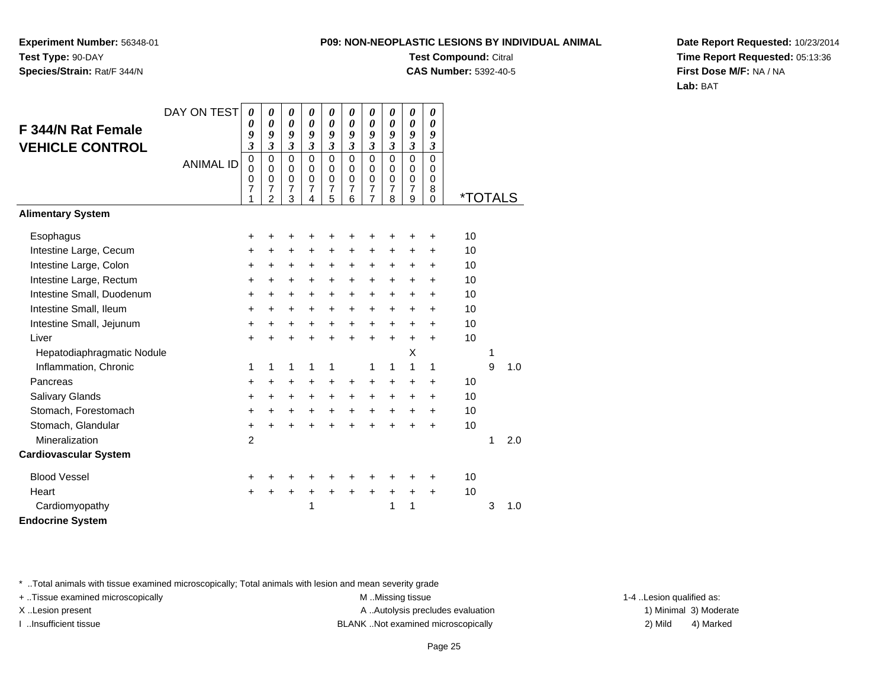**Experiment Number:** 56348-01**Test Type:** 90-DAY**Species/Strain:** Rat/F 344/N

# **Test Compound:** Citral

**CAS Number:** 5392-40-5

**Date Report Requested:** 10/23/2014**Time Report Requested:** 05:13:36**First Dose M/F:** NA / NA**Lab:** BAT

|                              | DAY ON TEST      | 0                                                      | 0                                                                | 0                               | 0                                                | 0                                                      | 0                                                      | 0                                                                | 0                                                      | 0                                                             | $\boldsymbol{\theta}$                      |                       |   |     |
|------------------------------|------------------|--------------------------------------------------------|------------------------------------------------------------------|---------------------------------|--------------------------------------------------|--------------------------------------------------------|--------------------------------------------------------|------------------------------------------------------------------|--------------------------------------------------------|---------------------------------------------------------------|--------------------------------------------|-----------------------|---|-----|
| F 344/N Rat Female           |                  | 0<br>9                                                 | 0<br>9                                                           | 0<br>9                          | $\boldsymbol{\theta}$<br>9                       | 0<br>9                                                 | $\boldsymbol{\theta}$<br>9                             | $\boldsymbol{\theta}$<br>9                                       | 0<br>9                                                 | $\boldsymbol{\theta}$<br>9                                    | $\boldsymbol{\theta}$<br>9                 |                       |   |     |
| <b>VEHICLE CONTROL</b>       |                  | $\boldsymbol{\beta}$                                   | $\overline{\mathbf{3}}$                                          | 3                               | $\mathfrak{z}$                                   | $\mathfrak{z}$                                         | $\mathfrak{z}$                                         | $\mathfrak{z}$                                                   | $\overline{\mathbf{3}}$                                | $\mathfrak{z}$                                                | 3                                          |                       |   |     |
|                              | <b>ANIMAL ID</b> | $\mathbf 0$<br>$\mathbf 0$<br>0<br>$\overline{7}$<br>1 | $\mathbf 0$<br>$\mathbf 0$<br>$\mathbf 0$<br>7<br>$\mathfrak{p}$ | $\mathbf 0$<br>0<br>0<br>7<br>3 | $\Omega$<br>$\mathbf 0$<br>$\mathbf 0$<br>7<br>4 | $\mathbf 0$<br>0<br>$\mathbf 0$<br>$\overline{7}$<br>5 | $\mathbf 0$<br>0<br>$\mathbf 0$<br>$\overline{7}$<br>6 | $\mathbf 0$<br>$\mathbf 0$<br>$\mathbf 0$<br>$\overline{7}$<br>7 | $\mathbf 0$<br>0<br>$\mathbf 0$<br>$\overline{7}$<br>8 | $\Omega$<br>$\mathbf 0$<br>$\mathbf 0$<br>$\overline{7}$<br>9 | $\Omega$<br>0<br>$\Omega$<br>8<br>$\Omega$ | <i><b>*TOTALS</b></i> |   |     |
| <b>Alimentary System</b>     |                  |                                                        |                                                                  |                                 |                                                  |                                                        |                                                        |                                                                  |                                                        |                                                               |                                            |                       |   |     |
| Esophagus                    |                  | +                                                      | +                                                                | +                               | +                                                | +                                                      | +                                                      | +                                                                | +                                                      | +                                                             | $\ddot{}$                                  | 10                    |   |     |
| Intestine Large, Cecum       |                  | $\ddot{}$                                              | $\ddot{}$                                                        | $\ddot{}$                       | $\ddot{}$                                        | $\ddot{}$                                              | $\ddot{}$                                              | $\ddot{}$                                                        | $\ddot{}$                                              | +                                                             | $\ddot{}$                                  | 10                    |   |     |
| Intestine Large, Colon       |                  | +                                                      | $\pm$                                                            | +                               | $\ddot{}$                                        | $\ddot{}$                                              | $\ddot{}$                                              | $\ddot{}$                                                        | +                                                      | $\ddot{}$                                                     | $\ddot{}$                                  | 10                    |   |     |
| Intestine Large, Rectum      |                  | $\ddot{}$                                              | $+$                                                              | $\ddot{}$                       | $\ddot{}$                                        | $+$                                                    | $\ddot{}$                                              | $\ddot{}$                                                        | +                                                      | $\ddot{}$                                                     | $\ddot{}$                                  | 10                    |   |     |
| Intestine Small, Duodenum    |                  | $\ddot{}$                                              | $+$                                                              | +                               | $\ddot{}$                                        | $\ddot{}$                                              | $\ddot{}$                                              | $\ddot{}$                                                        | +                                                      | $\ddot{}$                                                     | $\ddot{}$                                  | 10                    |   |     |
| Intestine Small, Ileum       |                  | $\ddot{}$                                              | $+$                                                              | +                               | $\ddot{}$                                        | $+$                                                    | $\ddot{}$                                              | $+$                                                              | +                                                      | $\ddot{}$                                                     | $\ddot{}$                                  | 10                    |   |     |
| Intestine Small, Jejunum     |                  | $\ddot{}$                                              | $\ddot{}$                                                        | $\ddot{}$                       | $\ddot{}$                                        | $\ddot{}$                                              | $\ddot{}$                                              | $\ddot{}$                                                        | +                                                      | $\ddot{}$                                                     | $\ddot{}$                                  | 10                    |   |     |
| Liver                        |                  | $\ddot{}$                                              | $\ddot{}$                                                        | $\ddot{}$                       | $\ddot{}$                                        | $+$                                                    | $\ddot{}$                                              | $\ddot{}$                                                        | $\ddot{}$                                              | $\ddot{}$                                                     | $\ddot{}$                                  | 10                    |   |     |
| Hepatodiaphragmatic Nodule   |                  |                                                        |                                                                  |                                 |                                                  |                                                        |                                                        |                                                                  |                                                        | X                                                             |                                            |                       | 1 |     |
| Inflammation, Chronic        |                  | 1                                                      | 1                                                                | 1                               | 1                                                | 1                                                      |                                                        | 1                                                                | 1                                                      | 1                                                             | 1                                          |                       | 9 | 1.0 |
| Pancreas                     |                  | $\ddot{}$                                              | $\ddot{}$                                                        | +                               | $\ddot{}$                                        | $\ddot{}$                                              | $\ddot{}$                                              | $\ddot{}$                                                        | +                                                      | $\ddot{}$                                                     | $\ddot{}$                                  | 10                    |   |     |
| Salivary Glands              |                  | +                                                      | $\ddot{}$                                                        | +                               | $\ddot{}$                                        | $\ddot{}$                                              | $\ddot{}$                                              | +                                                                | +                                                      | +                                                             | $\ddot{}$                                  | 10                    |   |     |
| Stomach, Forestomach         |                  | $\ddot{}$                                              | $\ddot{}$                                                        | $+$                             | $\ddot{}$                                        | $+$                                                    | $+$                                                    | $+$                                                              | $\ddot{}$                                              | $\ddot{}$                                                     | $\ddot{}$                                  | 10                    |   |     |
| Stomach, Glandular           |                  | +                                                      | $\ddot{}$                                                        | +                               | ÷                                                | $\ddot{}$                                              | $\ddot{}$                                              | $\ddot{}$                                                        | +                                                      | ÷                                                             | $\div$                                     | 10                    |   |     |
| Mineralization               |                  | $\overline{2}$                                         |                                                                  |                                 |                                                  |                                                        |                                                        |                                                                  |                                                        |                                                               |                                            |                       | 1 | 2.0 |
| <b>Cardiovascular System</b> |                  |                                                        |                                                                  |                                 |                                                  |                                                        |                                                        |                                                                  |                                                        |                                                               |                                            |                       |   |     |
| <b>Blood Vessel</b>          |                  | +                                                      |                                                                  |                                 |                                                  |                                                        | +                                                      |                                                                  | +                                                      | +                                                             | +                                          | 10                    |   |     |
| Heart                        |                  | $\pm$                                                  | +                                                                | +                               | $\ddot{}$                                        | $\ddot{}$                                              | $\ddot{}$                                              | $\ddot{}$                                                        | $\ddot{}$                                              | $\ddot{}$                                                     | $\ddot{}$                                  | 10                    |   |     |
| Cardiomyopathy               |                  |                                                        |                                                                  |                                 | 1                                                |                                                        |                                                        |                                                                  | 1                                                      | 1                                                             |                                            |                       | 3 | 1.0 |
| <b>Endocrine System</b>      |                  |                                                        |                                                                  |                                 |                                                  |                                                        |                                                        |                                                                  |                                                        |                                                               |                                            |                       |   |     |

\* ..Total animals with tissue examined microscopically; Total animals with lesion and mean severity grade

+ ..Tissue examined microscopically examined microscopically examined as: M ..Missing tissue 1-4 ..Lesion qualified as: X..Lesion present **A ..Autolysis precludes evaluation** A ..Autolysis precludes evaluation 1) Minimal 3) Moderate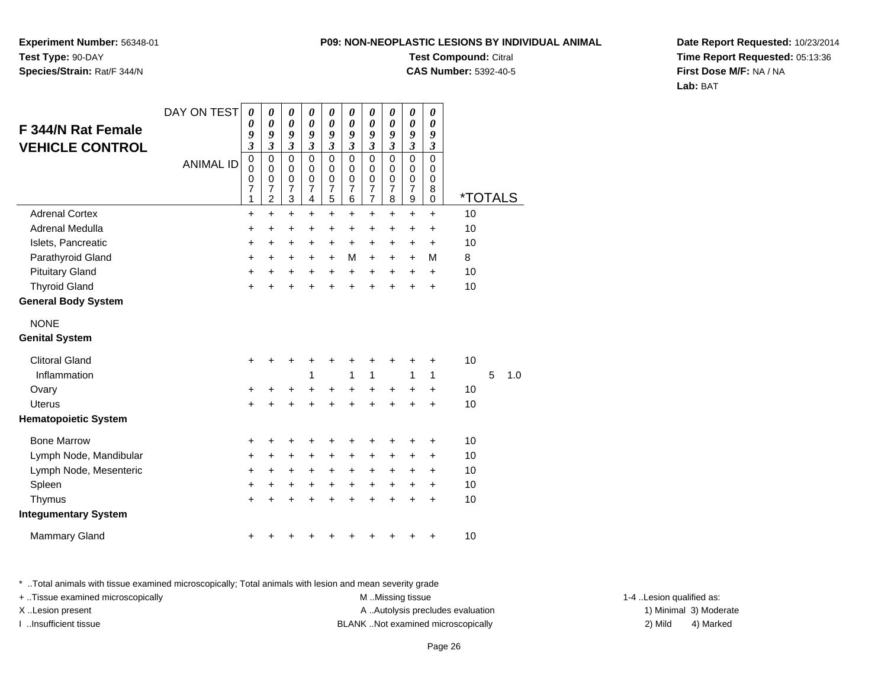**Experiment Number:** 56348-01**Test Type:** 90-DAY**Species/Strain:** Rat/F 344/N

### **Test Compound:** Citral

**CAS Number:** 5392-40-5

**Date Report Requested:** 10/23/2014**Time Report Requested:** 05:13:36**First Dose M/F:** NA / NA**Lab:** BAT

| <b>F 344/N Rat Female</b><br><b>VEHICLE CONTROL</b> | DAY ON TEST<br><b>ANIMAL ID</b> | 0<br>0<br>9<br>$\overline{\mathbf{3}}$<br>$\mathbf 0$<br>0<br>0<br>$\overline{7}$<br>1 | 0<br>$\boldsymbol{\theta}$<br>9<br>$\overline{\mathbf{3}}$<br>0<br>$\mathbf 0$<br>0<br>$\overline{7}$<br>$\overline{c}$ | 0<br>$\boldsymbol{\theta}$<br>9<br>$\mathfrak{z}$<br>$\pmb{0}$<br>$\mathbf 0$<br>0<br>$\overline{7}$<br>3 | 0<br>$\boldsymbol{\theta}$<br>9<br>$\mathfrak{z}$<br>0<br>$\Omega$<br>0<br>$\overline{7}$<br>4 | $\boldsymbol{\theta}$<br>$\pmb{\theta}$<br>9<br>$\overline{\mathbf{3}}$<br>$\mathbf 0$<br>$\pmb{0}$<br>$\pmb{0}$<br>$\overline{7}$<br>5 | 0<br>$\boldsymbol{\theta}$<br>9<br>$\overline{\mathbf{3}}$<br>$\mathbf 0$<br>$\mathbf 0$<br>0<br>$\overline{7}$<br>6 | 0<br>$\pmb{\theta}$<br>9<br>$\overline{\mathbf{3}}$<br>$\mathsf 0$<br>$\mathbf 0$<br>0<br>$\frac{7}{7}$ | 0<br>$\boldsymbol{\theta}$<br>9<br>$\overline{\mathbf{3}}$<br>$\mathbf 0$<br>$\Omega$<br>0<br>7<br>8 | 0<br>$\boldsymbol{\theta}$<br>9<br>$\mathfrak{z}$<br>$\mathbf 0$<br>0<br>$\mathbf 0$<br>$\overline{7}$<br>$\mathsf g$ | 0<br>$\boldsymbol{\theta}$<br>9<br>$\boldsymbol{\beta}$<br>$\mathbf 0$<br>0<br>$\mathbf 0$<br>8<br>0 | <i><b>*TOTALS</b></i> |   |     |
|-----------------------------------------------------|---------------------------------|----------------------------------------------------------------------------------------|-------------------------------------------------------------------------------------------------------------------------|-----------------------------------------------------------------------------------------------------------|------------------------------------------------------------------------------------------------|-----------------------------------------------------------------------------------------------------------------------------------------|----------------------------------------------------------------------------------------------------------------------|---------------------------------------------------------------------------------------------------------|------------------------------------------------------------------------------------------------------|-----------------------------------------------------------------------------------------------------------------------|------------------------------------------------------------------------------------------------------|-----------------------|---|-----|
| <b>Adrenal Cortex</b>                               |                                 | $\ddot{}$                                                                              | $\ddot{}$                                                                                                               | $\ddot{}$                                                                                                 | $\ddot{}$                                                                                      | +                                                                                                                                       | $\ddot{}$                                                                                                            | $\ddot{}$                                                                                               | $\ddot{}$                                                                                            | $\ddot{}$                                                                                                             | $\ddot{}$                                                                                            | 10                    |   |     |
| Adrenal Medulla                                     |                                 | +                                                                                      | +                                                                                                                       | $\ddot{}$                                                                                                 | +                                                                                              | $\ddot{}$                                                                                                                               | $\ddot{}$                                                                                                            | $\ddot{}$                                                                                               | $\ddot{}$                                                                                            | $\ddot{}$                                                                                                             | +                                                                                                    | 10                    |   |     |
| Islets, Pancreatic                                  |                                 | +                                                                                      | +                                                                                                                       | +                                                                                                         | +                                                                                              | +                                                                                                                                       | $\ddot{}$                                                                                                            | +                                                                                                       | +                                                                                                    | +                                                                                                                     | +                                                                                                    | 10                    |   |     |
| Parathyroid Gland                                   |                                 | $\ddot{}$                                                                              | +                                                                                                                       | +                                                                                                         | +                                                                                              | $\ddot{}$                                                                                                                               | M                                                                                                                    | $\ddot{}$                                                                                               | $\ddot{}$                                                                                            | $\ddot{}$                                                                                                             | M                                                                                                    | 8                     |   |     |
| <b>Pituitary Gland</b>                              |                                 | +                                                                                      | +                                                                                                                       | +                                                                                                         | $\ddot{}$                                                                                      | $+$                                                                                                                                     | $\pm$                                                                                                                | $\ddot{}$                                                                                               | $\ddot{}$                                                                                            | $\ddot{}$                                                                                                             | $\ddot{}$                                                                                            | 10                    |   |     |
| <b>Thyroid Gland</b>                                |                                 | $\ddot{}$                                                                              | ÷                                                                                                                       | $\ddot{}$                                                                                                 | $\ddot{}$                                                                                      | +                                                                                                                                       | ÷                                                                                                                    | $\ddot{}$                                                                                               | $\ddot{}$                                                                                            | ÷                                                                                                                     | $\ddot{}$                                                                                            | 10                    |   |     |
| <b>General Body System</b>                          |                                 |                                                                                        |                                                                                                                         |                                                                                                           |                                                                                                |                                                                                                                                         |                                                                                                                      |                                                                                                         |                                                                                                      |                                                                                                                       |                                                                                                      |                       |   |     |
| <b>NONE</b>                                         |                                 |                                                                                        |                                                                                                                         |                                                                                                           |                                                                                                |                                                                                                                                         |                                                                                                                      |                                                                                                         |                                                                                                      |                                                                                                                       |                                                                                                      |                       |   |     |
| <b>Genital System</b>                               |                                 |                                                                                        |                                                                                                                         |                                                                                                           |                                                                                                |                                                                                                                                         |                                                                                                                      |                                                                                                         |                                                                                                      |                                                                                                                       |                                                                                                      |                       |   |     |
| <b>Clitoral Gland</b>                               |                                 | +                                                                                      | +                                                                                                                       | +                                                                                                         | +                                                                                              | +                                                                                                                                       | +                                                                                                                    | +                                                                                                       | +                                                                                                    | +                                                                                                                     | +                                                                                                    | 10                    |   |     |
| Inflammation                                        |                                 |                                                                                        |                                                                                                                         |                                                                                                           | 1                                                                                              |                                                                                                                                         | 1                                                                                                                    | $\mathbf{1}$                                                                                            |                                                                                                      | 1                                                                                                                     | 1                                                                                                    |                       | 5 | 1.0 |
| Ovary                                               |                                 | +                                                                                      | +                                                                                                                       | +                                                                                                         | +                                                                                              | $\ddot{}$                                                                                                                               | $\ddot{}$                                                                                                            | $\ddot{}$                                                                                               | $\ddot{}$                                                                                            | $\ddot{}$                                                                                                             | +                                                                                                    | 10                    |   |     |
| <b>Uterus</b>                                       |                                 | $\ddot{}$                                                                              |                                                                                                                         | $\ddot{}$                                                                                                 | $\ddot{}$                                                                                      | $\ddot{}$                                                                                                                               | ÷.                                                                                                                   | $\ddot{}$                                                                                               | $\ddot{}$                                                                                            | $\ddot{}$                                                                                                             | $\ddot{}$                                                                                            | 10                    |   |     |
| <b>Hematopoietic System</b>                         |                                 |                                                                                        |                                                                                                                         |                                                                                                           |                                                                                                |                                                                                                                                         |                                                                                                                      |                                                                                                         |                                                                                                      |                                                                                                                       |                                                                                                      |                       |   |     |
| <b>Bone Marrow</b>                                  |                                 | +                                                                                      | +                                                                                                                       | +                                                                                                         | +                                                                                              | +                                                                                                                                       | +                                                                                                                    | +                                                                                                       | +                                                                                                    | +                                                                                                                     | +                                                                                                    | 10                    |   |     |
| Lymph Node, Mandibular                              |                                 | $\ddot{}$                                                                              | +                                                                                                                       | +                                                                                                         | +                                                                                              | +                                                                                                                                       | +                                                                                                                    | +                                                                                                       | +                                                                                                    | +                                                                                                                     | +                                                                                                    | 10                    |   |     |
| Lymph Node, Mesenteric                              |                                 | +                                                                                      | +                                                                                                                       | $\pm$                                                                                                     | $\ddot{}$                                                                                      | $\pm$                                                                                                                                   | $\pm$                                                                                                                | $\pm$                                                                                                   | $\ddot{}$                                                                                            | $\ddot{}$                                                                                                             | $\ddot{}$                                                                                            | 10                    |   |     |
| Spleen                                              |                                 | $\ddot{}$                                                                              | +                                                                                                                       | $\ddot{}$                                                                                                 | $\ddot{}$                                                                                      | $\ddot{}$                                                                                                                               | $\ddot{}$                                                                                                            | $+$                                                                                                     | $\ddot{}$                                                                                            | $\ddot{}$                                                                                                             | $\ddot{}$                                                                                            | 10                    |   |     |
| Thymus                                              |                                 | $\ddot{}$                                                                              |                                                                                                                         | $\ddot{}$                                                                                                 | $\ddot{}$                                                                                      | $\ddot{}$                                                                                                                               |                                                                                                                      | $\ddot{}$                                                                                               | $\ddot{}$                                                                                            | $\ddot{}$                                                                                                             | $\ddot{}$                                                                                            | 10                    |   |     |
| <b>Integumentary System</b>                         |                                 |                                                                                        |                                                                                                                         |                                                                                                           |                                                                                                |                                                                                                                                         |                                                                                                                      |                                                                                                         |                                                                                                      |                                                                                                                       |                                                                                                      |                       |   |     |
| <b>Mammary Gland</b>                                |                                 | +                                                                                      |                                                                                                                         | +                                                                                                         |                                                                                                |                                                                                                                                         |                                                                                                                      | +                                                                                                       | +                                                                                                    |                                                                                                                       | +                                                                                                    | 10                    |   |     |

\* ..Total animals with tissue examined microscopically; Total animals with lesion and mean severity grade

+ ..Tissue examined microscopically examined microscopically examined as: M ..Missing tissue 1-4 ..Lesion qualified as: X..Lesion present **A ..Autolysis precludes evaluation** A ..Autolysis precludes evaluation 1) Minimal 3) Moderate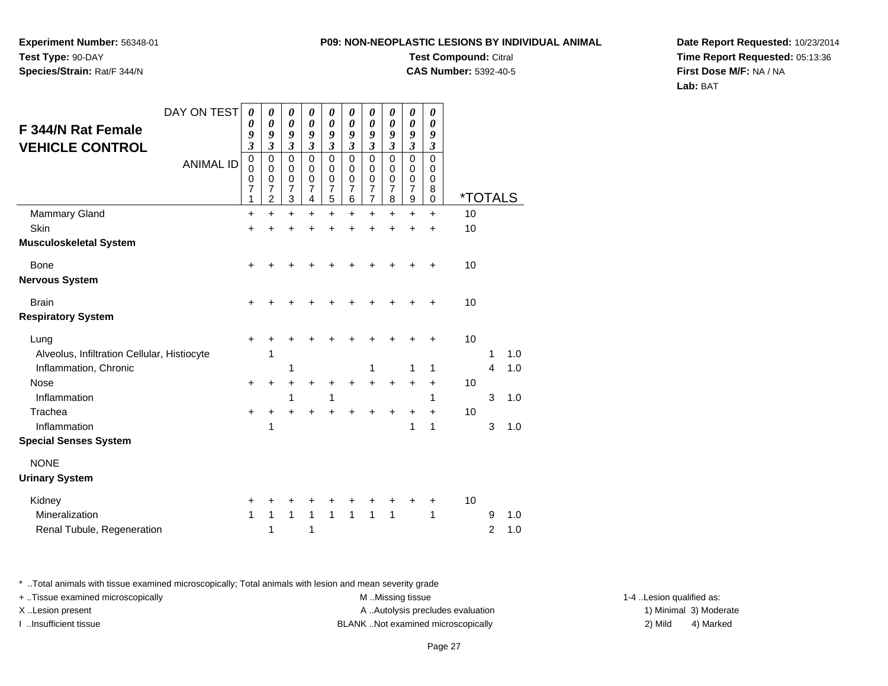**Experiment Number:** 56348-01**Test Type:** 90-DAY**Species/Strain:** Rat/F 344/N

### **Test Compound:** Citral

**CAS Number:** 5392-40-5

**Date Report Requested:** 10/23/2014**Time Report Requested:** 05:13:36**First Dose M/F:** NA / NA**Lab:** BAT

|                                             | DAY ON TEST      | 0                          | 0                          | 0                             | 0                          | 0                           | 0                          | 0                           | 0                | 0                           | 0                                   |                       |                |     |
|---------------------------------------------|------------------|----------------------------|----------------------------|-------------------------------|----------------------------|-----------------------------|----------------------------|-----------------------------|------------------|-----------------------------|-------------------------------------|-----------------------|----------------|-----|
| <b>F 344/N Rat Female</b>                   |                  | 0<br>9                     | 0<br>9                     | $\boldsymbol{\theta}$<br>9    | 0<br>9                     | $\boldsymbol{\theta}$<br>9  | $\boldsymbol{\theta}$<br>9 | $\boldsymbol{\theta}$<br>9  | 0<br>9           | $\boldsymbol{\theta}$<br>9  | $\boldsymbol{\theta}$<br>9          |                       |                |     |
| <b>VEHICLE CONTROL</b>                      |                  | $\mathfrak{z}$             | $\mathfrak{z}$             | $\mathfrak{z}$                | $\mathfrak{z}$             | $\mathfrak{z}$              | $\mathfrak{z}$             | $\mathfrak{z}$              | $\mathfrak{z}$   | $\mathfrak{z}$              | $\boldsymbol{\beta}$<br>$\mathbf 0$ |                       |                |     |
|                                             | <b>ANIMAL ID</b> | $\mathbf 0$<br>$\mathbf 0$ | $\mathbf 0$<br>$\mathbf 0$ | $\mathbf 0$<br>$\pmb{0}$      | $\mathbf 0$<br>$\mathbf 0$ | $\pmb{0}$<br>$\pmb{0}$      | $\mathbf 0$<br>$\mathbf 0$ | $\mathbf 0$<br>$\mathbf 0$  | $\mathbf 0$<br>0 | $\mathbf 0$<br>$\mathbf 0$  | $\mathbf 0$                         |                       |                |     |
|                                             |                  | 0<br>7                     | 0<br>7                     | $\mathbf 0$<br>$\overline{7}$ | $\mathbf 0$<br>7           | $\pmb{0}$<br>$\overline{7}$ | 0<br>7                     | $\pmb{0}$<br>$\overline{7}$ | 0<br>7           | $\pmb{0}$<br>$\overline{7}$ | 0<br>8                              |                       |                |     |
|                                             |                  | 1                          | $\overline{2}$             | 3                             | $\overline{\mathbf{4}}$    | 5                           | 6                          | $\overline{7}$              | 8                | $\boldsymbol{9}$            | 0                                   | <i><b>*TOTALS</b></i> |                |     |
| <b>Mammary Gland</b>                        |                  | +                          | +                          | $\ddot{}$                     | +                          | $\ddot{}$                   | +                          | +                           | ÷                | +                           | $\div$                              | 10                    |                |     |
| Skin<br><b>Musculoskeletal System</b>       |                  | +                          |                            |                               |                            | +                           |                            | +                           | +                | $\ddot{}$                   | $\ddot{}$                           | 10                    |                |     |
|                                             |                  |                            |                            |                               |                            |                             |                            |                             |                  |                             |                                     |                       |                |     |
| Bone                                        |                  | +                          |                            |                               |                            |                             |                            | +                           | +                | +                           | ÷                                   | 10                    |                |     |
| <b>Nervous System</b>                       |                  |                            |                            |                               |                            |                             |                            |                             |                  |                             |                                     |                       |                |     |
| <b>Brain</b>                                |                  | $\ddot{}$                  |                            |                               |                            |                             |                            |                             |                  |                             | ÷                                   | 10                    |                |     |
| <b>Respiratory System</b>                   |                  |                            |                            |                               |                            |                             |                            |                             |                  |                             |                                     |                       |                |     |
| Lung                                        |                  | $\ddot{}$                  |                            |                               |                            |                             | +                          | +                           | +                | +                           | +                                   | 10                    |                |     |
| Alveolus, Infiltration Cellular, Histiocyte |                  |                            | 1                          |                               |                            |                             |                            |                             |                  |                             |                                     |                       | 1              | 1.0 |
| Inflammation, Chronic                       |                  |                            |                            | 1                             |                            |                             |                            | 1                           |                  | 1                           | 1                                   |                       | 4              | 1.0 |
| <b>Nose</b>                                 |                  | +                          | +                          | +                             |                            | +                           | +                          | $\ddot{}$                   | +                | +                           | $\ddot{}$                           | 10                    |                |     |
| Inflammation                                |                  |                            |                            | 1                             |                            | 1                           |                            |                             |                  |                             | 1                                   |                       | 3              | 1.0 |
| Trachea                                     |                  | $\ddot{}$                  | +                          |                               |                            |                             |                            |                             | +                | +                           | $\ddot{}$                           | 10                    |                |     |
| Inflammation                                |                  |                            | 1                          |                               |                            |                             |                            |                             |                  | 1                           | 1                                   |                       | 3              | 1.0 |
| <b>Special Senses System</b>                |                  |                            |                            |                               |                            |                             |                            |                             |                  |                             |                                     |                       |                |     |
| <b>NONE</b>                                 |                  |                            |                            |                               |                            |                             |                            |                             |                  |                             |                                     |                       |                |     |
| <b>Urinary System</b>                       |                  |                            |                            |                               |                            |                             |                            |                             |                  |                             |                                     |                       |                |     |
| Kidney                                      |                  | +                          | +                          | +                             | +                          | +                           | +                          | +                           | +                | +                           | +                                   | 10                    |                |     |
| Mineralization                              |                  | 1                          | 1                          | $\mathbf{1}$                  | $\mathbf{1}$               | $\mathbf{1}$                | 1                          | $\mathbf{1}$                | 1                |                             | 1                                   |                       | 9              | 1.0 |
| Renal Tubule, Regeneration                  |                  |                            | 1                          |                               | 1                          |                             |                            |                             |                  |                             |                                     |                       | $\overline{c}$ | 1.0 |

\* ..Total animals with tissue examined microscopically; Total animals with lesion and mean severity grade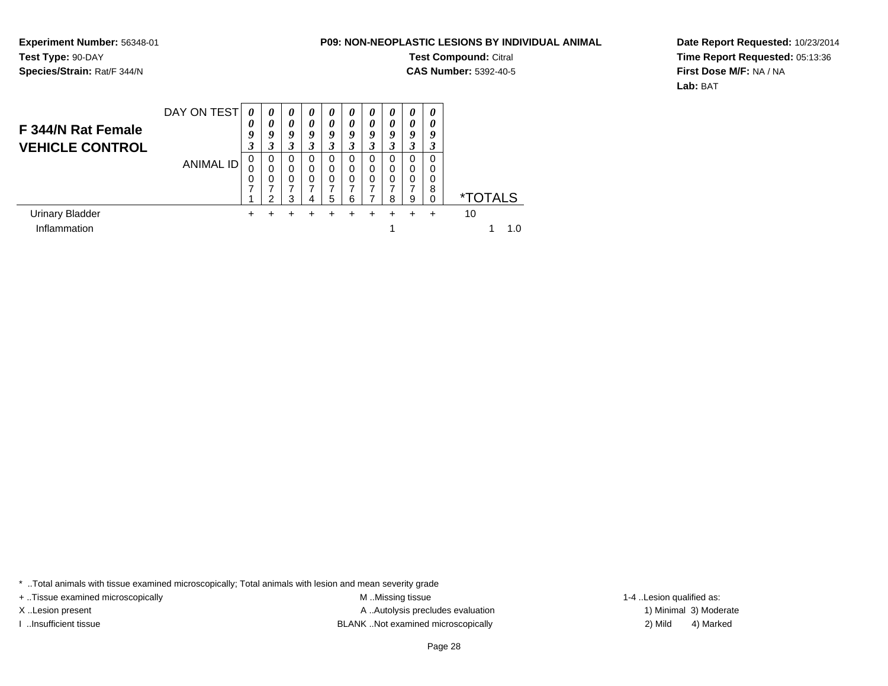**Experiment Number:** 56348-01**Test Type:** 90-DAY**Species/Strain:** Rat/F 344/N

**Test Compound:** Citral **CAS Number:** 5392-40-5

**Date Report Requested:** 10/23/2014**Time Report Requested:** 05:13:36**First Dose M/F:** NA / NA**Lab:** BAT

| F 344/N Rat Female<br><b>VEHICLE CONTROL</b> | DAY ON TEST | 0<br>0<br>9<br>3 | $\boldsymbol{\theta}$<br>0<br>9<br>3 | 0<br>$\boldsymbol{\theta}$<br>9<br>3 | $\boldsymbol{\theta}$<br>0<br>9<br>3 | $\boldsymbol{\theta}$<br>0<br>9<br>3 | $\boldsymbol{\theta}$<br>0<br>9 | 0<br>$\boldsymbol{\theta}$<br>9<br>3 | 0<br>0<br>9<br>3 | 0<br>0<br>9<br>3      | 0<br>0<br>9           |                       |
|----------------------------------------------|-------------|------------------|--------------------------------------|--------------------------------------|--------------------------------------|--------------------------------------|---------------------------------|--------------------------------------|------------------|-----------------------|-----------------------|-----------------------|
|                                              | ANIMAL ID   | 0<br>0<br>⇁      | 0<br>0<br>0<br>ົ                     | 0<br>$\mathbf 0$<br>0<br>7<br>3      | 0<br>0<br>0<br>4                     | 0<br>0<br>0<br>5                     | 0<br>0<br>0<br>6                | 0<br>0<br>0                          | 0<br>0<br>0<br>8 | 0<br>0<br>0<br>⇁<br>9 | 0<br>0<br>0<br>8<br>0 | <i><b>*TOTALS</b></i> |
| <b>Urinary Bladder</b>                       |             | ٠                |                                      |                                      |                                      |                                      |                                 |                                      |                  |                       |                       | 10                    |
| Inflammation                                 |             |                  |                                      |                                      |                                      |                                      |                                 |                                      |                  |                       |                       | 1 በ                   |

\* ..Total animals with tissue examined microscopically; Total animals with lesion and mean severity grade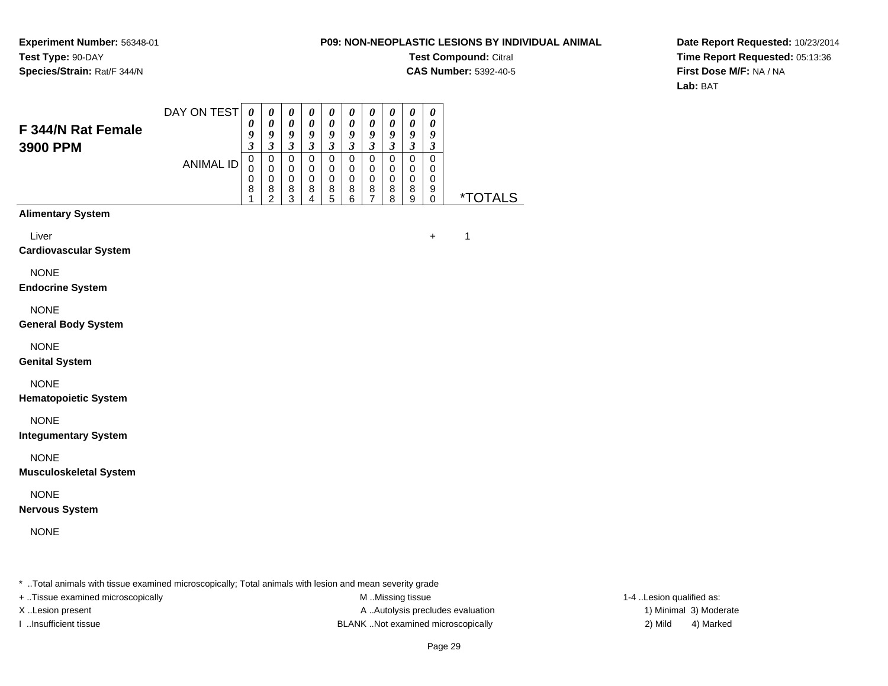**Experiment Number:** 56348-01**Test Type:** 90-DAY**Species/Strain:** Rat/F 344/N

**Test Compound:** Citral

**CAS Number:** 5392-40-5

**Date Report Requested:** 10/23/2014**Time Report Requested:** 05:13:36**First Dose M/F:** NA / NA**Lab:** BAT

|                                                                                                         | DAY ON TEST      | $\boldsymbol{\theta}$<br>0      | $\boldsymbol{\theta}$<br>0                           | 0<br>0                                         | $\boldsymbol{\theta}$<br>$\boldsymbol{\theta}$  | $\boldsymbol{\theta}$<br>0                                               | $\boldsymbol{\theta}$<br>0                           | $\pmb{\theta}$<br>0                              | $\boldsymbol{\theta}$<br>0                           | $\boldsymbol{\theta}$<br>$\boldsymbol{\theta}$                   | 0<br>$\boldsymbol{\theta}$                |         |
|---------------------------------------------------------------------------------------------------------|------------------|---------------------------------|------------------------------------------------------|------------------------------------------------|-------------------------------------------------|--------------------------------------------------------------------------|------------------------------------------------------|--------------------------------------------------|------------------------------------------------------|------------------------------------------------------------------|-------------------------------------------|---------|
| <b>F 344/N Rat Female</b><br>3900 PPM                                                                   |                  | 9<br>$\boldsymbol{\beta}$       | $\boldsymbol{g}$<br>$\boldsymbol{\beta}$             | 9<br>$\boldsymbol{\mathfrak{z}}$               | $\boldsymbol{g}$<br>$\boldsymbol{\beta}$        | 9<br>$\boldsymbol{\beta}$                                                | 9<br>$\boldsymbol{\mathfrak{z}}$                     | 9<br>$\boldsymbol{\mathfrak{z}}$                 | 9<br>$\boldsymbol{\beta}$                            | $\boldsymbol{g}$<br>$\boldsymbol{\beta}$                         | $\boldsymbol{g}$<br>$\boldsymbol{\beta}$  |         |
|                                                                                                         | <b>ANIMAL ID</b> | $\mathbf 0$<br>0<br>0<br>8<br>1 | $\mathbf 0$<br>0<br>$\pmb{0}$<br>8<br>$\overline{2}$ | $\mathbf 0$<br>0<br>$\pmb{0}$<br>$\frac{8}{3}$ | $\pmb{0}$<br>$\mathbf 0$<br>$\pmb{0}$<br>8<br>4 | $\mathbf 0$<br>0<br>$\mathbf 0$<br>$\begin{array}{c} 8 \\ 5 \end{array}$ | $\mathbf 0$<br>0<br>$\pmb{0}$<br>8<br>$\overline{6}$ | $\mathbf 0$<br>0<br>$\mathbf 0$<br>$\frac{8}{7}$ | $\mathbf 0$<br>0<br>$\pmb{0}$<br>8<br>$\overline{8}$ | $\mathbf 0$<br>$\mathbf 0$<br>$\mathbf 0$<br>8<br>$\overline{9}$ | $\mathbf 0$<br>0<br>0<br>9<br>$\mathbf 0$ | *TOTALS |
| <b>Alimentary System</b>                                                                                |                  |                                 |                                                      |                                                |                                                 |                                                                          |                                                      |                                                  |                                                      |                                                                  |                                           |         |
| Liver<br><b>Cardiovascular System</b>                                                                   |                  |                                 |                                                      |                                                |                                                 |                                                                          |                                                      |                                                  |                                                      |                                                                  | $\ddot{}$                                 | 1       |
| <b>NONE</b><br><b>Endocrine System</b>                                                                  |                  |                                 |                                                      |                                                |                                                 |                                                                          |                                                      |                                                  |                                                      |                                                                  |                                           |         |
| <b>NONE</b><br><b>General Body System</b>                                                               |                  |                                 |                                                      |                                                |                                                 |                                                                          |                                                      |                                                  |                                                      |                                                                  |                                           |         |
| <b>NONE</b><br><b>Genital System</b>                                                                    |                  |                                 |                                                      |                                                |                                                 |                                                                          |                                                      |                                                  |                                                      |                                                                  |                                           |         |
| <b>NONE</b><br><b>Hematopoietic System</b>                                                              |                  |                                 |                                                      |                                                |                                                 |                                                                          |                                                      |                                                  |                                                      |                                                                  |                                           |         |
| <b>NONE</b><br><b>Integumentary System</b>                                                              |                  |                                 |                                                      |                                                |                                                 |                                                                          |                                                      |                                                  |                                                      |                                                                  |                                           |         |
| <b>NONE</b><br><b>Musculoskeletal System</b>                                                            |                  |                                 |                                                      |                                                |                                                 |                                                                          |                                                      |                                                  |                                                      |                                                                  |                                           |         |
| <b>NONE</b><br><b>Nervous System</b>                                                                    |                  |                                 |                                                      |                                                |                                                 |                                                                          |                                                      |                                                  |                                                      |                                                                  |                                           |         |
| <b>NONE</b>                                                                                             |                  |                                 |                                                      |                                                |                                                 |                                                                          |                                                      |                                                  |                                                      |                                                                  |                                           |         |
| * Total animals with tissue examined microscopically; Total animals with lesion and mean severity grade |                  |                                 |                                                      |                                                |                                                 |                                                                          |                                                      |                                                  |                                                      |                                                                  |                                           |         |

+ ..Tissue examined microscopically examined microscopically examined as:  $M$  ..Missing tissue 1-4 ..Lesion qualified as:

X..Lesion present **A ..Autolysis precludes evaluation** A ..Autolysis precludes evaluation 1) Minimal 3) Moderate I ..Insufficient tissue BLANK ..Not examined microscopically 2) Mild 4) Marked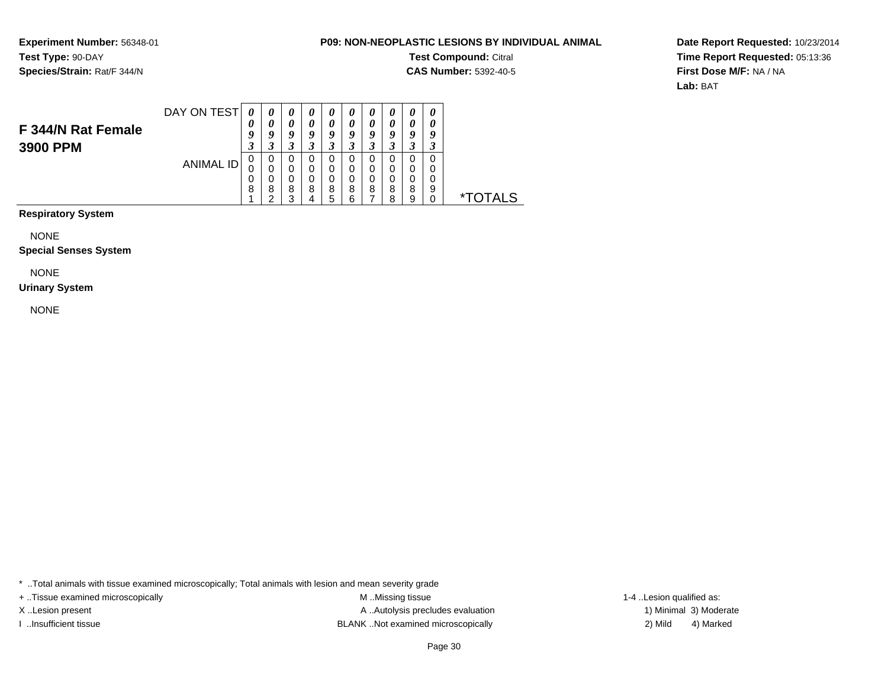**Experiment Number:** 56348-01**Test Type:** 90-DAY**Species/Strain:** Rat/F 344/N

#### **P09: NON-NEOPLASTIC LESIONS BY INDIVIDUAL ANIMAL**

**Test Compound:** Citral

**CAS Number:** 5392-40-5

**Date Report Requested:** 10/23/2014**Time Report Requested:** 05:13:36**First Dose M/F:** NA / NA**Lab:** BAT

| F 344/N Rat Female | DAY ON TEST | U<br>Q | U<br>U | $\boldsymbol{\theta}$<br>0<br>o | U<br>G | 0<br>0<br>Q | o           | U<br>0<br>о | o            | $\boldsymbol{\theta}$<br>u | o           |             |
|--------------------|-------------|--------|--------|---------------------------------|--------|-------------|-------------|-------------|--------------|----------------------------|-------------|-------------|
| 3900 PPM           | ANIMAL ID   | ີ      | 0      | 0<br>0<br>0                     |        | 0<br>0<br>0 | C<br>0<br>0 | 0<br>0<br>0 | U<br>0<br>0  | 0<br>0<br>0                | 0<br>0<br>0 |             |
|                    |             | υ<br>8 | 8<br>◠ | 8<br>◠                          | 8      | 8<br>ς      | 8<br>⌒      | 8           | 8<br>$\circ$ | 8<br>9                     | 9           | TAI S<br>×. |

**Respiratory System**

NONE

#### **Special Senses System**

NONE

#### **Urinary System**

NONE

\* ..Total animals with tissue examined microscopically; Total animals with lesion and mean severity grade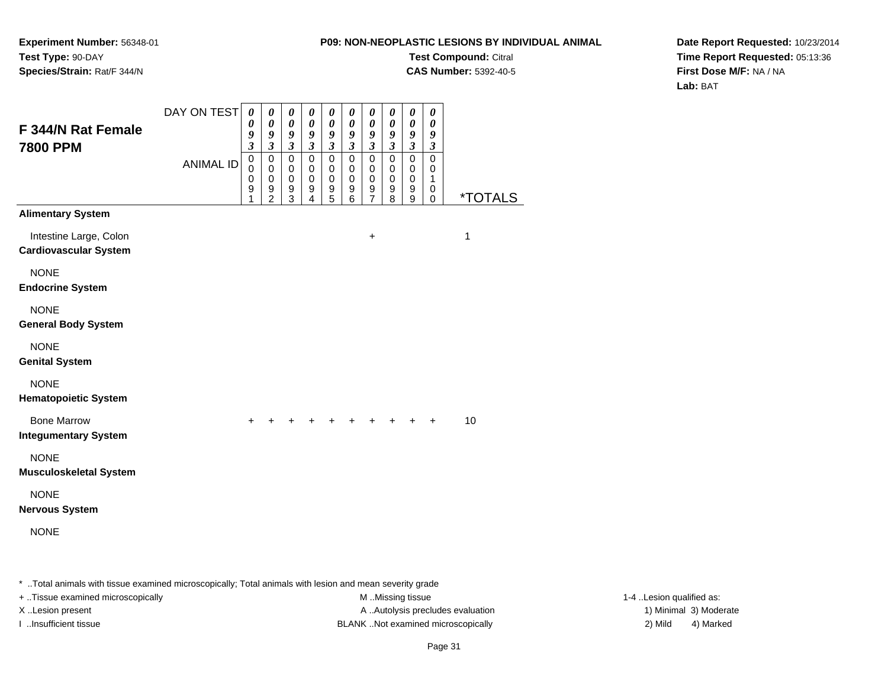**Experiment Number:** 56348-01**Test Type:** 90-DAY**Species/Strain:** Rat/F 344/N

**Test Compound:** Citral

**CAS Number:** 5392-40-5

**Date Report Requested:** 10/23/2014**Time Report Requested:** 05:13:36**First Dose M/F:** NA / NA**Lab:** BAT

| <b>F344/N Rat Female</b><br><b>7800 PPM</b>            | DAY ON TEST      | 0<br>$\pmb{\theta}$<br>9<br>$\mathfrak{z}$          | 0<br>$\pmb{\theta}$<br>9<br>$\overline{\mathbf{3}}$    | 0<br>$\pmb{\theta}$<br>$\boldsymbol{g}$<br>$\mathfrak{z}$ | $\boldsymbol{\theta}$<br>$\boldsymbol{\theta}$<br>$\boldsymbol{g}$<br>$\mathfrak{z}$ | 0<br>$\boldsymbol{\theta}$<br>9<br>$\mathfrak{z}$      | 0<br>$\pmb{\theta}$<br>$\boldsymbol{g}$<br>$\mathfrak{z}$ | 0<br>$\pmb{\theta}$<br>$\pmb{9}$<br>$\mathfrak{z}$   | 0<br>$\boldsymbol{\theta}$<br>$\boldsymbol{g}$<br>$\mathfrak{z}$ | $\pmb{\theta}$<br>$\pmb{\theta}$<br>$\boldsymbol{g}$<br>$\mathfrak{z}$ | 0<br>$\boldsymbol{\theta}$<br>$\boldsymbol{g}$<br>$\mathfrak{z}$ |                       |
|--------------------------------------------------------|------------------|-----------------------------------------------------|--------------------------------------------------------|-----------------------------------------------------------|--------------------------------------------------------------------------------------|--------------------------------------------------------|-----------------------------------------------------------|------------------------------------------------------|------------------------------------------------------------------|------------------------------------------------------------------------|------------------------------------------------------------------|-----------------------|
|                                                        | <b>ANIMAL ID</b> | $\mathsf 0$<br>$\mathbf 0$<br>$\mathbf 0$<br>9<br>1 | 0<br>$\mathbf 0$<br>$\mathbf 0$<br>9<br>$\overline{2}$ | $\pmb{0}$<br>$\mathbf 0$<br>$\mathbf 0$<br>9<br>3         | $\mathsf 0$<br>0<br>$\pmb{0}$<br>9<br>4                                              | $\mathbf 0$<br>0<br>$\mathbf 0$<br>9<br>$\overline{5}$ | $\mathbf 0$<br>0<br>$\pmb{0}$<br>9<br>6                   | $\pmb{0}$<br>0<br>$\mathbf 0$<br>9<br>$\overline{7}$ | $\mathbf 0$<br>0<br>$\mathbf 0$<br>9<br>8                        | $\mathbf 0$<br>$\mathbf 0$<br>$\mathbf 0$<br>9<br>9                    | $\mathbf 0$<br>0<br>$\mathbf{1}$<br>0<br>0                       | <i><b>*TOTALS</b></i> |
| <b>Alimentary System</b>                               |                  |                                                     |                                                        |                                                           |                                                                                      |                                                        |                                                           |                                                      |                                                                  |                                                                        |                                                                  |                       |
| Intestine Large, Colon<br><b>Cardiovascular System</b> |                  |                                                     |                                                        |                                                           |                                                                                      |                                                        |                                                           | $\ddot{}$                                            |                                                                  |                                                                        |                                                                  | 1                     |
| <b>NONE</b><br><b>Endocrine System</b>                 |                  |                                                     |                                                        |                                                           |                                                                                      |                                                        |                                                           |                                                      |                                                                  |                                                                        |                                                                  |                       |
| <b>NONE</b><br><b>General Body System</b>              |                  |                                                     |                                                        |                                                           |                                                                                      |                                                        |                                                           |                                                      |                                                                  |                                                                        |                                                                  |                       |
| <b>NONE</b><br><b>Genital System</b>                   |                  |                                                     |                                                        |                                                           |                                                                                      |                                                        |                                                           |                                                      |                                                                  |                                                                        |                                                                  |                       |
| <b>NONE</b><br><b>Hematopoietic System</b>             |                  |                                                     |                                                        |                                                           |                                                                                      |                                                        |                                                           |                                                      |                                                                  |                                                                        |                                                                  |                       |
| <b>Bone Marrow</b><br><b>Integumentary System</b>      |                  |                                                     |                                                        |                                                           |                                                                                      |                                                        |                                                           |                                                      |                                                                  |                                                                        | $\ddot{}$                                                        | 10                    |
| <b>NONE</b><br><b>Musculoskeletal System</b>           |                  |                                                     |                                                        |                                                           |                                                                                      |                                                        |                                                           |                                                      |                                                                  |                                                                        |                                                                  |                       |
| <b>NONE</b><br><b>Nervous System</b>                   |                  |                                                     |                                                        |                                                           |                                                                                      |                                                        |                                                           |                                                      |                                                                  |                                                                        |                                                                  |                       |
| <b>NONE</b>                                            |                  |                                                     |                                                        |                                                           |                                                                                      |                                                        |                                                           |                                                      |                                                                  |                                                                        |                                                                  |                       |
|                                                        |                  |                                                     |                                                        |                                                           |                                                                                      |                                                        |                                                           |                                                      |                                                                  |                                                                        |                                                                  |                       |

\* ..Total animals with tissue examined microscopically; Total animals with lesion and mean severity grade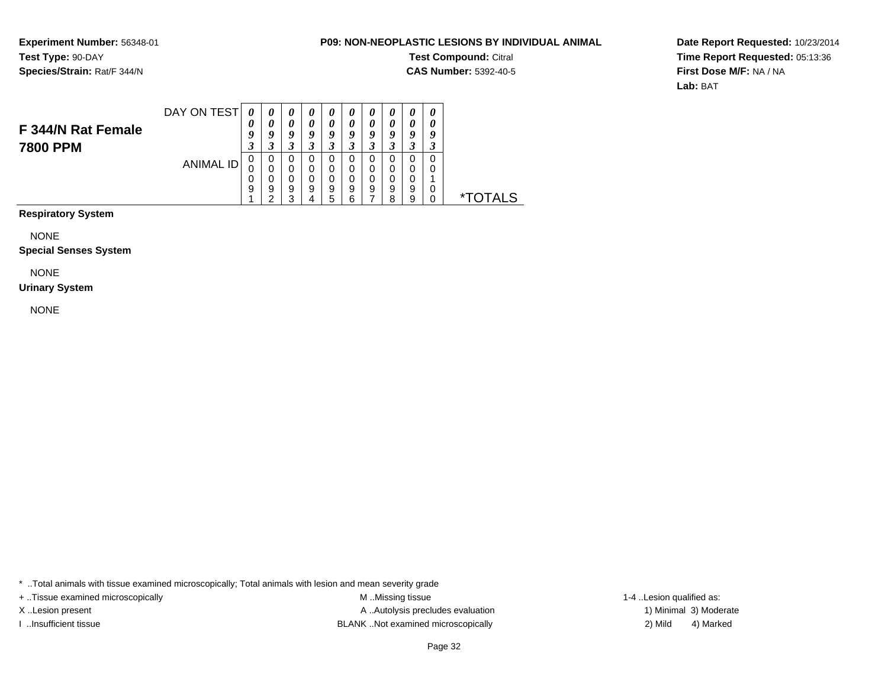**Experiment Number:** 56348-01**Test Type:** 90-DAY**Species/Strain:** Rat/F 344/N

#### **P09: NON-NEOPLASTIC LESIONS BY INDIVIDUAL ANIMAL**

**Test Compound:** Citral

**CAS Number:** 5392-40-5

**Date Report Requested:** 10/23/2014**Time Report Requested:** 05:13:36**First Dose M/F:** NA / NA**Lab:** BAT

| F 344/N Rat Female | DAY ON TEST | 0<br>U<br>◠           | U      | U<br>$\boldsymbol{\theta}$<br>o | U<br>U  | $\boldsymbol{\theta}$<br>$\boldsymbol{\theta}$<br>q | U<br>o        | $\boldsymbol{\theta}$<br>0<br>Q | 0<br>0<br>O             | 0<br>0<br>0                 | 0<br>0<br>Q       |               |
|--------------------|-------------|-----------------------|--------|---------------------------------|---------|-----------------------------------------------------|---------------|---------------------------------|-------------------------|-----------------------------|-------------------|---------------|
| <b>7800 PPM</b>    | ANIMAL ID   | J<br>U<br>U<br>U<br>9 | υ<br>9 | <br>9<br>⌒                      | لم<br>9 | J<br>0<br>0<br>0<br>9<br>5                          | 0<br>9<br>ี่ค | <br>0<br>0<br>0<br>9            | - 1<br>0<br>0<br>9<br>o | .,<br>0<br>0<br>0<br>9<br>9 | ر.<br>0<br>0<br>0 | T A I S<br>×. |

**Respiratory System**

NONE

#### **Special Senses System**

NONE

#### **Urinary System**

NONE

\* ..Total animals with tissue examined microscopically; Total animals with lesion and mean severity grade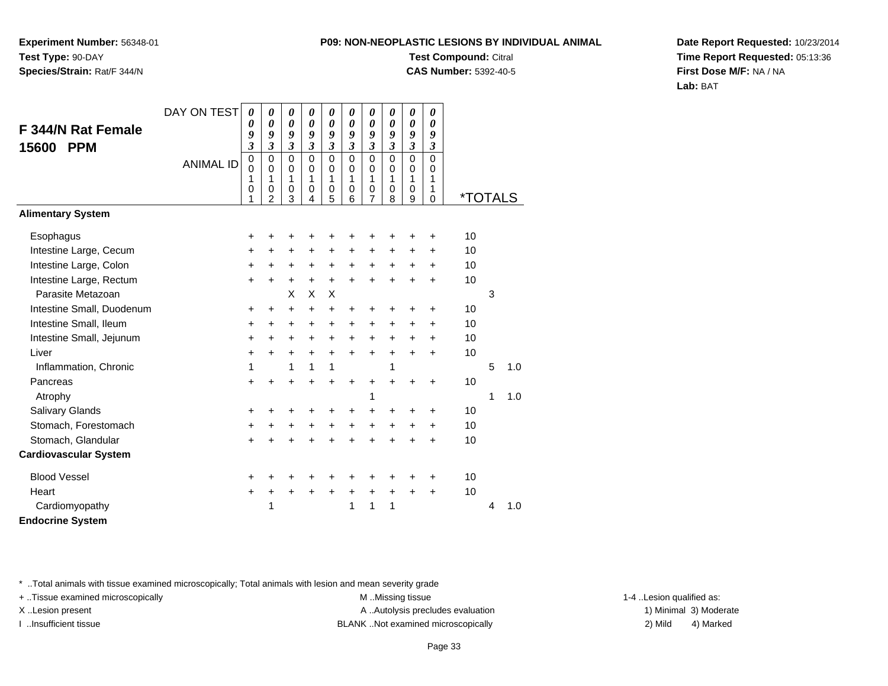**Experiment Number:** 56348-01**Test Type:** 90-DAY**Species/Strain:** Rat/F 344/N

# **Test Compound:** Citral

**CAS Number:** 5392-40-5

**Date Report Requested:** 10/23/2014**Time Report Requested:** 05:13:36**First Dose M/F:** NA / NA**Lab:** BAT

|                              | DAY ON TEST      | 0                         | 0                           | 0                          | $\boldsymbol{\theta}$      | 0                    | 0                    | $\boldsymbol{\theta}$              | 0                          | 0                       | 0                    |                       |   |     |
|------------------------------|------------------|---------------------------|-----------------------------|----------------------------|----------------------------|----------------------|----------------------|------------------------------------|----------------------------|-------------------------|----------------------|-----------------------|---|-----|
| <b>F 344/N Rat Female</b>    |                  | 0<br>9                    | 0<br>9                      | 0<br>9                     | 0<br>9                     | 0<br>9               | 0<br>9               | $\boldsymbol{\theta}$<br>9         | $\boldsymbol{\theta}$<br>9 | 0<br>$\boldsymbol{g}$   | 0<br>9               |                       |   |     |
| 15600<br><b>PPM</b>          |                  | $\overline{\mathbf{3}}$   | $\boldsymbol{\mathfrak{z}}$ | $\overline{\mathbf{3}}$    | $\mathfrak{z}$             | $\boldsymbol{\beta}$ | $\boldsymbol{\beta}$ | $\mathfrak{z}$                     | $\mathfrak{z}$             | $\boldsymbol{\beta}$    | $\boldsymbol{\beta}$ |                       |   |     |
|                              | <b>ANIMAL ID</b> | $\pmb{0}$<br>$\mathbf{0}$ | $\pmb{0}$<br>$\mathbf 0$    | $\mathbf 0$<br>$\mathbf 0$ | $\mathbf 0$<br>$\mathbf 0$ | $\mathbf 0$<br>0     | $\mathbf 0$<br>0     | $\mathbf 0$<br>$\mathbf 0$         | $\mathbf 0$<br>$\pmb{0}$   | $\Omega$<br>$\mathbf 0$ | $\mathbf 0$<br>0     |                       |   |     |
|                              |                  | 1                         | 1                           | 1                          | 1                          | 1                    | 1                    | 1                                  | 1                          | 1                       | 1                    |                       |   |     |
|                              |                  | 0<br>1                    | $\mathbf 0$<br>2            | 0<br>3                     | $\mathbf 0$<br>4           | 0<br>5               | 0<br>6               | $\boldsymbol{0}$<br>$\overline{7}$ | $\pmb{0}$<br>8             | $\pmb{0}$<br>9          | 1<br>$\mathbf 0$     | <i><b>*TOTALS</b></i> |   |     |
| <b>Alimentary System</b>     |                  |                           |                             |                            |                            |                      |                      |                                    |                            |                         |                      |                       |   |     |
| Esophagus                    |                  | +                         | +                           | +                          | +                          | +                    | +                    | +                                  | +                          | +                       | $\ddot{}$            | 10                    |   |     |
| Intestine Large, Cecum       |                  | $\ddot{}$                 | +                           | +                          | $\ddot{}$                  | +                    | $\ddot{}$            | $\ddot{}$                          | $\ddot{}$                  | $\ddot{}$               | $\ddot{}$            | 10                    |   |     |
| Intestine Large, Colon       |                  | +                         | $\ddot{}$                   | $\ddot{}$                  | +                          | $\ddot{}$            | $\ddot{}$            | $\ddot{}$                          | +                          | $\ddot{}$               | $\ddot{}$            | 10                    |   |     |
| Intestine Large, Rectum      |                  | $\ddot{}$                 | $+$                         | $\ddot{}$                  | $\ddot{}$                  | $+$                  | $\ddot{}$            | $\ddot{}$                          | $+$                        | $\ddot{}$               | $+$                  | 10                    |   |     |
| Parasite Metazoan            |                  |                           |                             | X                          | X                          | X                    |                      |                                    |                            |                         |                      |                       | 3 |     |
| Intestine Small, Duodenum    |                  | +                         | $\ddot{}$                   | $\pm$                      | $\ddot{}$                  | +                    | +                    | +                                  | +                          | +                       | $\ddot{}$            | 10                    |   |     |
| Intestine Small, Ileum       |                  | $\ddot{}$                 | $\ddot{}$                   | +                          | $\ddot{}$                  | $\ddot{}$            | $\ddot{}$            | $\ddot{}$                          | $\ddot{}$                  | $\ddot{}$               | $\ddot{}$            | 10                    |   |     |
| Intestine Small, Jejunum     |                  | $\ddot{}$                 | $\ddot{}$                   | +                          | $\ddot{}$                  | +                    | $\ddot{}$            | $\ddot{}$                          | $\ddot{}$                  | +                       | +                    | 10                    |   |     |
| Liver                        |                  | $\ddot{}$                 | $\ddot{}$                   | +                          | $\ddot{}$                  | $\ddot{}$            | $\ddot{}$            | $\ddot{}$                          | $\ddot{}$                  | $\ddot{}$               | $\ddot{}$            | 10                    |   |     |
| Inflammation, Chronic        |                  | 1                         |                             | 1                          | 1                          | 1                    |                      |                                    | 1                          |                         |                      |                       | 5 | 1.0 |
| Pancreas                     |                  | $\ddot{}$                 | $\ddot{}$                   | $\ddot{}$                  | $\ddot{}$                  | $\ddot{}$            | $\ddot{}$            | $\ddot{}$                          | $\ddot{}$                  | +                       | $\ddot{}$            | 10                    |   |     |
| Atrophy                      |                  |                           |                             |                            |                            |                      |                      | 1                                  |                            |                         |                      |                       | 1 | 1.0 |
| Salivary Glands              |                  | +                         | ٠                           | +                          | +                          | $\ddot{}$            | +                    | $\ddot{}$                          | +                          | +                       | $\ddot{}$            | 10                    |   |     |
| Stomach, Forestomach         |                  | $\ddot{}$                 | $\ddot{}$                   | $\ddot{}$                  | +                          | $\ddot{}$            | $\ddot{}$            | $\ddot{}$                          | $\ddot{}$                  | $\ddot{}$               | $\ddot{}$            | 10                    |   |     |
| Stomach, Glandular           |                  | $\ddot{}$                 | $\ddot{}$                   | $\ddot{}$                  | $\ddot{}$                  | $\ddot{}$            | $\ddot{}$            | $\ddot{}$                          | $\ddot{}$                  | $\ddot{}$               | $\ddot{}$            | 10                    |   |     |
| <b>Cardiovascular System</b> |                  |                           |                             |                            |                            |                      |                      |                                    |                            |                         |                      |                       |   |     |
| <b>Blood Vessel</b>          |                  | $\pm$                     |                             |                            | ٠                          |                      | +                    |                                    |                            | +                       | ÷                    | 10                    |   |     |
| Heart                        |                  | $\ddot{}$                 | $\ddot{}$                   | $\ddot{}$                  | $\ddot{}$                  | $\ddot{}$            | $\ddot{}$            | $\boldsymbol{+}$                   | $\ddot{}$                  | $\ddot{}$               | $\ddot{}$            | 10                    |   |     |
| Cardiomyopathy               |                  |                           | 1                           |                            |                            |                      | 1                    | 1                                  | 1                          |                         |                      |                       | 4 | 1.0 |
| <b>Endocrine System</b>      |                  |                           |                             |                            |                            |                      |                      |                                    |                            |                         |                      |                       |   |     |

\* ..Total animals with tissue examined microscopically; Total animals with lesion and mean severity grade

+ ..Tissue examined microscopically examined microscopically examined as:  $M$  ..Missing tissue 1-4 ..Lesion qualified as:

X..Lesion present **A ..Autolysis precludes evaluation** A ..Autolysis precludes evaluation 1) Minimal 3) Moderate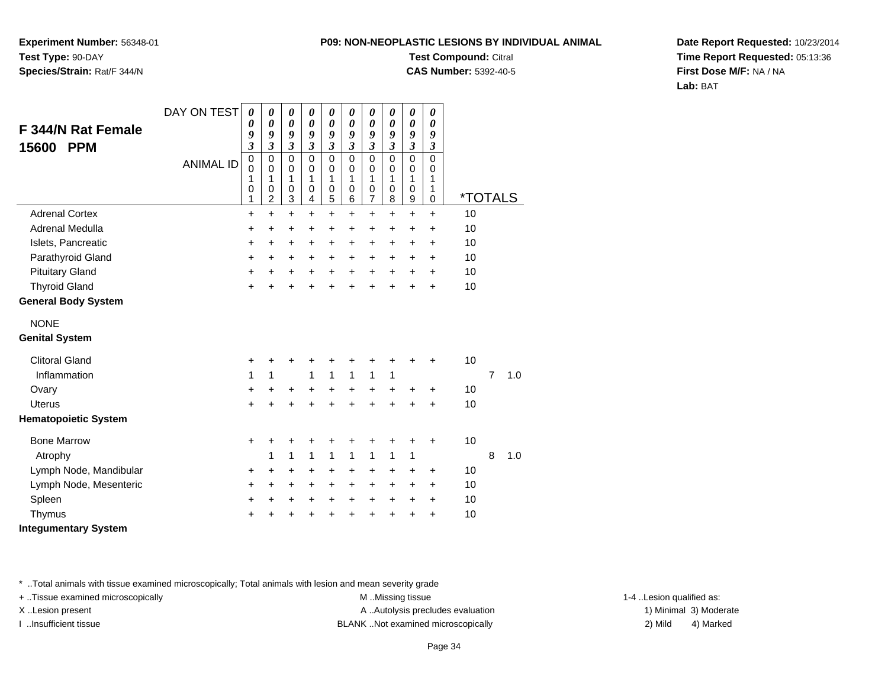**Experiment Number:** 56348-01**Test Type:** 90-DAY**Species/Strain:** Rat/F 344/N

### **Test Compound:** Citral

**CAS Number:** 5392-40-5

**Date Report Requested:** 10/23/2014**Time Report Requested:** 05:13:36**First Dose M/F:** NA / NA**Lab:** BAT

| F 344/N Rat Female<br>15600<br><b>PPM</b> | DAY ON TEST      | 0<br>0<br>9<br>3                          | 0<br>0<br>9<br>$\mathfrak{z}$                       | 0<br>$\boldsymbol{\theta}$<br>9<br>$\mathfrak{z}$ | 0<br>$\boldsymbol{\theta}$<br>9<br>$\mathfrak{z}$ | $\boldsymbol{\theta}$<br>$\boldsymbol{\theta}$<br>9<br>3 | 0<br>0<br>9<br>$\overline{\mathbf{3}}$ | 0<br>0<br>9<br>$\overline{\mathbf{3}}$ | $\boldsymbol{\theta}$<br>$\boldsymbol{\theta}$<br>9<br>$\mathfrak{z}$ | 0<br>$\boldsymbol{\theta}$<br>9<br>$\mathfrak{z}$ | 0<br>0<br>9<br>$\mathfrak{z}$       |                       |   |     |
|-------------------------------------------|------------------|-------------------------------------------|-----------------------------------------------------|---------------------------------------------------|---------------------------------------------------|----------------------------------------------------------|----------------------------------------|----------------------------------------|-----------------------------------------------------------------------|---------------------------------------------------|-------------------------------------|-----------------------|---|-----|
|                                           | <b>ANIMAL ID</b> | $\mathbf 0$<br>$\mathbf 0$<br>1<br>0<br>1 | $\mathbf 0$<br>$\Omega$<br>1<br>0<br>$\overline{2}$ | $\mathbf 0$<br>$\mathbf 0$<br>1<br>0<br>3         | $\mathbf 0$<br>$\mathbf 0$<br>1<br>0<br>4         | $\mathbf 0$<br>$\mathbf 0$<br>1<br>0<br>5                | 0<br>0<br>1<br>0<br>6                  | 0<br>0<br>1<br>0<br>7                  | $\Omega$<br>$\Omega$<br>1<br>0<br>8                                   | $\mathbf 0$<br>$\mathbf 0$<br>1<br>0<br>9         | $\Omega$<br>$\Omega$<br>1<br>1<br>0 | <i><b>*TOTALS</b></i> |   |     |
| <b>Adrenal Cortex</b>                     |                  | $\ddot{}$                                 | $\ddot{}$                                           | $\ddot{}$                                         | $\ddot{}$                                         | $\ddot{}$                                                | $\ddot{}$                              | $\ddot{}$                              | $\ddot{}$                                                             | $\ddot{}$                                         | $\ddot{}$                           | 10                    |   |     |
| <b>Adrenal Medulla</b>                    |                  | +                                         | +                                                   | +                                                 | +                                                 | $\pm$                                                    | $\pm$                                  | +                                      | $\ddot{}$                                                             | $\ddot{}$                                         | $\ddot{}$                           | 10                    |   |     |
| Islets, Pancreatic                        |                  | $\ddot{}$                                 | $\ddot{}$                                           | +                                                 | +                                                 | +                                                        | +                                      | +                                      | +                                                                     | $\ddot{}$                                         | $\ddot{}$                           | 10                    |   |     |
| Parathyroid Gland                         |                  | $\ddot{}$                                 | $\ddot{}$                                           | +                                                 | $\ddot{}$                                         | $\ddot{}$                                                | $\pm$                                  | +                                      | $\pm$                                                                 | $\ddot{}$                                         | $\pm$                               | 10                    |   |     |
| <b>Pituitary Gland</b>                    |                  | $\ddot{}$                                 | +                                                   | +                                                 | $\ddot{}$                                         | $\ddot{}$                                                | +                                      | +                                      | +                                                                     | +                                                 | $\ddot{}$                           | 10                    |   |     |
| <b>Thyroid Gland</b>                      |                  | $+$                                       | ÷                                                   | $\ddot{}$                                         | $\ddot{}$                                         | $\ddot{}$                                                | $\ddot{}$                              | $\ddot{}$                              | ÷                                                                     | $\div$                                            | $\ddot{}$                           | 10                    |   |     |
| <b>General Body System</b>                |                  |                                           |                                                     |                                                   |                                                   |                                                          |                                        |                                        |                                                                       |                                                   |                                     |                       |   |     |
| <b>NONE</b>                               |                  |                                           |                                                     |                                                   |                                                   |                                                          |                                        |                                        |                                                                       |                                                   |                                     |                       |   |     |
| <b>Genital System</b>                     |                  |                                           |                                                     |                                                   |                                                   |                                                          |                                        |                                        |                                                                       |                                                   |                                     |                       |   |     |
| <b>Clitoral Gland</b>                     |                  | +                                         | +                                                   | +                                                 | +                                                 | +                                                        | +                                      | +                                      |                                                                       | +                                                 | +                                   | 10                    |   |     |
| Inflammation                              |                  | 1                                         | 1                                                   |                                                   | 1                                                 | 1                                                        | 1                                      | 1                                      | 1                                                                     |                                                   |                                     |                       | 7 | 1.0 |
| Ovary                                     |                  | +                                         | +                                                   | +                                                 | $\ddot{}$                                         | $\ddot{}$                                                | $\pm$                                  | $\ddot{}$                              | $\ddot{}$                                                             | $\ddot{}$                                         | ÷                                   | 10                    |   |     |
| <b>Uterus</b>                             |                  | $+$                                       | $\ddot{}$                                           | $\ddot{}$                                         | $\ddot{}$                                         | $\ddot{}$                                                | ÷                                      | $\ddot{}$                              | $\ddot{}$                                                             | $\ddot{}$                                         | $\ddot{}$                           | 10                    |   |     |
| <b>Hematopoietic System</b>               |                  |                                           |                                                     |                                                   |                                                   |                                                          |                                        |                                        |                                                                       |                                                   |                                     |                       |   |     |
| <b>Bone Marrow</b>                        |                  | +                                         | +                                                   | +                                                 | +                                                 | +                                                        | +                                      | +                                      | +                                                                     | +                                                 | +                                   | 10                    |   |     |
| Atrophy                                   |                  |                                           | 1                                                   | 1                                                 | 1                                                 | 1                                                        | 1                                      | 1                                      | 1                                                                     | $\mathbf{1}$                                      |                                     |                       | 8 | 1.0 |
| Lymph Node, Mandibular                    |                  | $\ddot{}$                                 | +                                                   | +                                                 | +                                                 | +                                                        | +                                      | +                                      | +                                                                     | +                                                 | +                                   | 10                    |   |     |
| Lymph Node, Mesenteric                    |                  | +                                         | $\ddot{}$                                           | $\ddot{}$                                         | $\ddot{}$                                         | $\ddot{}$                                                | $\ddot{}$                              | +                                      | $\ddot{}$                                                             | $\pm$                                             | $\pm$                               | 10                    |   |     |
| Spleen                                    |                  | +                                         | +                                                   | +                                                 | $\ddot{}$                                         | $\ddot{}$                                                | $\ddot{}$                              | +                                      | $\ddot{}$                                                             | $\ddot{}$                                         | $\ddot{}$                           | 10                    |   |     |
| Thymus                                    |                  | $\ddot{}$                                 |                                                     | $\ddot{}$                                         | +                                                 | $\ddot{}$                                                | +                                      | $\ddot{}$                              | +                                                                     | +                                                 | $\ddot{}$                           | 10                    |   |     |
| <b>Integumentary System</b>               |                  |                                           |                                                     |                                                   |                                                   |                                                          |                                        |                                        |                                                                       |                                                   |                                     |                       |   |     |

\* ..Total animals with tissue examined microscopically; Total animals with lesion and mean severity grade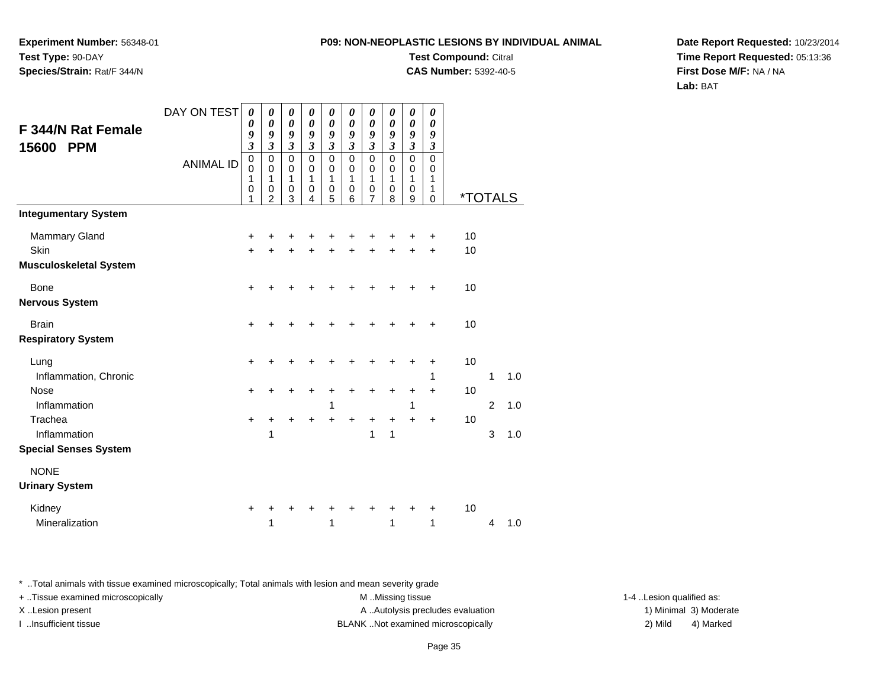**Experiment Number:** 56348-01**Test Type:** 90-DAY**Species/Strain:** Rat/F 344/N

# **Test Compound:** Citral

**CAS Number:** 5392-40-5

**Date Report Requested:** 10/23/2014**Time Report Requested:** 05:13:36**First Dose M/F:** NA / NA**Lab:** BAT

|                               | DAY ON TEST      | 0                           | 0                | $\boldsymbol{\theta}$      | $\boldsymbol{\theta}$      | $\pmb{\theta}$             | 0                           | 0                          | 0                           | 0                       | 0                           |                       |                |     |
|-------------------------------|------------------|-----------------------------|------------------|----------------------------|----------------------------|----------------------------|-----------------------------|----------------------------|-----------------------------|-------------------------|-----------------------------|-----------------------|----------------|-----|
| <b>F 344/N Rat Female</b>     |                  | 0<br>9                      | 0<br>9           | $\boldsymbol{\theta}$<br>9 | $\boldsymbol{\theta}$<br>9 | $\boldsymbol{\theta}$<br>9 | 0<br>9                      | $\boldsymbol{\theta}$<br>9 | 0<br>9                      | 0<br>9                  | 0<br>9                      |                       |                |     |
| <b>PPM</b><br>15600           |                  | $\boldsymbol{\mathfrak{z}}$ | $\mathfrak{z}$   | $\boldsymbol{\beta}$       | $\mathfrak{z}$             | $\overline{\mathbf{3}}$    | $\boldsymbol{\mathfrak{z}}$ | $\overline{\mathbf{3}}$    | $\boldsymbol{\mathfrak{z}}$ | $\overline{\mathbf{3}}$ | $\boldsymbol{\mathfrak{z}}$ |                       |                |     |
|                               | <b>ANIMAL ID</b> | $\mathbf 0$<br>$\mathbf 0$  | $\mathbf 0$<br>0 | $\mathbf 0$<br>0           | $\mathbf 0$<br>0           | $\mathbf 0$<br>$\mathbf 0$ | $\mathbf 0$<br>$\mathbf 0$  | 0<br>0                     | $\mathbf 0$<br>0            | $\mathsf 0$<br>0        | $\mathbf 0$<br>0            |                       |                |     |
|                               |                  | 1                           | 1                | 1                          | 1                          | 1                          | 1                           | 1                          | 1                           | 1                       | 1                           |                       |                |     |
|                               |                  | $\mathbf 0$<br>1            | 0<br>2           | 0<br>3                     | 0<br>4                     | 0<br>5                     | 0<br>6                      | $\boldsymbol{0}$<br>7      | 0<br>8                      | $\mathbf 0$<br>9        | 1<br>$\Omega$               | <i><b>*TOTALS</b></i> |                |     |
| <b>Integumentary System</b>   |                  |                             |                  |                            |                            |                            |                             |                            |                             |                         |                             |                       |                |     |
| <b>Mammary Gland</b>          |                  | +                           | +                | +                          | +                          | +                          | +                           | +                          |                             |                         | +                           | 10                    |                |     |
| Skin                          |                  | $\ddot{}$                   | $\ddot{}$        | $\ddot{}$                  | Ŧ.                         | $\ddot{}$                  | ÷                           | +                          | ÷                           | $\ddot{}$               | $\ddot{}$                   | 10                    |                |     |
| <b>Musculoskeletal System</b> |                  |                             |                  |                            |                            |                            |                             |                            |                             |                         |                             |                       |                |     |
| <b>Bone</b>                   |                  | $\ddot{}$                   | +                | +                          |                            |                            |                             |                            |                             | +                       | +                           | 10                    |                |     |
| <b>Nervous System</b>         |                  |                             |                  |                            |                            |                            |                             |                            |                             |                         |                             |                       |                |     |
| <b>Brain</b>                  |                  | $\ddot{}$                   | +                | +                          |                            |                            |                             |                            |                             |                         | +                           | 10                    |                |     |
| <b>Respiratory System</b>     |                  |                             |                  |                            |                            |                            |                             |                            |                             |                         |                             |                       |                |     |
| Lung                          |                  | +                           |                  | +                          |                            |                            |                             | +                          | +                           | +                       | +                           | 10                    |                |     |
| Inflammation, Chronic         |                  |                             |                  |                            |                            |                            |                             |                            |                             |                         | 1                           |                       | 1              | 1.0 |
| Nose                          |                  | +                           | +                | +                          | +                          | +                          |                             | +                          | +                           | +                       | $\ddot{}$                   | 10                    |                |     |
| Inflammation                  |                  |                             |                  |                            |                            | 1                          |                             |                            |                             | 1                       |                             |                       | $\overline{2}$ | 1.0 |
| Trachea                       |                  | $\ddot{}$                   | +                | +                          | +                          | +                          | +                           | +                          | +                           | +                       | $\ddot{}$                   | 10                    |                |     |
| Inflammation                  |                  |                             | 1                |                            |                            |                            |                             | 1                          | 1                           |                         |                             |                       | 3              | 1.0 |
| <b>Special Senses System</b>  |                  |                             |                  |                            |                            |                            |                             |                            |                             |                         |                             |                       |                |     |
| <b>NONE</b>                   |                  |                             |                  |                            |                            |                            |                             |                            |                             |                         |                             |                       |                |     |
| <b>Urinary System</b>         |                  |                             |                  |                            |                            |                            |                             |                            |                             |                         |                             |                       |                |     |
| Kidney                        |                  | +                           | ٠                | ٠                          | ٠                          |                            |                             | ٠                          | ٠                           | ٠                       | +                           | 10                    |                |     |
| Mineralization                |                  |                             | 1                |                            |                            | 1                          |                             |                            | 1                           |                         | 1                           |                       | 4              | 1.0 |

\* ..Total animals with tissue examined microscopically; Total animals with lesion and mean severity grade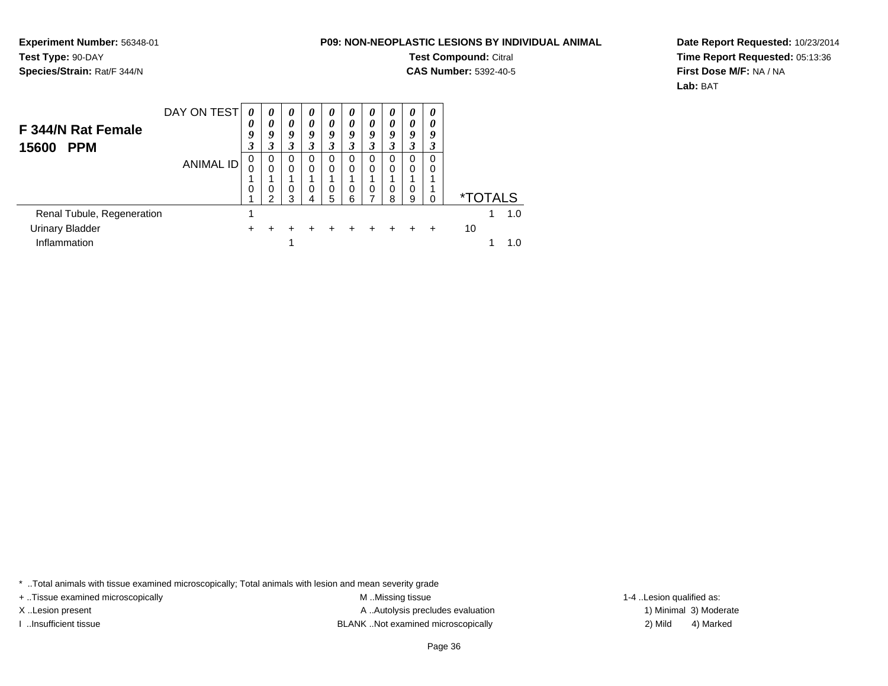**Experiment Number:** 56348-01**Test Type:** 90-DAY**Species/Strain:** Rat/F 344/N

# **Test Compound:** Citral

**CAS Number:** 5392-40-5

**Date Report Requested:** 10/23/2014**Time Report Requested:** 05:13:36**First Dose M/F:** NA / NA**Lab:** BAT

| F 344/N Rat Female<br>15600<br><b>PPM</b> | DAY ON TEST      | 0<br>0<br>9<br>3 | 0<br>0<br>9<br>3                  | 0<br>0<br>9<br>3        | 0<br>$\theta$<br>9<br>3 | 0<br>0<br>9<br>3 | 0<br>0<br>9<br>3 | $\theta$<br>$\theta$<br>9<br>3 | 0<br>0<br>9<br>3   | 0<br>$\theta$<br>9<br>3 | 0<br>0<br>9<br>3   |    |                       |     |
|-------------------------------------------|------------------|------------------|-----------------------------------|-------------------------|-------------------------|------------------|------------------|--------------------------------|--------------------|-------------------------|--------------------|----|-----------------------|-----|
|                                           | <b>ANIMAL ID</b> | 0<br>0           | $\mathbf 0$<br>$\Omega$<br>0<br>າ | 0<br>$\Omega$<br>0<br>3 | 0<br>0<br>0<br>4        | 0<br>0<br>0<br>5 | 0<br>0<br>0<br>6 | $\Omega$<br>0<br>0             | 0<br>$\Omega$<br>8 | 0<br>9                  | 0<br>0<br>$\Omega$ |    | <i><b>*TOTALS</b></i> |     |
| Renal Tubule, Regeneration                |                  |                  |                                   |                         |                         |                  |                  |                                |                    |                         |                    |    |                       | 1.0 |
| <b>Urinary Bladder</b>                    |                  | +                |                                   |                         |                         |                  |                  |                                |                    |                         | ÷                  | 10 |                       |     |
| Inflammation                              |                  |                  |                                   |                         |                         |                  |                  |                                |                    |                         |                    |    |                       |     |

\* ..Total animals with tissue examined microscopically; Total animals with lesion and mean severity grade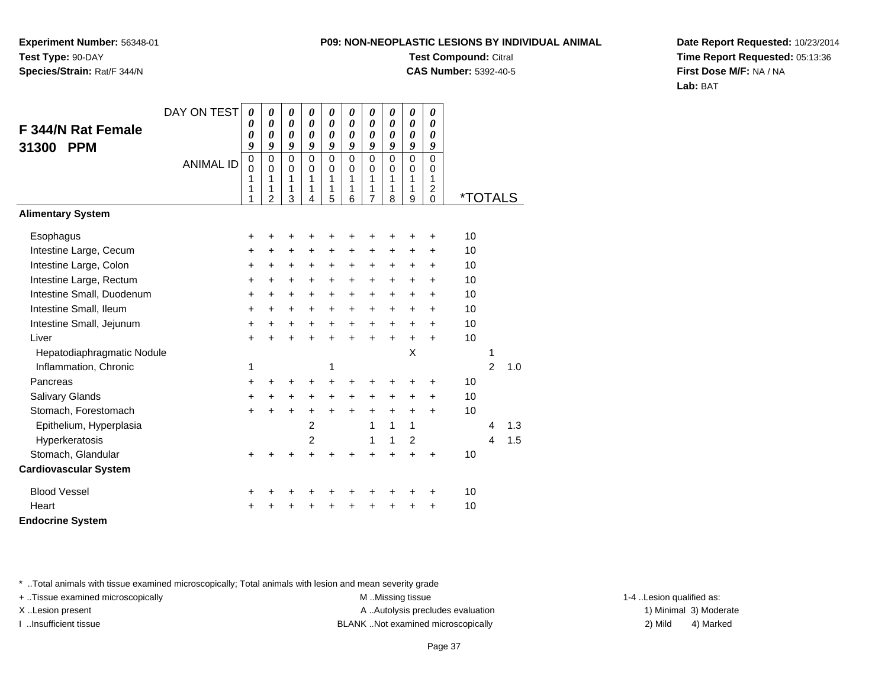**Experiment Number:** 56348-01**Test Type:** 90-DAY**Species/Strain:** Rat/F 344/N

# **Test Compound:** Citral

**CAS Number:** 5392-40-5

**Date Report Requested:** 10/23/2014**Time Report Requested:** 05:13:36**First Dose M/F:** NA / NA**Lab:** BAT

|                              | DAY ON TEST      | $\boldsymbol{\theta}$           | $\boldsymbol{\theta}$                            | $\pmb{\theta}$                  | 0                                   | 0                                | 0                                | 0                                | 0                                              | 0                               | 0                                                      |                       |                         |     |
|------------------------------|------------------|---------------------------------|--------------------------------------------------|---------------------------------|-------------------------------------|----------------------------------|----------------------------------|----------------------------------|------------------------------------------------|---------------------------------|--------------------------------------------------------|-----------------------|-------------------------|-----|
| F 344/N Rat Female           |                  | 0                               | 0                                                | 0                               | $\boldsymbol{\theta}$               | 0                                | 0                                | 0                                | $\boldsymbol{\theta}$<br>$\boldsymbol{\theta}$ | $\boldsymbol{\theta}$           | 0                                                      |                       |                         |     |
| 31300<br><b>PPM</b>          |                  | $\boldsymbol{\theta}$<br>9      | 0<br>9                                           | 0<br>9                          | 0<br>9                              | 0<br>9                           | 0<br>9                           | 0<br>9                           | 9                                              | $\boldsymbol{\theta}$<br>9      | 0<br>9                                                 |                       |                         |     |
|                              | <b>ANIMAL ID</b> | $\mathbf 0$<br>0<br>1<br>1<br>1 | $\Omega$<br>$\Omega$<br>1<br>1<br>$\overline{c}$ | $\mathbf 0$<br>0<br>1<br>1<br>3 | $\Omega$<br>$\Omega$<br>1<br>1<br>4 | $\mathbf{0}$<br>0<br>1<br>1<br>5 | $\mathbf{0}$<br>0<br>1<br>1<br>6 | $\mathbf{0}$<br>0<br>1<br>1<br>7 | $\Omega$<br>0<br>1<br>1<br>8                   | $\mathbf 0$<br>0<br>1<br>1<br>9 | $\overline{0}$<br>0<br>1<br>$\overline{c}$<br>$\Omega$ | <i><b>*TOTALS</b></i> |                         |     |
| <b>Alimentary System</b>     |                  |                                 |                                                  |                                 |                                     |                                  |                                  |                                  |                                                |                                 |                                                        |                       |                         |     |
| Esophagus                    |                  | +                               | +                                                | +                               | +                                   | +                                | +                                | +                                | +                                              | +                               | +                                                      | 10                    |                         |     |
| Intestine Large, Cecum       |                  | $\ddot{}$                       | +                                                | +                               | $\ddot{}$                           | $\ddot{}$                        | $\ddot{}$                        | $\ddot{}$                        | $\ddot{}$                                      | +                               | +                                                      | 10                    |                         |     |
| Intestine Large, Colon       |                  | +                               | $\ddot{}$                                        | $\ddot{}$                       | $\ddot{}$                           | +                                | +                                | +                                | +                                              | $\ddot{}$                       | +                                                      | 10                    |                         |     |
| Intestine Large, Rectum      |                  | $\ddot{}$                       | $\ddot{}$                                        | $+$                             | $\ddot{}$                           | $\ddot{}$                        | $\ddot{}$                        | $\ddot{}$                        | $\ddot{}$                                      | $\ddot{}$                       | $\ddot{}$                                              | 10                    |                         |     |
| Intestine Small, Duodenum    |                  | $\ddot{}$                       | $\ddot{}$                                        | $+$                             | +                                   | +                                | +                                | +                                | $\ddot{}$                                      | $\ddot{}$                       | +                                                      | 10                    |                         |     |
| Intestine Small, Ileum       |                  | $\ddot{}$                       | $\ddot{}$                                        | $\ddot{}$                       | +                                   | $\ddot{}$                        | $\ddot{}$                        | $\ddot{}$                        | $\ddot{}$                                      | $\ddot{}$                       | +                                                      | 10                    |                         |     |
| Intestine Small, Jejunum     |                  | $\ddot{}$                       | $\ddot{}$                                        | $\ddot{}$                       | $\ddot{}$                           | $\ddot{}$                        | $\ddot{}$                        | $\ddot{}$                        | $\ddot{}$                                      | $\ddot{}$                       | $\ddot{}$                                              | 10                    |                         |     |
| Liver                        |                  | $\ddot{}$                       | $\ddot{}$                                        | $\ddot{}$                       | $\ddot{}$                           | $\ddot{}$                        | $\ddot{}$                        | $\ddot{}$                        | $\ddot{}$                                      | $\ddot{}$                       | $\ddot{}$                                              | 10                    |                         |     |
| Hepatodiaphragmatic Nodule   |                  |                                 |                                                  |                                 |                                     |                                  |                                  |                                  |                                                | X                               |                                                        |                       | 1                       |     |
| Inflammation, Chronic        |                  | 1                               |                                                  |                                 |                                     | 1                                |                                  |                                  |                                                |                                 |                                                        |                       | $\overline{2}$          | 1.0 |
| Pancreas                     |                  | +                               | +                                                | +                               | +                                   | $\ddot{}$                        | ÷                                | ٠                                | ٠                                              | +                               | +                                                      | 10                    |                         |     |
| Salivary Glands              |                  | +                               | +                                                | $\ddot{}$                       | $\ddot{}$                           | +                                | +                                | +                                | +                                              | +                               | +                                                      | 10                    |                         |     |
| Stomach, Forestomach         |                  | $\ddot{}$                       | $\ddot{}$                                        | $\ddot{}$                       | +                                   | $\ddot{}$                        | $\ddot{}$                        | $\ddot{}$                        | $\ddot{}$                                      | $\ddot{}$                       | $\ddot{}$                                              | 10                    |                         |     |
| Epithelium, Hyperplasia      |                  |                                 |                                                  |                                 | 2                                   |                                  |                                  | 1                                | 1                                              | 1                               |                                                        |                       | 4                       | 1.3 |
| Hyperkeratosis               |                  |                                 |                                                  |                                 | 2                                   |                                  |                                  | 1                                | 1                                              | $\overline{c}$                  |                                                        |                       | $\overline{\mathbf{4}}$ | 1.5 |
| Stomach, Glandular           |                  | $\ddot{}$                       |                                                  |                                 |                                     |                                  |                                  | 4                                | $\ddot{}$                                      | $\ddot{}$                       | $\ddot{}$                                              | 10                    |                         |     |
| <b>Cardiovascular System</b> |                  |                                 |                                                  |                                 |                                     |                                  |                                  |                                  |                                                |                                 |                                                        |                       |                         |     |
| <b>Blood Vessel</b>          |                  | ٠                               |                                                  |                                 |                                     |                                  |                                  | +                                | ٠                                              | +                               | +                                                      | 10                    |                         |     |
| Heart                        |                  | +                               |                                                  |                                 |                                     |                                  |                                  | +                                | +                                              | +                               | +                                                      | 10                    |                         |     |
| <b>Endocrine System</b>      |                  |                                 |                                                  |                                 |                                     |                                  |                                  |                                  |                                                |                                 |                                                        |                       |                         |     |

\* ..Total animals with tissue examined microscopically; Total animals with lesion and mean severity grade

+ ..Tissue examined microscopically examined microscopically examined as:  $M$  ..Missing tissue 1-4 ..Lesion qualified as: X..Lesion present **A ..Autolysis precludes evaluation** A ..Autolysis precludes evaluation 1) Minimal 3) Moderate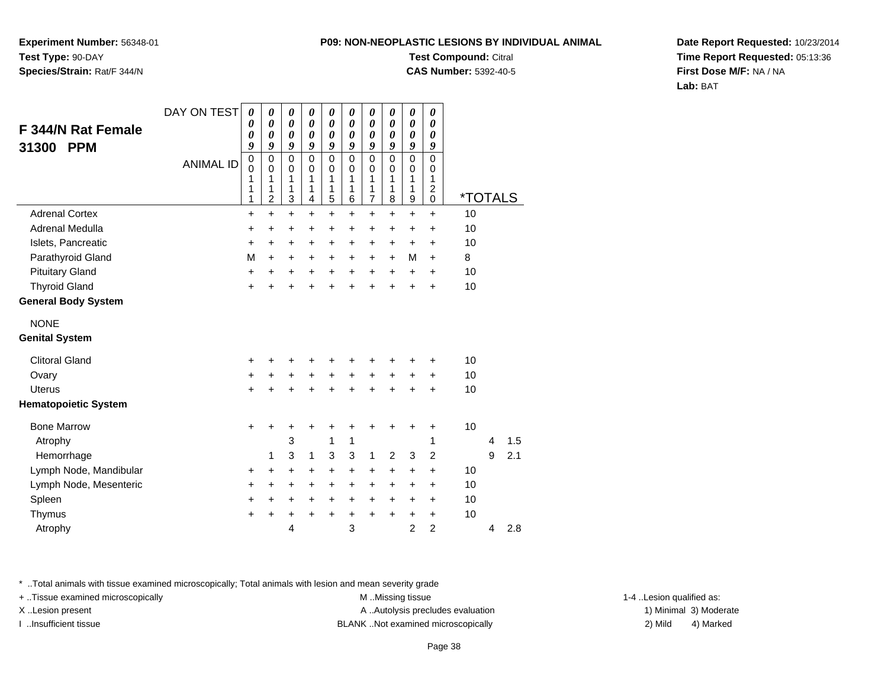**Experiment Number:** 56348-01**Test Type:** 90-DAY**Species/Strain:** Rat/F 344/N

### **Test Compound:** Citral

**CAS Number:** 5392-40-5

**Date Report Requested:** 10/23/2014**Time Report Requested:** 05:13:36**First Dose M/F:** NA / NA**Lab:** BAT

|                             | DAY ON TEST      | $\boldsymbol{\theta}$<br>0      | $\boldsymbol{\theta}$<br>0 | $\boldsymbol{\theta}$<br>0 | 0<br>0                     | 0<br>$\boldsymbol{\theta}$ | 0<br>$\boldsymbol{\theta}$ | $\boldsymbol{\theta}$<br>$\boldsymbol{\theta}$ | 0<br>$\boldsymbol{\theta}$ | 0<br>$\boldsymbol{\theta}$ | 0<br>0              |                       |   |     |
|-----------------------------|------------------|---------------------------------|----------------------------|----------------------------|----------------------------|----------------------------|----------------------------|------------------------------------------------|----------------------------|----------------------------|---------------------|-----------------------|---|-----|
| F 344/N Rat Female          |                  | 0                               | $\boldsymbol{\theta}$      | 0                          | $\boldsymbol{\theta}$      | $\boldsymbol{\theta}$      | $\boldsymbol{\theta}$      | $\boldsymbol{\theta}$                          | 0                          | $\pmb{\theta}$             | 0                   |                       |   |     |
| 31300<br><b>PPM</b>         |                  | 9                               | 9                          | 9                          | 9                          | 9                          | 9                          | 9                                              | 9                          | 9                          | 9                   |                       |   |     |
|                             | <b>ANIMAL ID</b> | $\boldsymbol{0}$<br>$\mathbf 0$ | $\mathbf 0$<br>$\mathbf 0$ | 0<br>0                     | $\mathbf 0$<br>$\mathbf 0$ | $\pmb{0}$<br>$\mathbf 0$   | $\mathbf 0$<br>$\mathbf 0$ | $\pmb{0}$<br>$\mathbf 0$                       | 0<br>0                     | $\mathbf 0$<br>$\mathbf 0$ | 0<br>$\mathbf 0$    |                       |   |     |
|                             |                  | 1                               | 1                          | 1                          | 1                          | 1                          | 1                          | 1                                              | 1                          | 1                          | 1                   |                       |   |     |
|                             |                  | 1<br>1                          | 1<br>$\overline{c}$        | 1<br>3                     | 1<br>4                     | 1<br>5                     | 1<br>6                     | 1<br>$\overline{7}$                            | 1<br>8                     | 1<br>9                     | $\overline{c}$<br>0 | <i><b>*TOTALS</b></i> |   |     |
| <b>Adrenal Cortex</b>       |                  | +                               | $+$                        | $\ddot{}$                  | $\ddot{}$                  | $\ddot{}$                  | $\ddot{}$                  | $\ddot{}$                                      | $\ddot{}$                  | $\ddot{}$                  | $\ddot{}$           | 10                    |   |     |
| Adrenal Medulla             |                  | $\ddot{}$                       | $\ddot{}$                  | +                          | +                          | +                          | $\ddot{}$                  | +                                              | +                          | +                          | $\ddot{}$           | 10                    |   |     |
| Islets, Pancreatic          |                  | +                               | $\ddot{}$                  | $\ddot{}$                  | $\ddot{}$                  | $\ddot{}$                  | $\ddot{}$                  | +                                              | $\ddot{}$                  | $\ddot{}$                  | $\ddot{}$           | 10                    |   |     |
| Parathyroid Gland           |                  | M                               | $+$                        | $\ddot{}$                  | +                          | +                          | $\ddot{}$                  | +                                              | $\ddot{}$                  | M                          | +                   | 8                     |   |     |
| <b>Pituitary Gland</b>      |                  | +                               | $\ddot{}$                  | $\ddot{}$                  | $\ddot{}$                  | $\ddot{}$                  | $\ddot{}$                  | $\ddot{}$                                      | $\ddot{}$                  | $\ddot{}$                  | $\ddot{}$           | 10                    |   |     |
| <b>Thyroid Gland</b>        |                  | +                               | ÷                          | $\ddot{}$                  | $\ddot{}$                  | $\ddot{}$                  | ÷                          | $\ddot{}$                                      | $\ddot{}$                  | $\ddot{}$                  | $\ddot{}$           | 10                    |   |     |
| <b>General Body System</b>  |                  |                                 |                            |                            |                            |                            |                            |                                                |                            |                            |                     |                       |   |     |
| <b>NONE</b>                 |                  |                                 |                            |                            |                            |                            |                            |                                                |                            |                            |                     |                       |   |     |
| <b>Genital System</b>       |                  |                                 |                            |                            |                            |                            |                            |                                                |                            |                            |                     |                       |   |     |
| <b>Clitoral Gland</b>       |                  | +                               | +                          | +                          | +                          | +                          | ٠                          | +                                              | ٠                          | ٠                          | +                   | 10                    |   |     |
| Ovary                       |                  | +                               | +                          | $\ddot{}$                  | $\ddot{}$                  | $\ddot{}$                  | $\ddot{}$                  | $\ddot{}$                                      | $\ddot{}$                  | $\ddot{}$                  | $\ddot{}$           | 10                    |   |     |
| <b>Uterus</b>               |                  | $\ddot{}$                       | ÷                          | $\ddot{}$                  | $\ddot{}$                  | $\ddot{}$                  | $\ddot{}$                  | $\ddot{}$                                      | $\ddot{}$                  | $\ddot{}$                  | $\ddot{}$           | 10                    |   |     |
| <b>Hematopoietic System</b> |                  |                                 |                            |                            |                            |                            |                            |                                                |                            |                            |                     |                       |   |     |
| <b>Bone Marrow</b>          |                  | $\ddot{}$                       | ٠                          | ٠                          | +                          | +                          | +                          | +                                              | +                          | $\ddot{}$                  | +                   | 10                    |   |     |
| Atrophy                     |                  |                                 |                            | 3                          |                            | 1                          | 1                          |                                                |                            |                            | 1                   |                       | 4 | 1.5 |
| Hemorrhage                  |                  |                                 | 1                          | 3                          | 1                          | 3                          | 3                          | 1                                              | $\overline{2}$             | 3                          | $\overline{2}$      |                       | 9 | 2.1 |
| Lymph Node, Mandibular      |                  | $\ddot{}$                       | +                          | +                          | +                          | +                          | $\ddot{}$                  | +                                              | +                          | +                          | $\ddot{}$           | 10                    |   |     |
| Lymph Node, Mesenteric      |                  | +                               | $\ddot{}$                  | +                          | $\ddot{}$                  | $\ddot{}$                  | $\ddot{}$                  | +                                              | $\ddot{}$                  | $\ddot{}$                  | $\ddot{}$           | 10                    |   |     |
| Spleen                      |                  | +                               | $\ddot{}$                  | $\ddot{}$                  | $\ddot{}$                  | $\ddot{}$                  | $\ddot{}$                  | $\ddot{}$                                      | $+$                        | $\ddot{}$                  | $\ddot{}$           | 10                    |   |     |
| Thymus                      |                  | $\ddot{}$                       | $\ddot{}$                  | +                          | $\ddot{}$                  | $\ddot{}$                  | $\ddot{}$                  | $\ddot{}$                                      | $\ddot{}$                  | $\ddot{}$                  | $\ddot{}$           | 10                    |   |     |
| Atrophy                     |                  |                                 |                            | 4                          |                            |                            | 3                          |                                                |                            | $\overline{2}$             | $\overline{2}$      |                       | 4 | 2.8 |

\* ..Total animals with tissue examined microscopically; Total animals with lesion and mean severity grade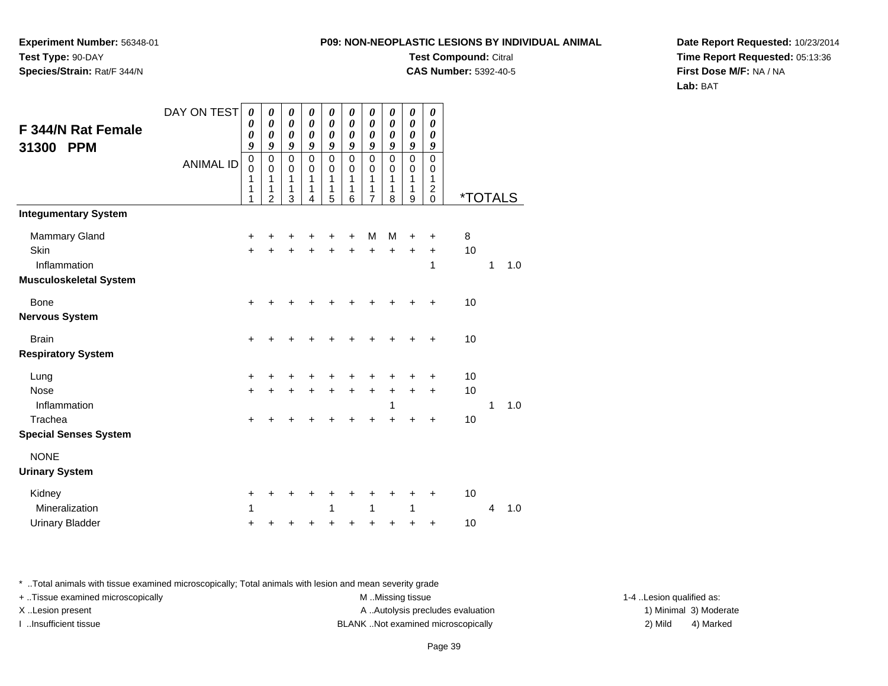**Experiment Number:** 56348-01**Test Type:** 90-DAY**Species/Strain:** Rat/F 344/N

# **Test Compound:** Citral

**CAS Number:** 5392-40-5

**Date Report Requested:** 10/23/2014**Time Report Requested:** 05:13:36**First Dose M/F:** NA / NA**Lab:** BAT

|                                                  | DAY ON TEST      | 0                                         | $\boldsymbol{\theta}$              | $\boldsymbol{\theta}$           | $\boldsymbol{\theta}$                               | 0                               | $\boldsymbol{\theta}$                               | $\boldsymbol{\theta}$           | $\boldsymbol{\theta}$                               | 0                               | $\boldsymbol{\theta}$                               |                       |              |     |
|--------------------------------------------------|------------------|-------------------------------------------|------------------------------------|---------------------------------|-----------------------------------------------------|---------------------------------|-----------------------------------------------------|---------------------------------|-----------------------------------------------------|---------------------------------|-----------------------------------------------------|-----------------------|--------------|-----|
| <b>F 344/N Rat Female</b><br>31300<br><b>PPM</b> |                  | $\boldsymbol{\theta}$<br>0<br>9           | $\boldsymbol{\theta}$<br>0<br>9    | $\boldsymbol{\theta}$<br>0<br>9 | $\boldsymbol{\theta}$<br>$\boldsymbol{\theta}$<br>9 | 0<br>0<br>9                     | $\boldsymbol{\theta}$<br>$\boldsymbol{\theta}$<br>9 | $\boldsymbol{\theta}$<br>0<br>9 | $\boldsymbol{\theta}$<br>$\boldsymbol{\theta}$<br>9 | $\pmb{\theta}$<br>0<br>9        | $\boldsymbol{\theta}$<br>$\boldsymbol{\theta}$<br>9 |                       |              |     |
|                                                  | <b>ANIMAL ID</b> | $\mathbf 0$<br>$\mathbf 0$<br>1<br>1<br>1 | 0<br>0<br>1<br>1<br>$\overline{2}$ | $\mathbf 0$<br>0<br>1<br>1<br>3 | $\mathsf 0$<br>$\mathbf 0$<br>1<br>1<br>4           | $\mathbf 0$<br>0<br>1<br>1<br>5 | $\mathbf 0$<br>0<br>$\mathbf{1}$<br>1<br>6          | $\mathbf 0$<br>0<br>1<br>1<br>7 | $\mathsf 0$<br>0<br>1<br>1<br>8                     | $\mathbf 0$<br>0<br>1<br>1<br>9 | 0<br>0<br>1<br>$\frac{2}{0}$                        | <i><b>*TOTALS</b></i> |              |     |
| <b>Integumentary System</b>                      |                  |                                           |                                    |                                 |                                                     |                                 |                                                     |                                 |                                                     |                                 |                                                     |                       |              |     |
| <b>Mammary Gland</b>                             |                  | +                                         | +                                  |                                 |                                                     | +                               | +                                                   | M                               | M                                                   | +                               | +                                                   | 8                     |              |     |
| Skin                                             |                  | $\ddot{}$                                 |                                    |                                 |                                                     | ÷                               | $\ddot{}$                                           | $\ddot{}$                       | +                                                   | $\ddot{}$                       | $\ddot{}$                                           | 10                    |              |     |
| Inflammation<br><b>Musculoskeletal System</b>    |                  |                                           |                                    |                                 |                                                     |                                 |                                                     |                                 |                                                     |                                 | 1                                                   |                       | 1            | 1.0 |
| <b>Bone</b>                                      |                  | +                                         |                                    |                                 |                                                     |                                 |                                                     |                                 |                                                     | $\ddot{}$                       | +                                                   | 10                    |              |     |
| <b>Nervous System</b>                            |                  |                                           |                                    |                                 |                                                     |                                 |                                                     |                                 |                                                     |                                 |                                                     |                       |              |     |
| <b>Brain</b>                                     |                  | +                                         |                                    |                                 |                                                     |                                 | +                                                   | +                               |                                                     |                                 | +                                                   | 10                    |              |     |
| <b>Respiratory System</b>                        |                  |                                           |                                    |                                 |                                                     |                                 |                                                     |                                 |                                                     |                                 |                                                     |                       |              |     |
| Lung                                             |                  | +                                         |                                    |                                 |                                                     |                                 | +                                                   | +                               | +                                                   | +                               | +                                                   | 10                    |              |     |
| <b>Nose</b>                                      |                  | +                                         | +                                  | +                               | $\ddot{}$                                           | $\ddot{}$                       | +                                                   | +                               | $\ddot{}$                                           | $\ddot{}$                       | $\ddot{}$                                           | 10                    |              |     |
| Inflammation<br>Trachea                          |                  | $\pm$                                     |                                    |                                 |                                                     |                                 | +                                                   | +                               | 1<br>$\ddot{}$                                      | +                               | +                                                   | 10                    | $\mathbf{1}$ | 1.0 |
| <b>Special Senses System</b>                     |                  |                                           |                                    |                                 |                                                     |                                 |                                                     |                                 |                                                     |                                 |                                                     |                       |              |     |
| <b>NONE</b>                                      |                  |                                           |                                    |                                 |                                                     |                                 |                                                     |                                 |                                                     |                                 |                                                     |                       |              |     |
| <b>Urinary System</b>                            |                  |                                           |                                    |                                 |                                                     |                                 |                                                     |                                 |                                                     |                                 |                                                     |                       |              |     |
| Kidney                                           |                  | +                                         | +                                  |                                 |                                                     | +                               | +                                                   | +                               | +                                                   | +                               | +                                                   | 10                    |              |     |
| Mineralization                                   |                  | 1                                         |                                    |                                 |                                                     | 1                               |                                                     | 1                               |                                                     | 1                               |                                                     |                       | 4            | 1.0 |
| <b>Urinary Bladder</b>                           |                  | +                                         |                                    |                                 |                                                     | +                               | +                                                   | +                               | $\ddot{}$                                           | +                               | +                                                   | 10                    |              |     |

\* ..Total animals with tissue examined microscopically; Total animals with lesion and mean severity grade